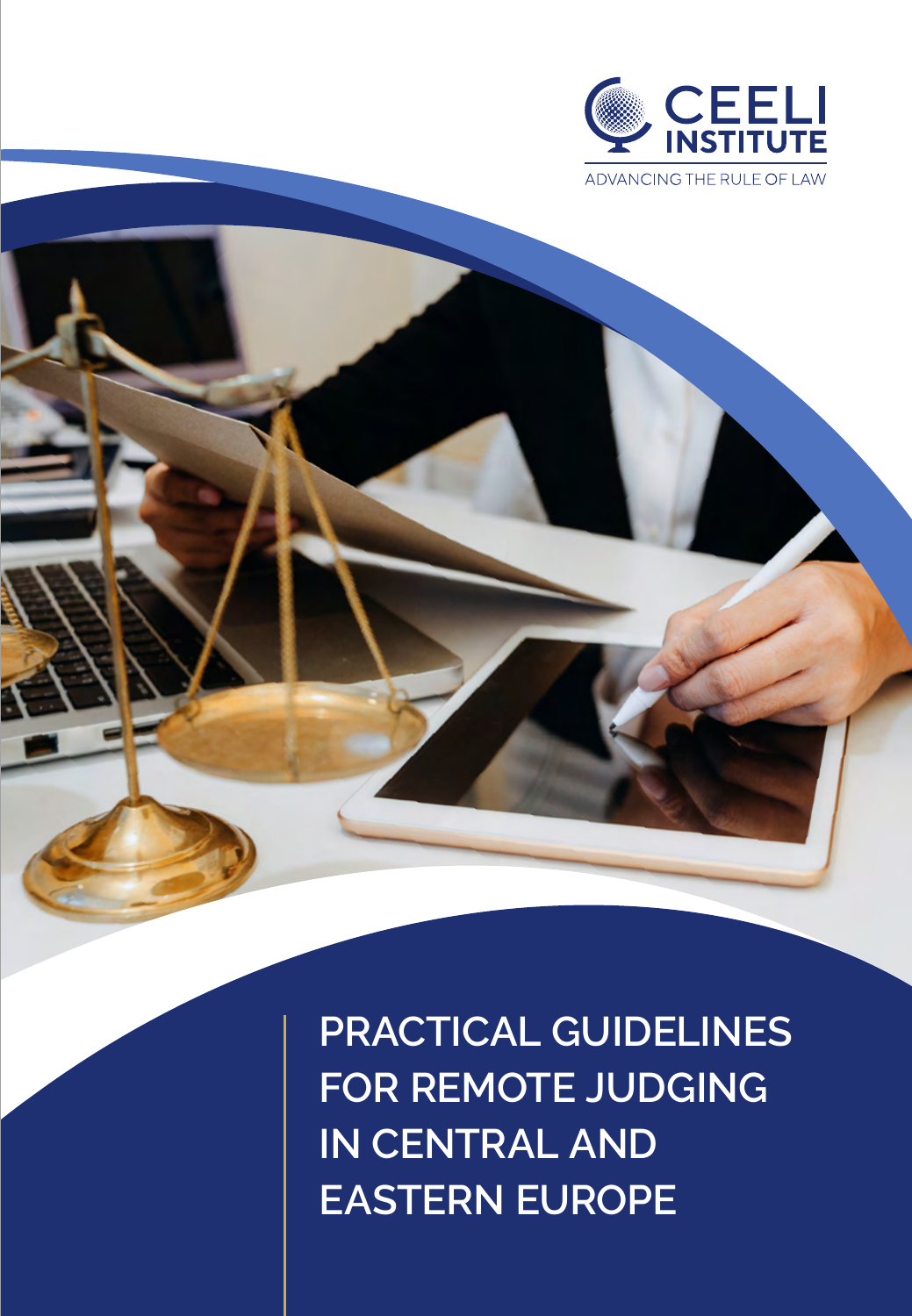

**PRACTICAL GUIDELINES FOR REMOTE JUDGING IN CENTRAL AND EASTERN EUROPE**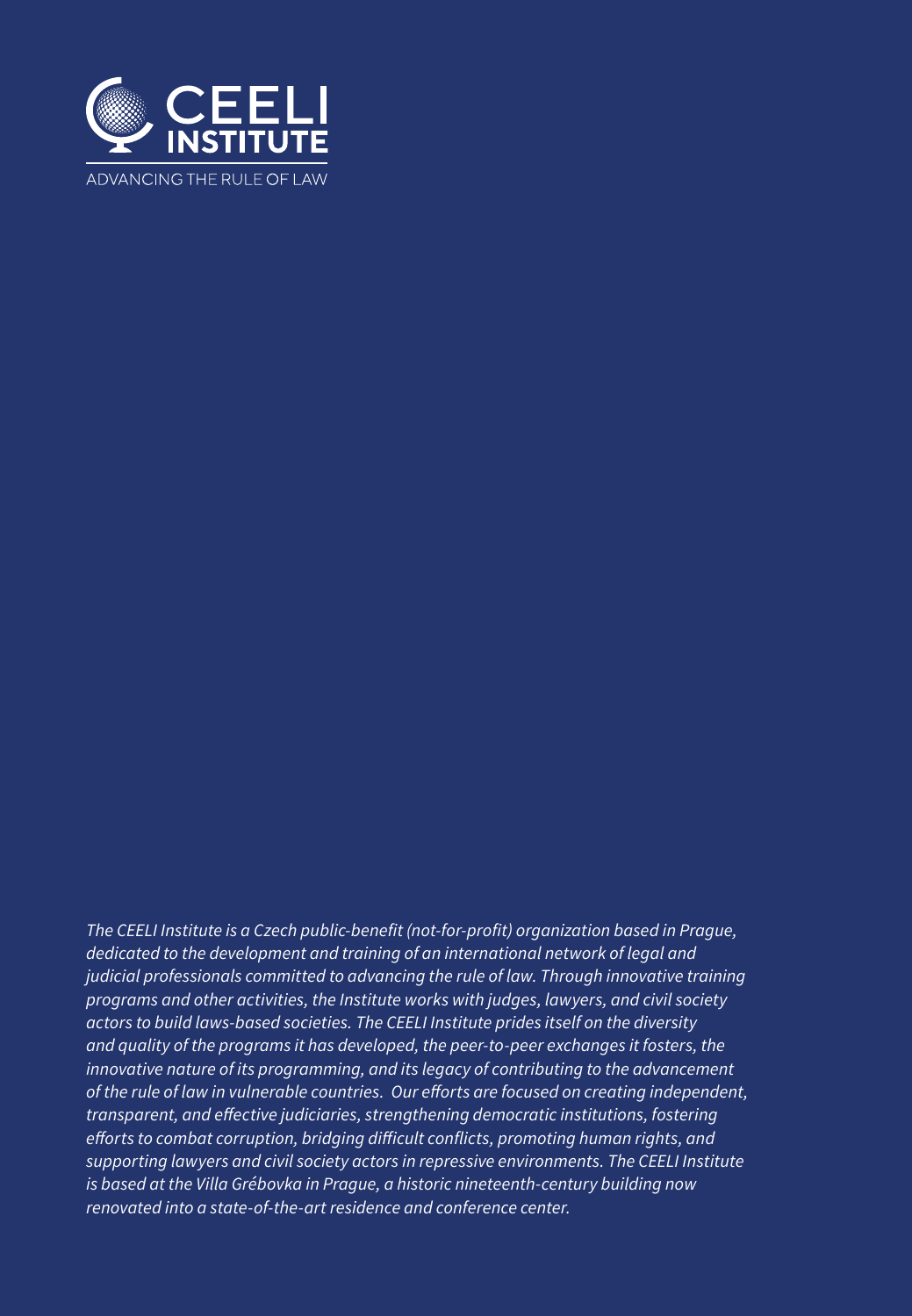

*The CEELI Institute is a Czech public-benefit (not-for-profit) organization based in Prague, dedicated to the development and training of an international network of legal and judicial professionals committed to advancing the rule of law. Through innovative training programs and other activities, the Institute works with judges, lawyers, and civil society actors to build laws-based societies. The CEELI Institute prides itself on the diversity and quality of the programs it has developed, the peer-to-peer exchanges it fosters, the innovative nature of its programming, and its legacy of contributing to the advancement of the rule of law in vulnerable countries. Our efforts are focused on creating independent, transparent, and effective judiciaries, strengthening democratic institutions, fostering efforts to combat corruption, bridging difficult conflicts, promoting human rights, and supporting lawyers and civil society actors in repressive environments. The CEELI Institute is based at the Villa Grébovka in Prague, a historic nineteenth-century building now renovated into a state-of-the-art residence and conference center.*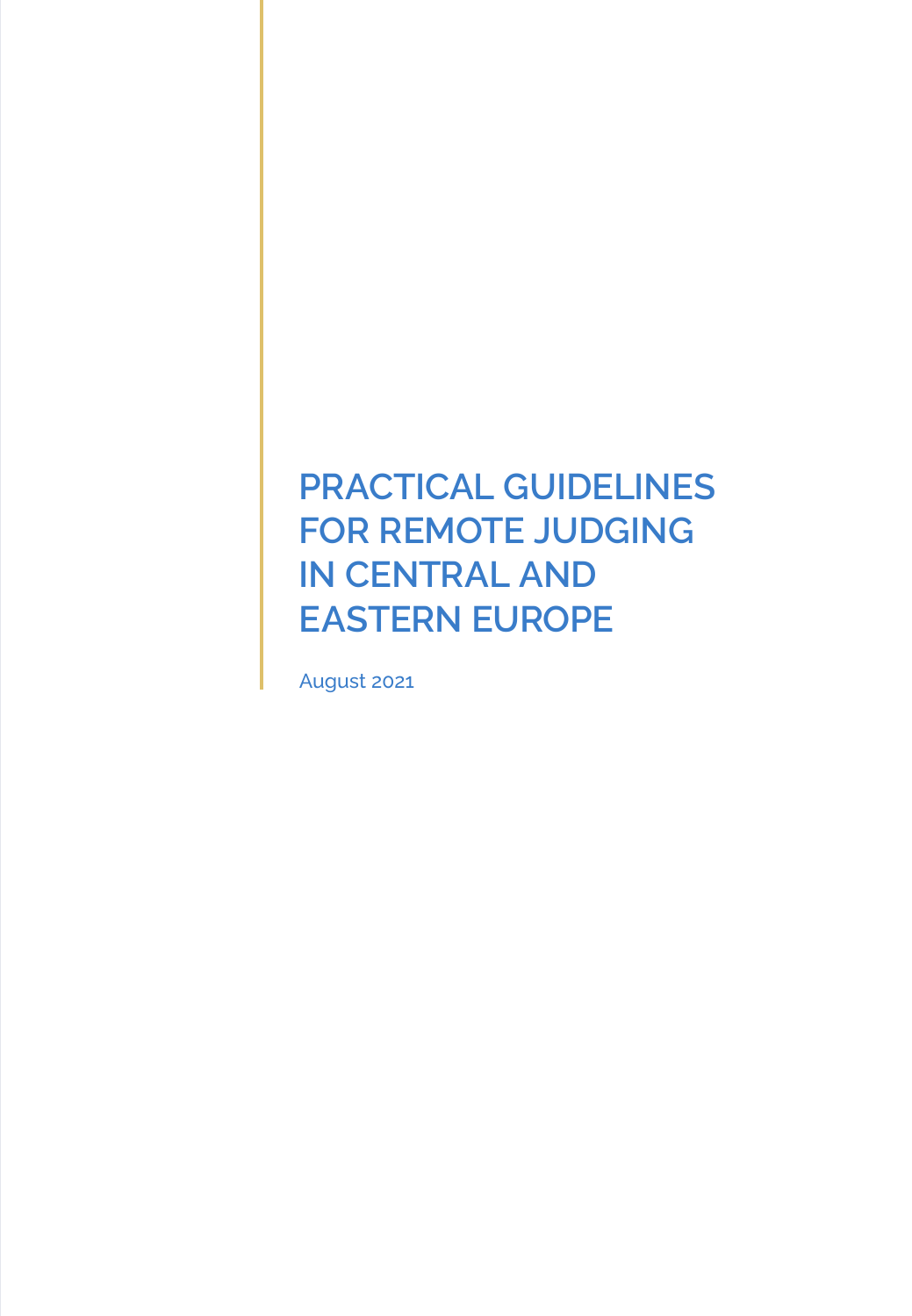# **PRACTICAL GUIDELINES FOR REMOTE JUDGING IN CENTRAL AND EASTERN EUROPE**

August 2021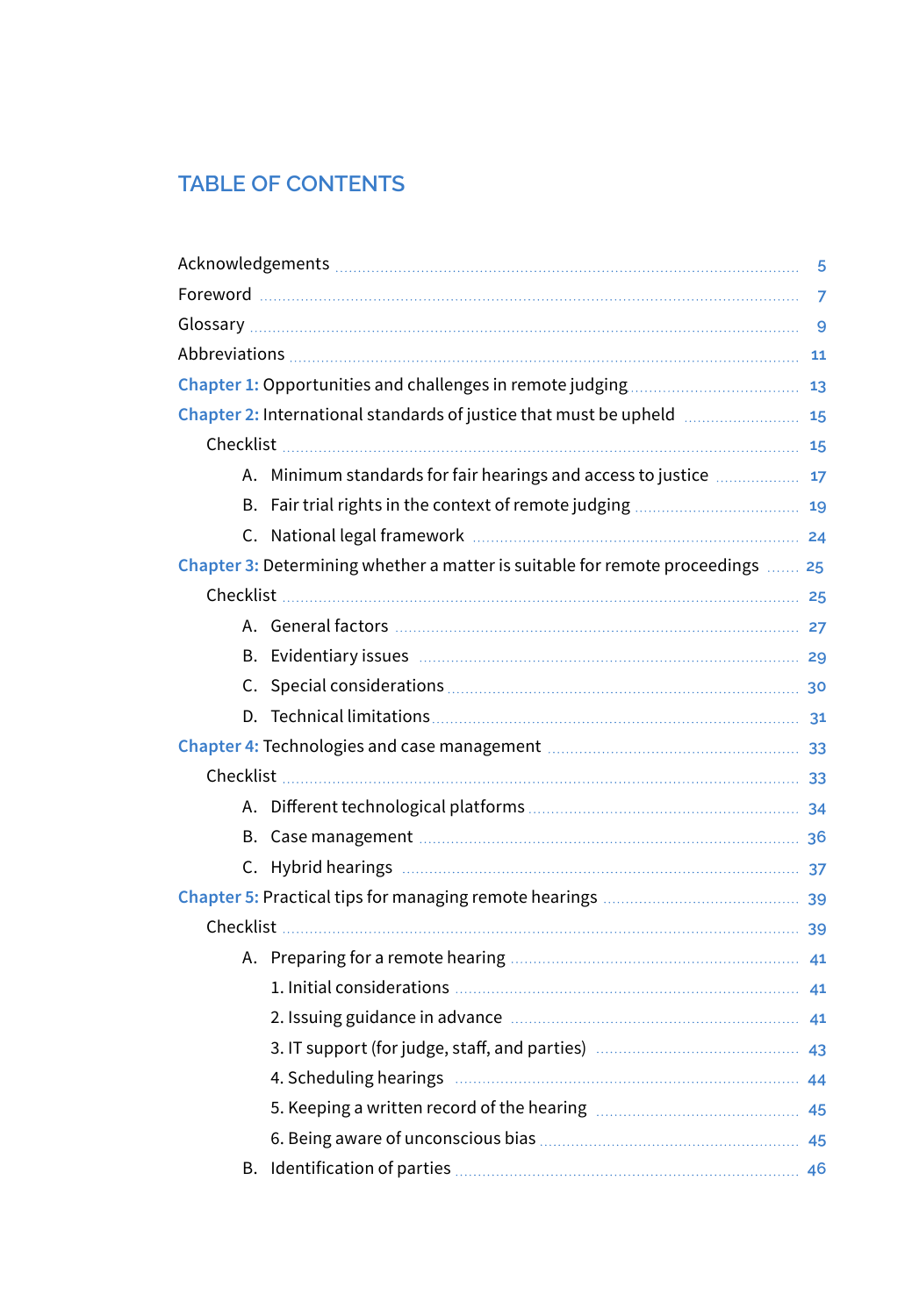# **TABLE OF CONTENTS**

| Chapter 2: International standards of justice that must be upheld  15 |                                                                                                                        |  |  |
|-----------------------------------------------------------------------|------------------------------------------------------------------------------------------------------------------------|--|--|
|                                                                       |                                                                                                                        |  |  |
|                                                                       | A. Minimum standards for fair hearings and access to justice  17                                                       |  |  |
|                                                                       |                                                                                                                        |  |  |
|                                                                       |                                                                                                                        |  |  |
|                                                                       | Chapter 3: Determining whether a matter is suitable for remote proceedings  25                                         |  |  |
|                                                                       |                                                                                                                        |  |  |
|                                                                       |                                                                                                                        |  |  |
|                                                                       |                                                                                                                        |  |  |
|                                                                       |                                                                                                                        |  |  |
|                                                                       |                                                                                                                        |  |  |
|                                                                       |                                                                                                                        |  |  |
|                                                                       |                                                                                                                        |  |  |
|                                                                       |                                                                                                                        |  |  |
|                                                                       |                                                                                                                        |  |  |
|                                                                       |                                                                                                                        |  |  |
|                                                                       |                                                                                                                        |  |  |
|                                                                       |                                                                                                                        |  |  |
|                                                                       |                                                                                                                        |  |  |
|                                                                       |                                                                                                                        |  |  |
|                                                                       |                                                                                                                        |  |  |
|                                                                       |                                                                                                                        |  |  |
|                                                                       | 4. Scheduling hearings <b>Manual According to the According According to the According According to According the </b> |  |  |
|                                                                       |                                                                                                                        |  |  |
|                                                                       |                                                                                                                        |  |  |
|                                                                       |                                                                                                                        |  |  |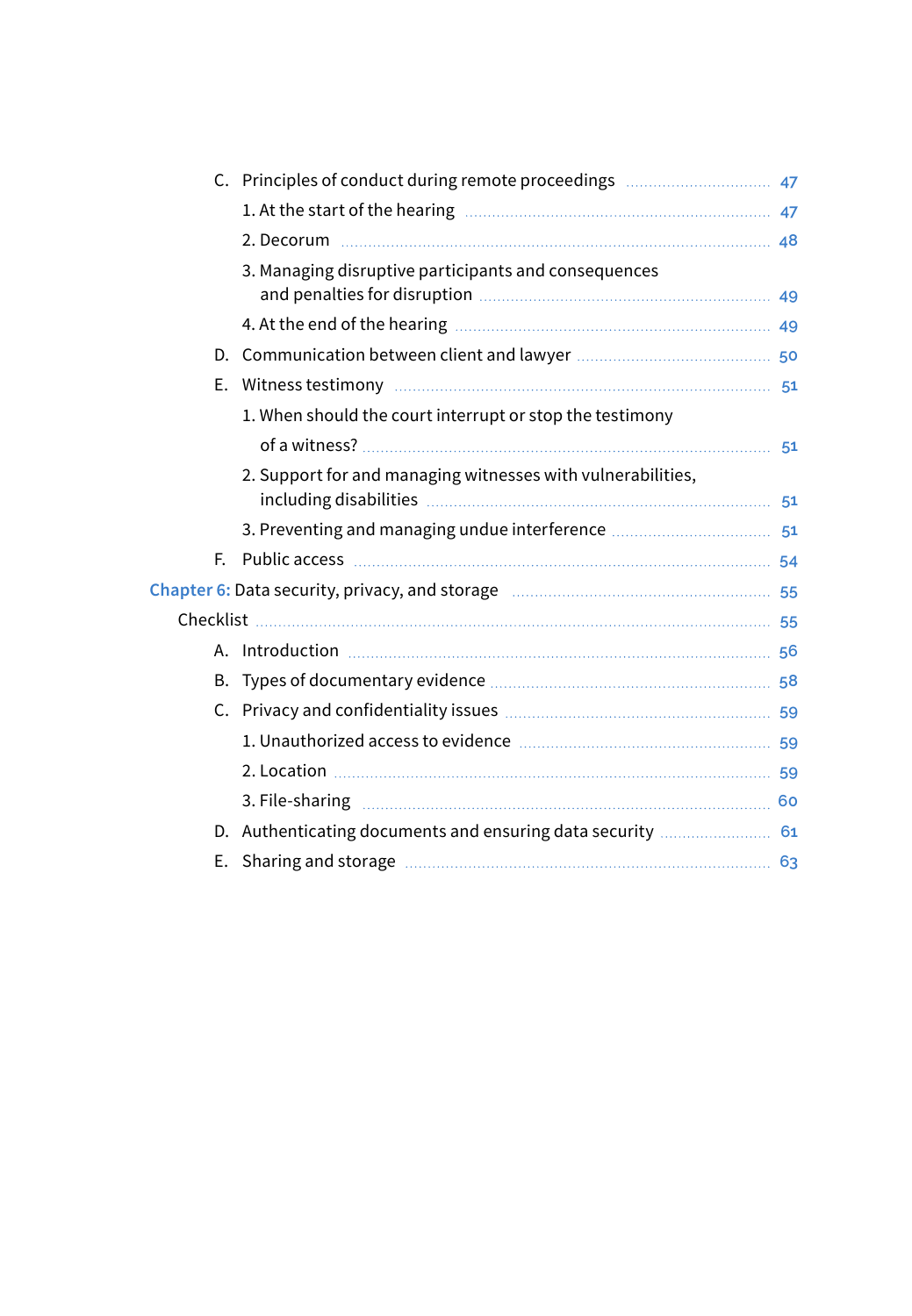|    | 3. Managing disruptive participants and consequences                       |  |
|----|----------------------------------------------------------------------------|--|
|    |                                                                            |  |
|    |                                                                            |  |
|    |                                                                            |  |
|    |                                                                            |  |
|    | 1. When should the court interrupt or stop the testimony                   |  |
|    |                                                                            |  |
|    | 2. Support for and managing witnesses with vulnerabilities,                |  |
|    |                                                                            |  |
|    |                                                                            |  |
| E. |                                                                            |  |
|    |                                                                            |  |
|    |                                                                            |  |
|    |                                                                            |  |
|    |                                                                            |  |
|    |                                                                            |  |
|    |                                                                            |  |
|    |                                                                            |  |
|    | 3. File-sharing <b>Martin Martin Community</b> 60                          |  |
|    | D. Authenticating documents and ensuring data security  61                 |  |
| Е. | Sharing and storage <b>Manual According to the Contract of Sandwich</b> 63 |  |
|    |                                                                            |  |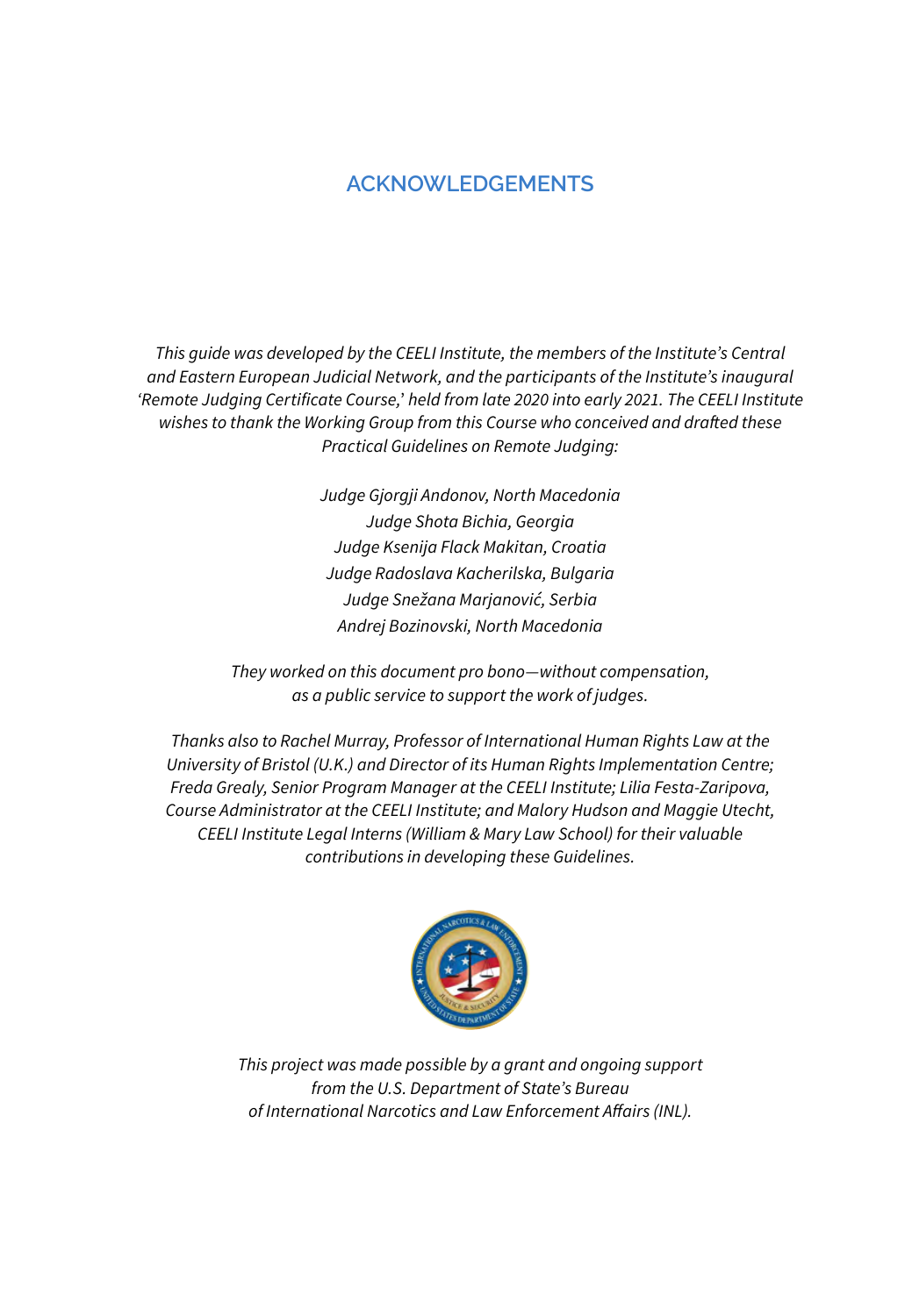# **ACKNOWLEDGEMENTS**

*This guide was developed by the CEELI Institute, the members of the Institute's Central and Eastern European Judicial Network, and the participants of the Institute's inaugural 'Remote Judging Certificate Course,*' *held from late 2020 into early 2021. The CEELI Institute wishes to thank the Working Group from this Course who conceived and drafted these Practical Guidelines on Remote Judging:*

> *Judge Gjorgji Andonov, North Macedonia Judge Shota Bichia, Georgia Judge Ksenija Flack Makitan, Croatia Judge Radoslava Kacherilska, Bulgaria Judge Snežana Marjanović, Serbia Andrej Bozinovski, North Macedonia*

*They worked on this document pro bono—without compensation, as a public service to support the work of judges.*

*Thanks also to Rachel Murray, Professor of International Human Rights Law at the University of Bristol (U.K.) and Director of its Human Rights Implementation Centre; Freda Grealy, Senior Program Manager at the CEELI Institute; Lilia Festa-Zaripova, Course Administrator at the CEELI Institute; and Malory Hudson and Maggie Utecht, CEELI Institute Legal Interns (William & Mary Law School) for their valuable contributions in developing these Guidelines.* 



*This project was made possible by a grant and ongoing support from the U.S. Department of State's Bureau of International Narcotics and Law Enforcement Affairs (INL).*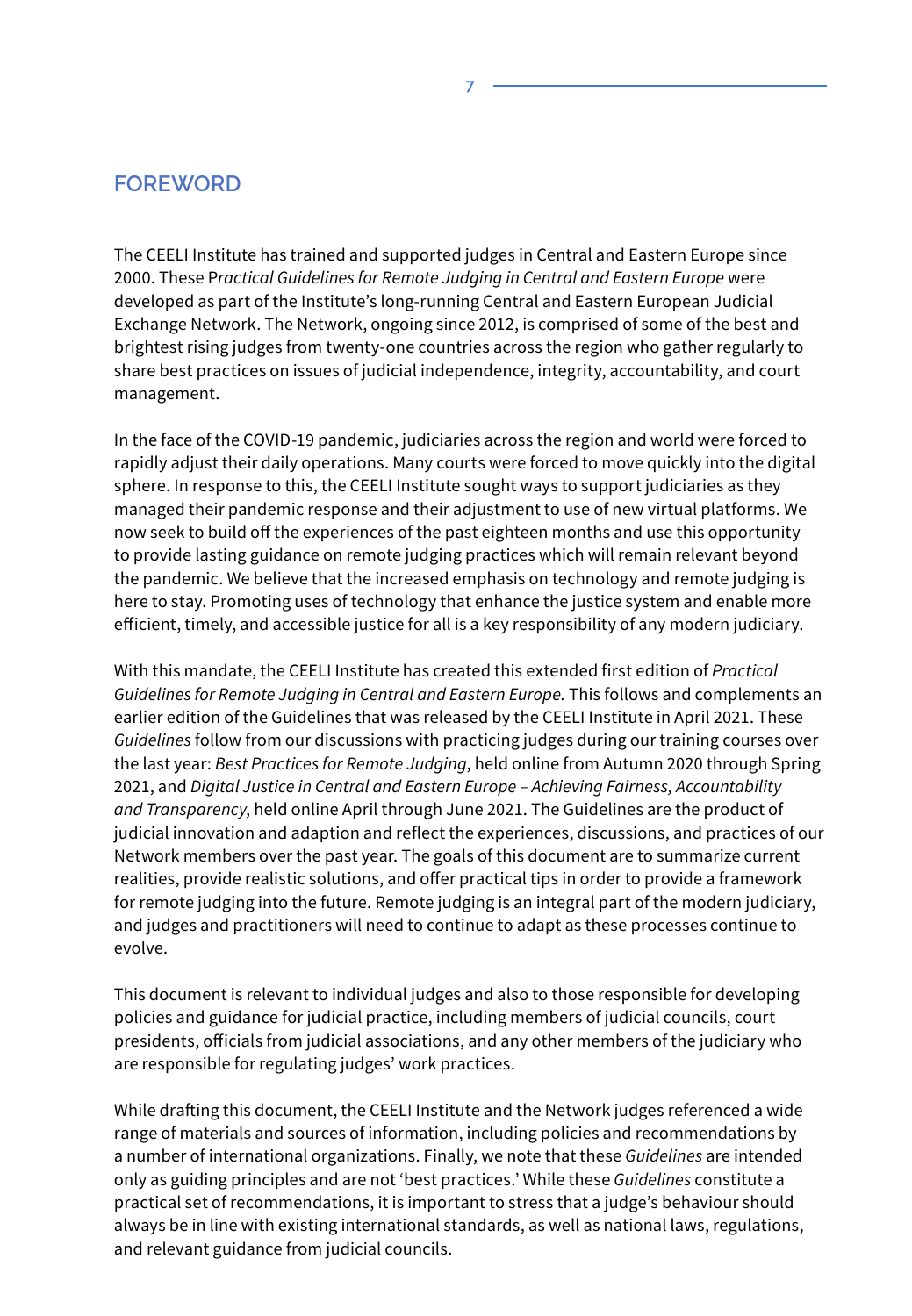### **FOREWORD**

The CEELI Institute has trained and supported judges in Central and Eastern Europe since 2000. These P*ractical Guidelines for Remote Judging in Central and Eastern Europe* were developed as part of the Institute's long-running Central and Eastern European Judicial Exchange Network. The Network, ongoing since 2012, is comprised of some of the best and brightest rising judges from twenty-one countries across the region who gather regularly to share best practices on issues of judicial independence, integrity, accountability, and court management.

**7**

In the face of the COVID-19 pandemic, judiciaries across the region and world were forced to rapidly adjust their daily operations. Many courts were forced to move quickly into the digital sphere. In response to this, the CEELI Institute sought ways to support judiciaries as they managed their pandemic response and their adjustment to use of new virtual platforms. We now seek to build off the experiences of the past eighteen months and use this opportunity to provide lasting guidance on remote judging practices which will remain relevant beyond the pandemic. We believe that the increased emphasis on technology and remote judging is here to stay. Promoting uses of technology that enhance the justice system and enable more efficient, timely, and accessible justice for all is a key responsibility of any modern judiciary.

With this mandate, the CEELI Institute has created this extended first edition of *Practical Guidelines for Remote Judging in Central and Eastern Europe.* This follows and complements an earlier edition of the Guidelines that was released by the CEELI Institute in April 2021. These *Guidelines* follow from our discussions with practicing judges during our training courses over the last year: *Best Practices for Remote Judging*, held online from Autumn 2020 through Spring 2021, and *Digital Justice in Central and Eastern Europe – Achieving Fairness, Accountability and Transparency*, held online April through June 2021. The Guidelines are the product of judicial innovation and adaption and reflect the experiences, discussions, and practices of our Network members over the past year. The goals of this document are to summarize current realities, provide realistic solutions, and offer practical tips in order to provide a framework for remote judging into the future. Remote judging is an integral part of the modern judiciary, and judges and practitioners will need to continue to adapt as these processes continue to evolve.

This document is relevant to individual judges and also to those responsible for developing policies and guidance for judicial practice, including members of judicial councils, court presidents, officials from judicial associations, and any other members of the judiciary who are responsible for regulating judges' work practices.

While drafting this document, the CEELI Institute and the Network judges referenced a wide range of materials and sources of information, including policies and recommendations by a number of international organizations. Finally, we note that these *Guidelines* are intended only as guiding principles and are not 'best practices.' While these *Guidelines* constitute a practical set of recommendations, it is important to stress that a judge's behaviour should always be in line with existing international standards, as well as national laws, regulations, and relevant guidance from judicial councils.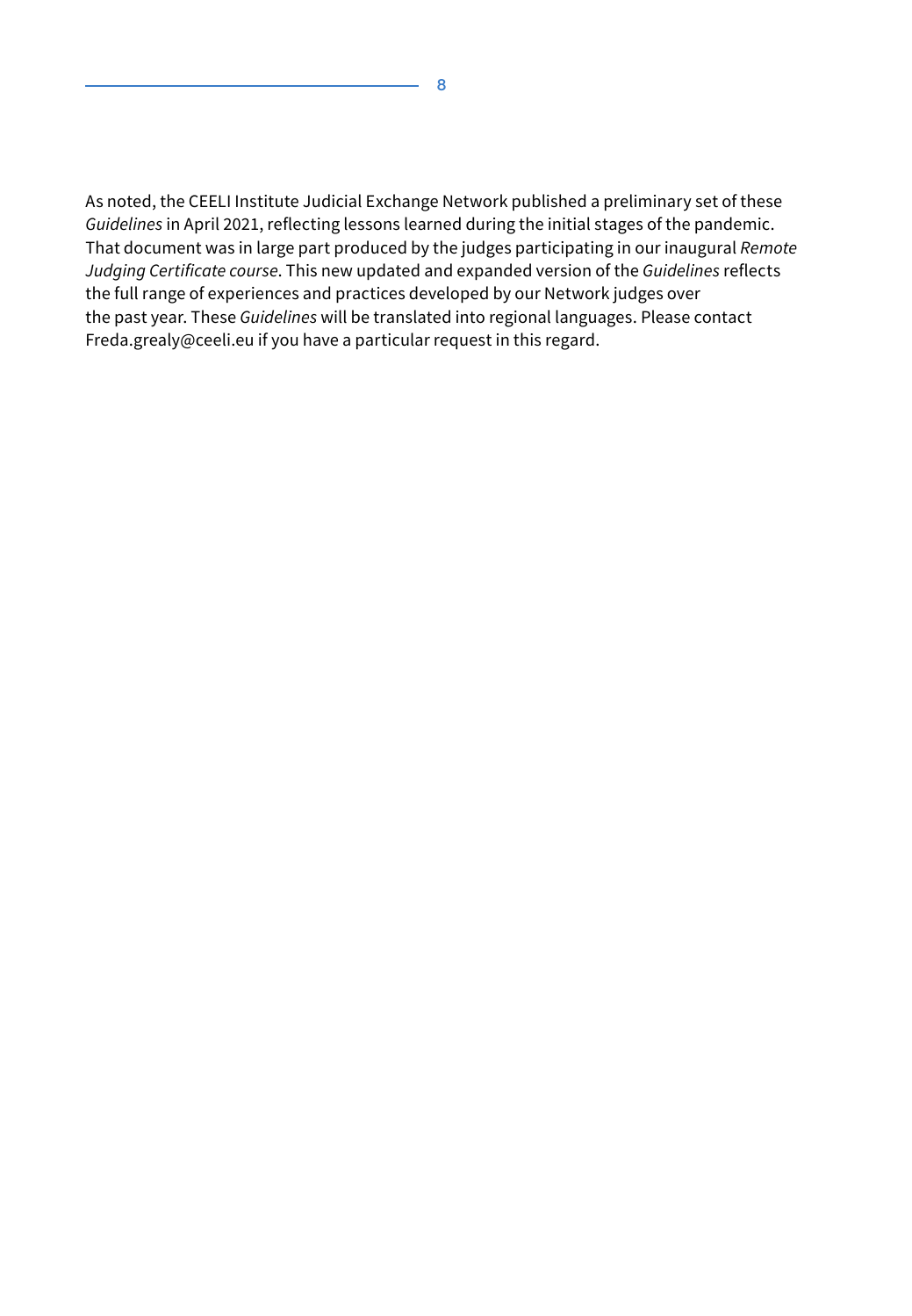As noted, the CEELI Institute Judicial Exchange Network published a preliminary set of these *Guidelines* in April 2021, reflecting lessons learned during the initial stages of the pandemic. That document was in large part produced by the judges participating in our inaugural *Remote Judging Certificate course*. This new updated and expanded version of the *Guidelines* reflects the full range of experiences and practices developed by our Network judges over the past year. These *Guidelines* will be translated into regional languages. Please contact Freda.grealy@ceeli.eu if you have a particular request in this regard.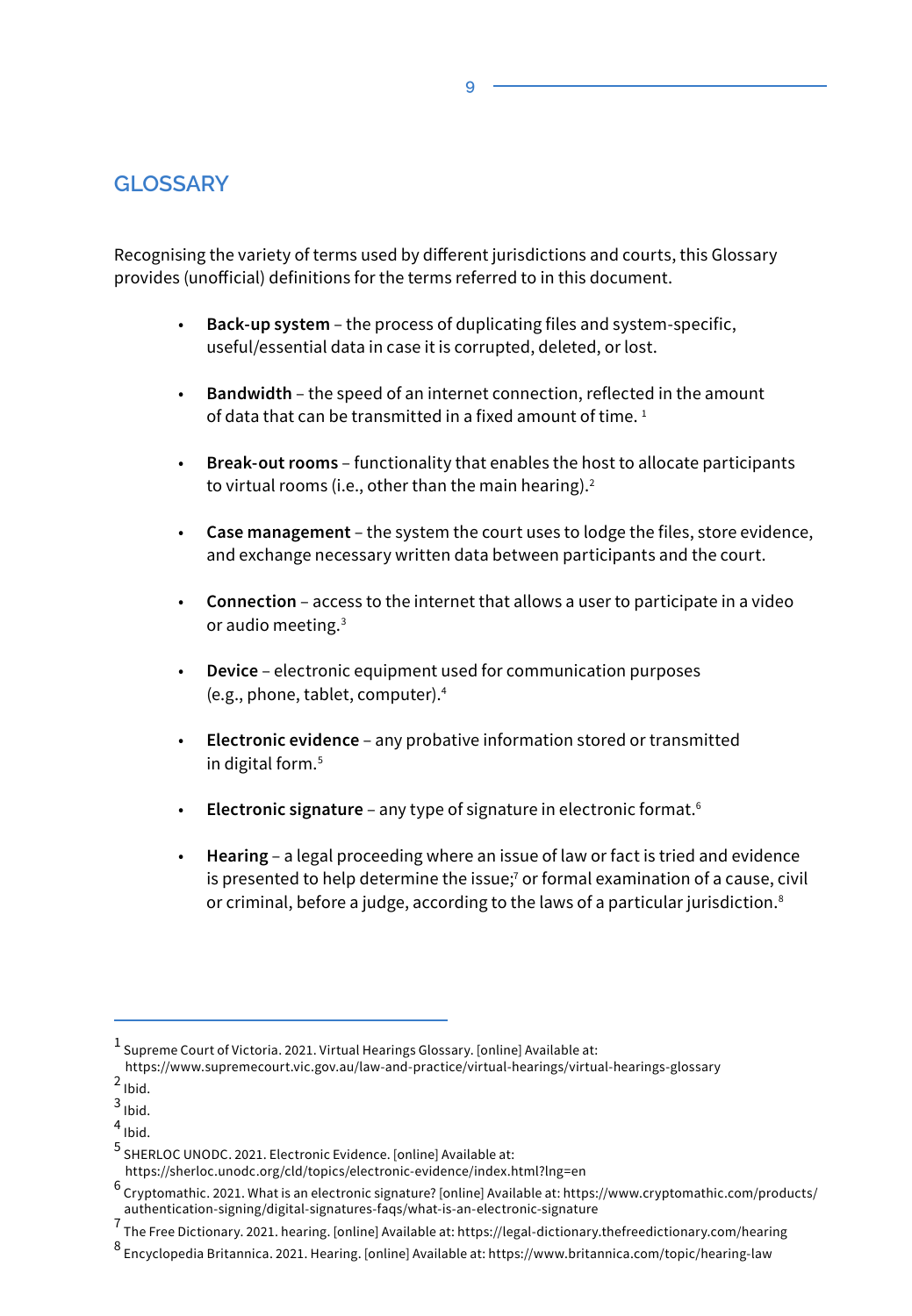### **GLOSSARY**

Recognising the variety of terms used by different jurisdictions and courts, this Glossary provides (unofficial) definitions for the terms referred to in this document.

- **Back-up system** the process of duplicating files and system-specific, useful/essential data in case it is corrupted, deleted, or lost.
- **Bandwidth** the speed of an internet connection, reflected in the amount of data that can be transmitted in a fixed amount of time.<sup>1</sup>
- **Break-out rooms** functionality that enables the host to allocate participants to virtual rooms (i.e., other than the main hearing).<sup>2</sup>
- **Case management** the system the court uses to lodge the files, store evidence, and exchange necessary written data between participants and the court.
- **Connection** access to the internet that allows a user to participate in a video or audio meeting.<sup>3</sup>
- **Device** electronic equipment used for communication purposes (e.g., phone, tablet, computer).<sup>4</sup>
- **Electronic evidence** any probative information stored or transmitted in digital form.<sup>5</sup>
- **Electronic signature** any type of signature in electronic format.<sup>6</sup>
- **Hearing** a legal proceeding where an issue of law or fact is tried and evidence is presented to help determine the issue; $7$  or formal examination of a cause, civil or criminal, before a judge, according to the laws of a particular jurisdiction.<sup>8</sup>

**9**

 $^1$  Supreme Court of Victoria. 2021. Virtual Hearings Glossary. [online] Available at:

https://www.supremecourt.vic.gov.au/law-and-practice/virtual-hearings/virtual-hearings-glossary <sup>2</sup> Ibid.

<sup>3&</sup>lt;br>Ibid.

<sup>4</sup> Ibid.

<sup>5</sup> SHERLOC UNODC. 2021. Electronic Evidence. [online] Available at:

https://sherloc.unodc.org/cld/topics/electronic-evidence/index.html?lng=en

<sup>&</sup>lt;sup>6</sup> Cryptomathic. 2021. What is an electronic signature? [online] Available at: https://www.cryptomathic.com/products/ authentication-signing/digital-signatures-faqs/what-is-an-electronic-signature

 $^7$  The Free Dictionary. 2021. hearing. [online] Available at: https://legal-dictionary.thefreedictionary.com/hearing

<sup>8</sup> Encyclopedia Britannica. 2021. Hearing. [online] Available at: https://www.britannica.com/topic/hearing-law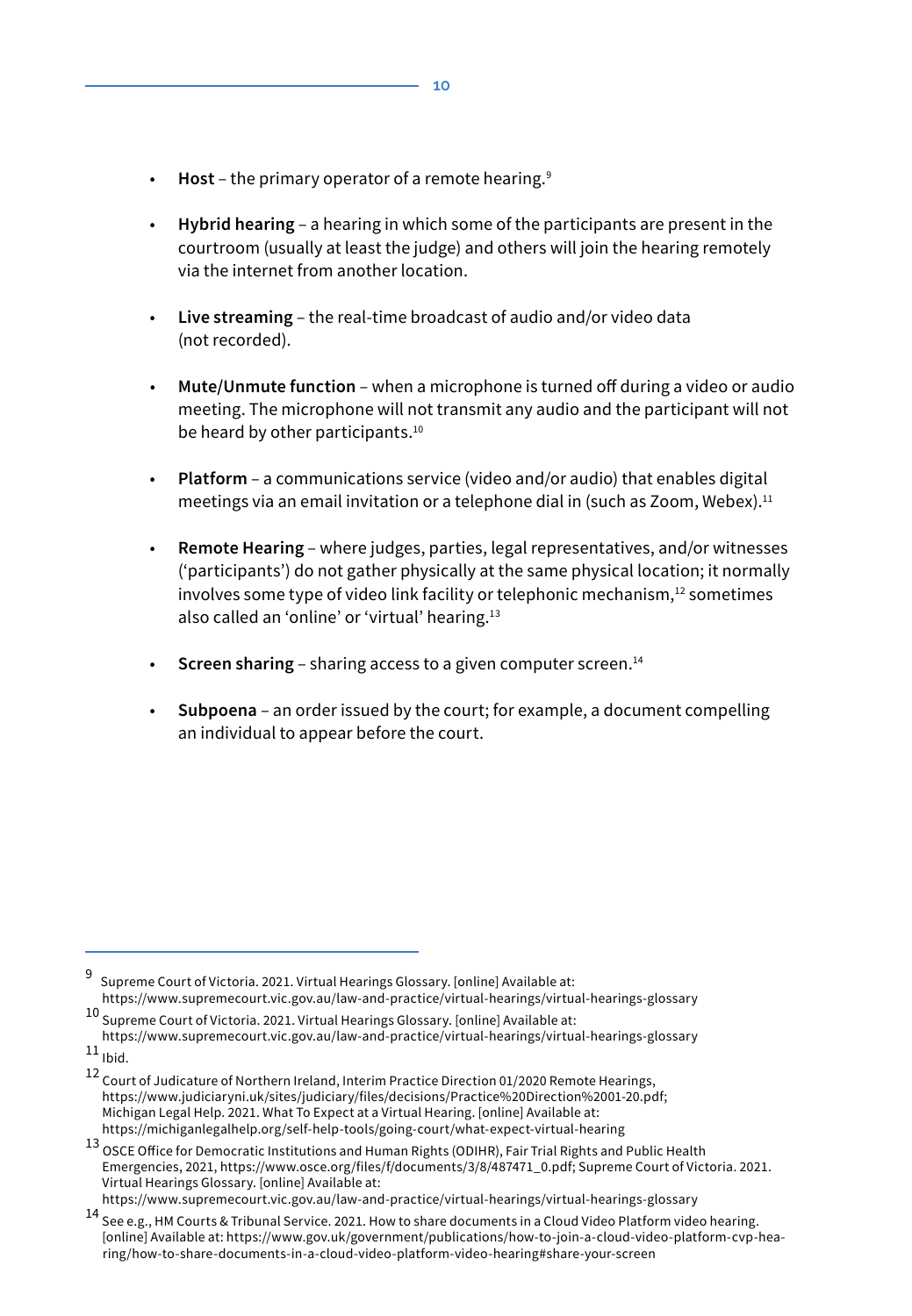- **Host** the primary operator of a remote hearing.9
- **Hybrid hearing** a hearing in which some of the participants are present in the courtroom (usually at least the judge) and others will join the hearing remotely via the internet from another location.
- **Live streaming** the real-time broadcast of audio and/or video data (not recorded).
- **Mute/Unmute function** when a microphone is turned off during a video or audio meeting. The microphone will not transmit any audio and the participant will not be heard by other participants.<sup>10</sup>
- **Platform** a communications service (video and/or audio) that enables digital meetings via an email invitation or a telephone dial in (such as Zoom, Webex).<sup>11</sup>
- **Remote Hearing** where judges, parties, legal representatives, and/or witnesses ('participants') do not gather physically at the same physical location; it normally involves some type of video link facility or telephonic mechanism,<sup>12</sup> sometimes also called an 'online' or 'virtual' hearing.<sup>13</sup>
- **Screen sharing** sharing access to a given computer screen.<sup>14</sup>
- **Subpoena** an order issued by the court; for example, a document compelling an individual to appear before the court.

- <sup>10</sup> Supreme Court of Victoria. 2021. Virtual Hearings Glossary. [online] Available at: https://www.supremecourt.vic.gov.au/law-and-practice/virtual-hearings/virtual-hearings-glossary
- $11$ <sub>Ibid.</sub>

<sup>9</sup> Supreme Court of Victoria. 2021. Virtual Hearings Glossary. [online] Available at: https://www.supremecourt.vic.gov.au/law-and-practice/virtual-hearings/virtual-hearings-glossary

<sup>12</sup> Court of Judicature of Northern Ireland, Interim Practice Direction 01/2020 Remote Hearings, https://www.judiciaryni.uk/sites/judiciary/files/decisions/Practice%20Direction%2001-20.pdf; Michigan Legal Help. 2021. What To Expect at a Virtual Hearing. [online] Available at: https://michiganlegalhelp.org/self-help-tools/going-court/what-expect-virtual-hearing

<sup>13</sup> OSCE Office for Democratic Institutions and Human Rights (ODIHR), Fair Trial Rights and Public Health Emergencies, 2021, https://www.osce.org/files/f/documents/3/8/487471\_0.pdf; Supreme Court of Victoria. 2021. Virtual Hearings Glossary. [online] Available at:

https://www.supremecourt.vic.gov.au/law-and-practice/virtual-hearings/virtual-hearings-glossary

<sup>14</sup> See e.g., HM Courts & Tribunal Service. 2021. How to share documents in a Cloud Video Platform video hearing. [online] Available at: https://www.gov.uk/government/publications/how-to-join-a-cloud-video-platform-cvp-hearing/how-to-share-documents-in-a-cloud-video-platform-video-hearing#share-your-screen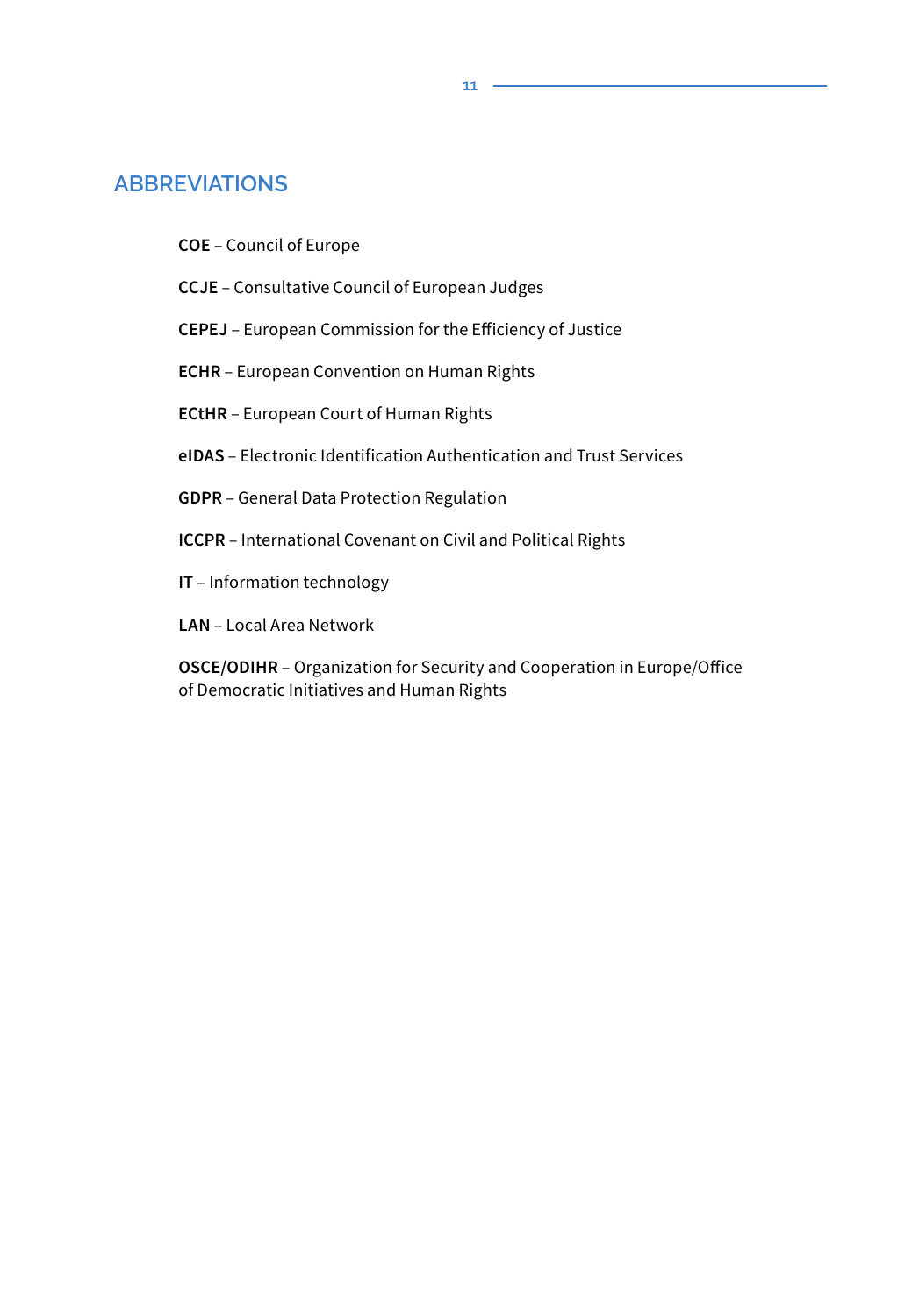#### **ABBREVIATIONS**

- **COE** Council of Europe
- **CCJE** Consultative Council of European Judges
- **CEPEJ**  European Commission for the Efficiency of Justice
- **ECHR** European Convention on Human Rights
- **ECtHR** European Court of Human Rights
- **eIDAS** Electronic Identification Authentication and Trust Services
- **GDPR** General Data Protection Regulation
- **ICCPR** International Covenant on Civil and Political Rights
- **IT** Information technology
- **LAN** Local Area Network

 **OSCE/ODIHR** – Organization for Security and Cooperation in Europe/Office of Democratic Initiatives and Human Rights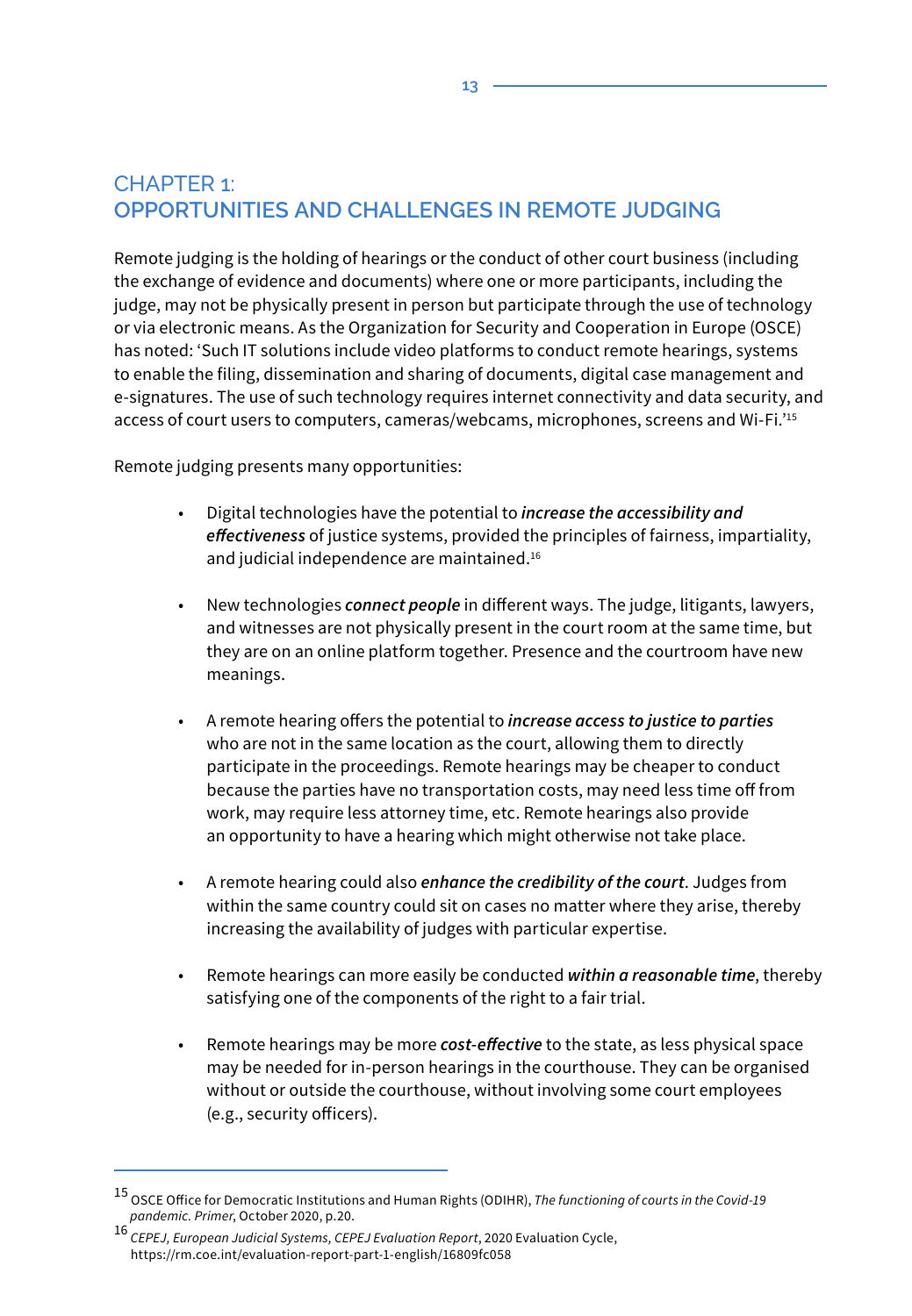# CHAPTER 1: **OPPORTUNITIES AND CHALLENGES IN REMOTE JUDGING**

Remote judging is the holding of hearings or the conduct of other court business (including the exchange of evidence and documents) where one or more participants, including the judge, may not be physically present in person but participate through the use of technology or via electronic means. As the Organization for Security and Cooperation in Europe (OSCE) has noted: 'Such IT solutions include video platforms to conduct remote hearings, systems to enable the filing, dissemination and sharing of documents, digital case management and e-signatures. The use of such technology requires internet connectivity and data security, and access of court users to computers, cameras/webcams, microphones, screens and Wi-Fi.'15

Remote judging presents many opportunities:

- Digital technologies have the potential to *increase the accessibility and effectiveness* of justice systems, provided the principles of fairness, impartiality, and judicial independence are maintained.<sup>16</sup>
- New technologies *connect people* in different ways. The judge, litigants, lawyers, and witnesses are not physically present in the court room at the same time, but they are on an online platform together. Presence and the courtroom have new meanings.
- A remote hearing offers the potential to *increase access to justice to parties* who are not in the same location as the court, allowing them to directly participate in the proceedings. Remote hearings may be cheaper to conduct because the parties have no transportation costs, may need less time off from work, may require less attorney time, etc. Remote hearings also provide an opportunity to have a hearing which might otherwise not take place.
- A remote hearing could also *enhance the credibility of the court*. Judges from within the same country could sit on cases no matter where they arise, thereby increasing the availability of judges with particular expertise.
- Remote hearings can more easily be conducted *within a reasonable time*, thereby satisfying one of the components of the right to a fair trial.
- Remote hearings may be more *cost-effective* to the state, as less physical space may be needed for in-person hearings in the courthouse. They can be organised without or outside the courthouse, without involving some court employees (e.g., security officers).

<sup>15</sup> OSCE Office for Democratic Institutions and Human Rights (ODIHR), *The functioning of courts in the Covid-19 pandemic. Primer*, October 2020, p.20.

<sup>16</sup> *CEPEJ, European Judicial Systems, CEPEJ Evaluation Report*, 2020 Evaluation Cycle, https://rm.coe.int/evaluation-report-part-1-english/16809fc058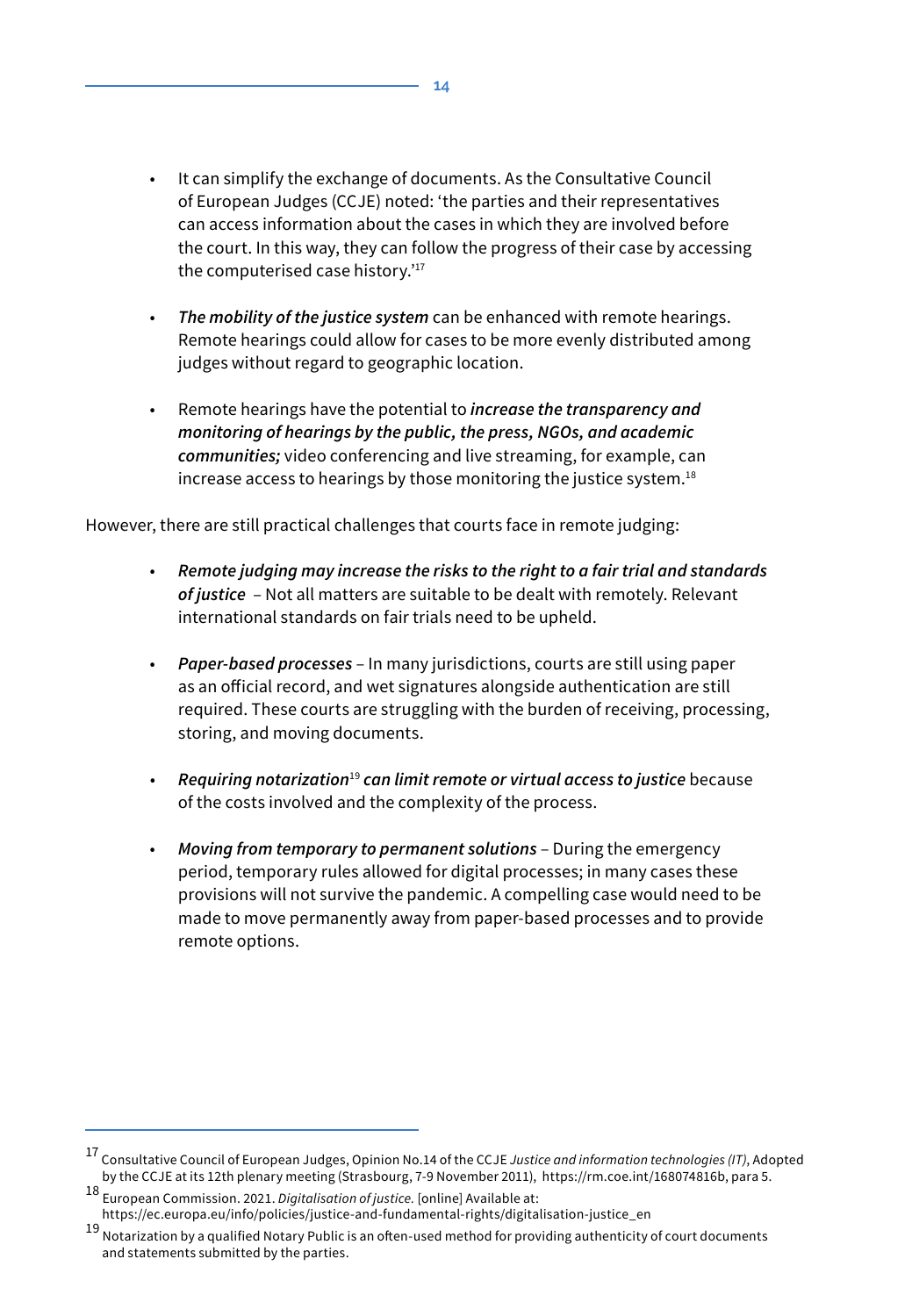- It can simplify the exchange of documents. As the Consultative Council of European Judges (CCJE) noted: 'the parties and their representatives can access information about the cases in which they are involved before the court. In this way, they can follow the progress of their case by accessing the computerised case history.'<sup>17</sup>
- *The mobility of the justice system* can be enhanced with remote hearings. Remote hearings could allow for cases to be more evenly distributed among judges without regard to geographic location.
- Remote hearings have the potential to *increase the transparency and monitoring of hearings by the public, the press, NGOs, and academic communities;* video conferencing and live streaming, for example, can increase access to hearings by those monitoring the justice system.<sup>18</sup>

However, there are still practical challenges that courts face in remote judging:

- *Remote judging may increase the risks to the right to a fair trial and standards of justice* – Not all matters are suitable to be dealt with remotely. Relevant international standards on fair trials need to be upheld.
- *Paper-based processes* In many jurisdictions, courts are still using paper as an official record, and wet signatures alongside authentication are still required. These courts are struggling with the burden of receiving, processing, storing, and moving documents.
- *Requiring notarization*<sup>19</sup> *can limit remote or virtual access to justice* because of the costs involved and the complexity of the process.
- *Moving from temporary to permanent solutions* During the emergency period, temporary rules allowed for digital processes; in many cases these provisions will not survive the pandemic. A compelling case would need to be made to move permanently away from paper-based processes and to provide remote options.

<sup>17</sup> Consultative Council of European Judges, Opinion No.14 of the CCJE *Justice and information technologies (IT)*, Adopted by the CCJE at its 12th plenary meeting (Strasbourg, 7-9 November 2011), https://rm.coe.int/168074816b, para 5.

<sup>18</sup> European Commission. 2021. *Digitalisation of justice.* [online] Available at: https://ec.europa.eu/info/policies/justice-and-fundamental-rights/digitalisation-justice\_en

<sup>19</sup> Notarization by a qualified Notary Public is an often-used method for providing authenticity of court documents and statements submitted by the parties.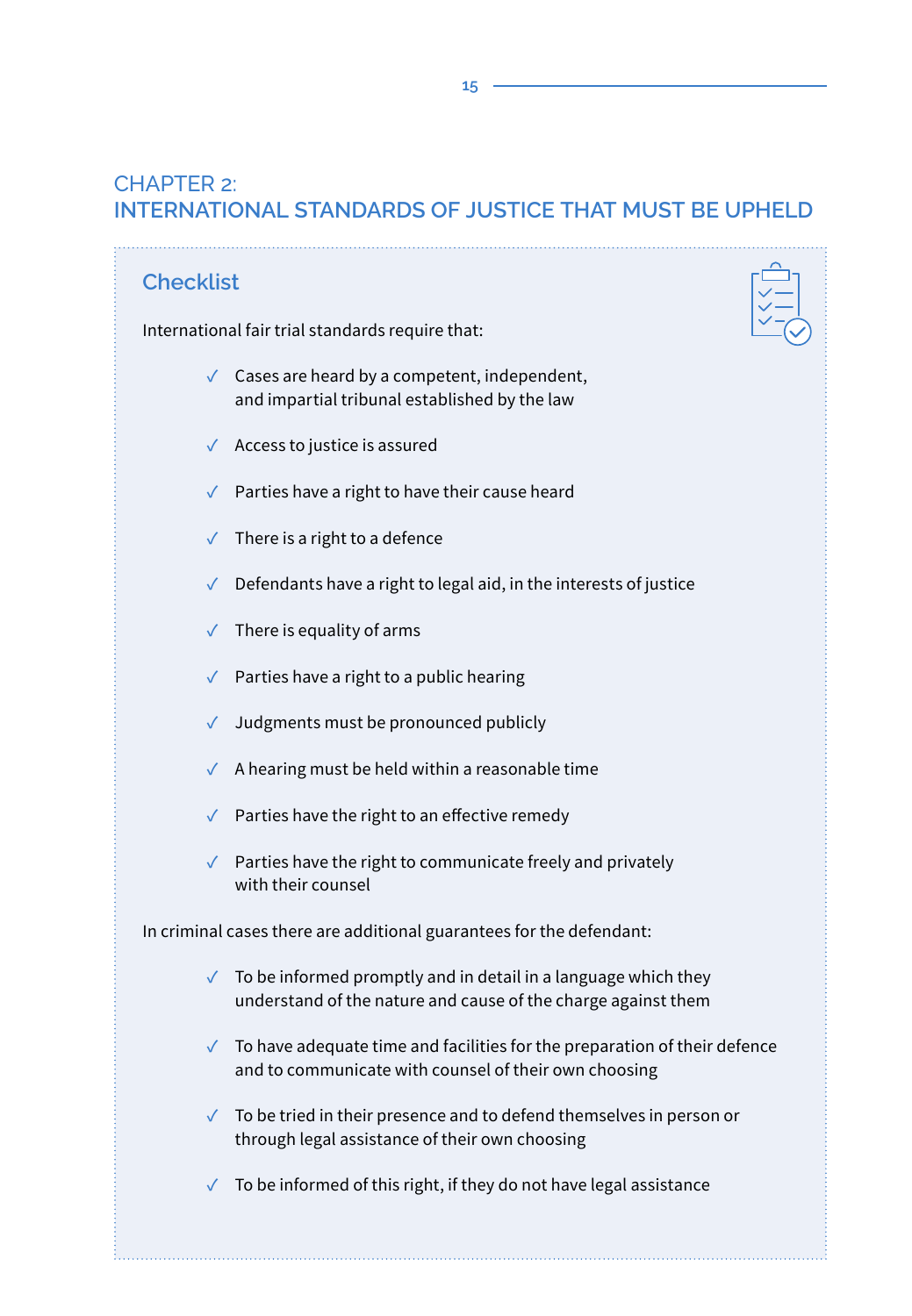# CHAPTER 2: **INTERNATIONAL STANDARDS OF JUSTICE THAT MUST BE UPHELD**

| <b>Checklist</b>                                                     |                                                                                                                                                      |  |  |
|----------------------------------------------------------------------|------------------------------------------------------------------------------------------------------------------------------------------------------|--|--|
| International fair trial standards require that:                     |                                                                                                                                                      |  |  |
|                                                                      | $\checkmark$ Cases are heard by a competent, independent,<br>and impartial tribunal established by the law                                           |  |  |
| $\checkmark$                                                         | Access to justice is assured                                                                                                                         |  |  |
| $\checkmark$                                                         | Parties have a right to have their cause heard                                                                                                       |  |  |
| $\checkmark$                                                         | There is a right to a defence                                                                                                                        |  |  |
| $\checkmark$                                                         | Defendants have a right to legal aid, in the interests of justice                                                                                    |  |  |
| $\checkmark$                                                         | There is equality of arms                                                                                                                            |  |  |
| ✓                                                                    | Parties have a right to a public hearing                                                                                                             |  |  |
| ✓                                                                    | Judgments must be pronounced publicly                                                                                                                |  |  |
| $\checkmark$                                                         | A hearing must be held within a reasonable time                                                                                                      |  |  |
| $\checkmark$                                                         | Parties have the right to an effective remedy                                                                                                        |  |  |
| $\checkmark$                                                         | Parties have the right to communicate freely and privately<br>with their counsel                                                                     |  |  |
| In criminal cases there are additional guarantees for the defendant: |                                                                                                                                                      |  |  |
|                                                                      | $\sqrt{\phantom{a}}$ To be informed promptly and in detail in a language which they<br>understand of the nature and cause of the charge against them |  |  |
| $\checkmark$                                                         | To have adequate time and facilities for the preparation of their defence<br>and to communicate with counsel of their own choosing                   |  |  |
| $\checkmark$                                                         | To be tried in their presence and to defend themselves in person or<br>through legal assistance of their own choosing                                |  |  |
| ✓                                                                    | To be informed of this right, if they do not have legal assistance                                                                                   |  |  |
|                                                                      |                                                                                                                                                      |  |  |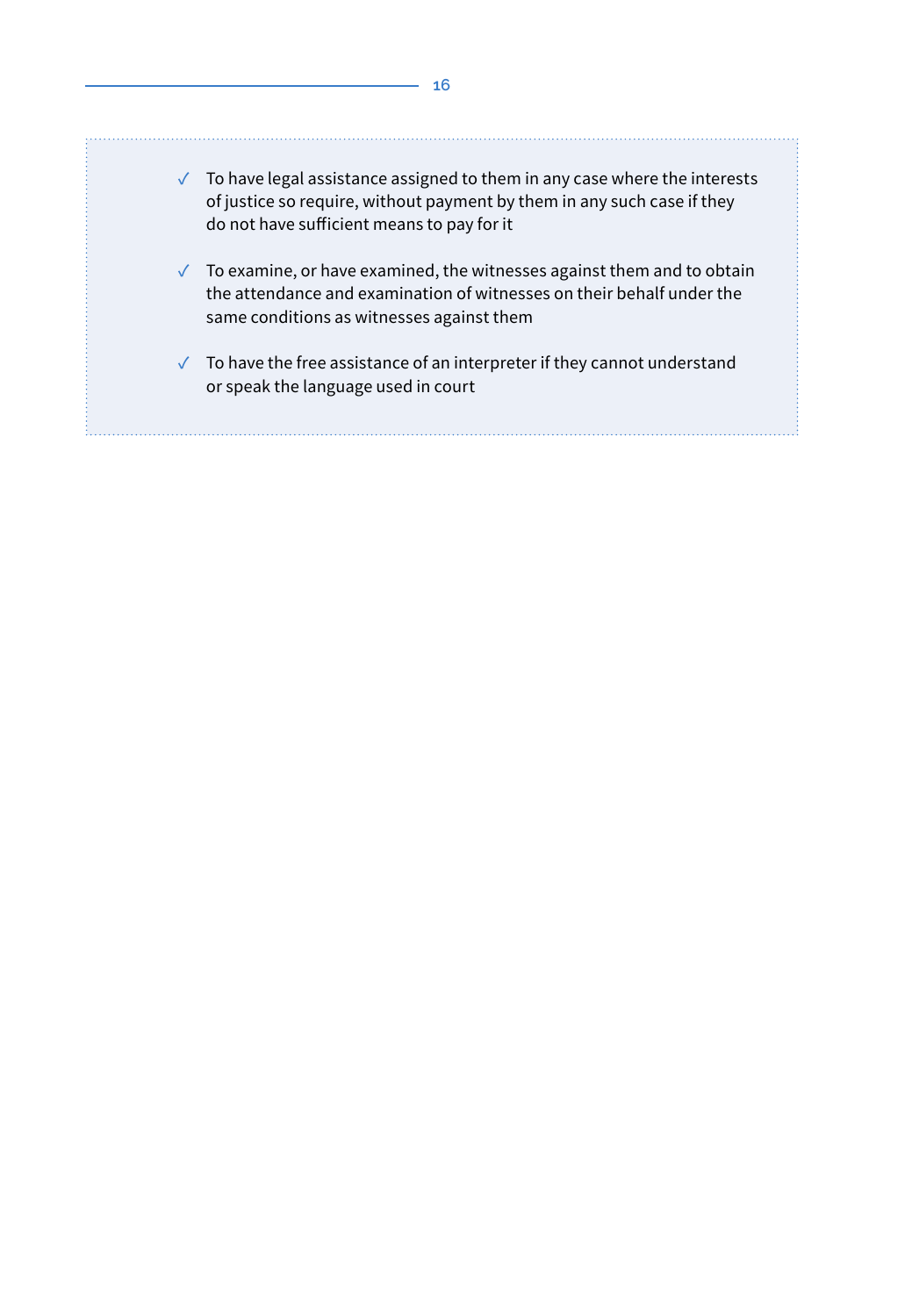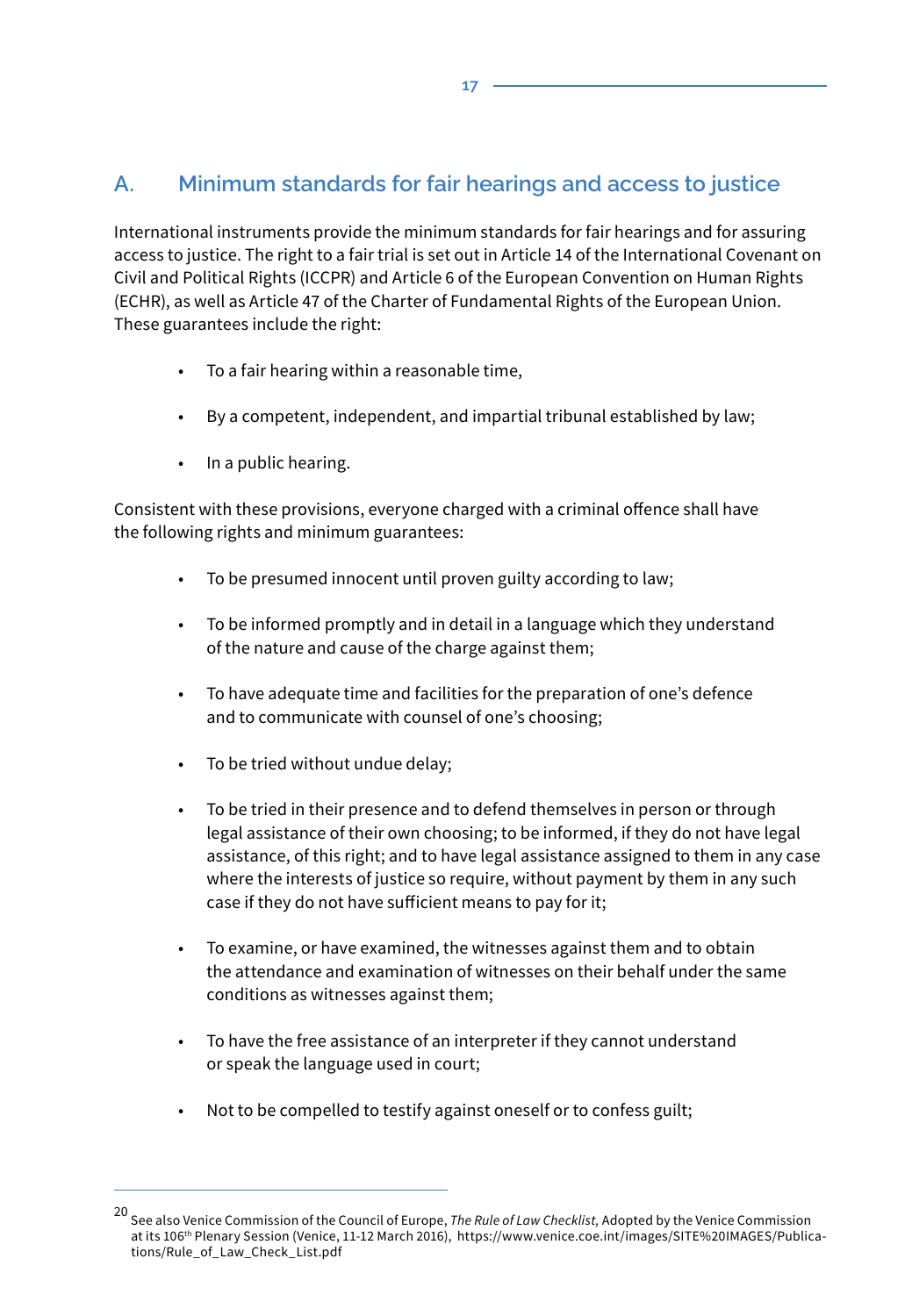# **A. Minimum standards for fair hearings and access to justice**

International instruments provide the minimum standards for fair hearings and for assuring access to justice. The right to a fair trial is set out in Article 14 of the International Covenant on Civil and Political Rights (ICCPR) and Article 6 of the European Convention on Human Rights (ECHR), as well as Article 47 of the Charter of Fundamental Rights of the European Union. These guarantees include the right:

- To a fair hearing within a reasonable time,
- By a competent, independent, and impartial tribunal established by law;
- In a public hearing.

Consistent with these provisions, everyone charged with a criminal offence shall have the following rights and minimum guarantees:

- To be presumed innocent until proven guilty according to law;
- To be informed promptly and in detail in a language which they understand of the nature and cause of the charge against them;
- To have adequate time and facilities for the preparation of one's defence and to communicate with counsel of one's choosing;
- To be tried without undue delay:
- To be tried in their presence and to defend themselves in person or through legal assistance of their own choosing; to be informed, if they do not have legal assistance, of this right; and to have legal assistance assigned to them in any case where the interests of justice so require, without payment by them in any such case if they do not have sufficient means to pay for it;
- To examine, or have examined, the witnesses against them and to obtain the attendance and examination of witnesses on their behalf under the same conditions as witnesses against them;
- To have the free assistance of an interpreter if they cannot understand or speak the language used in court;
- Not to be compelled to testify against oneself or to confess guilt;

**17**

<sup>20</sup> See also Venice Commission of the Council of Europe, *The Rule of Law Checklist,* Adopted by the Venice Commission at its 106th Plenary Session (Venice, 11-12 March 2016), https://www.venice.coe.int/images/SITE%20IMAGES/Publications/Rule\_of\_Law\_Check\_List.pdf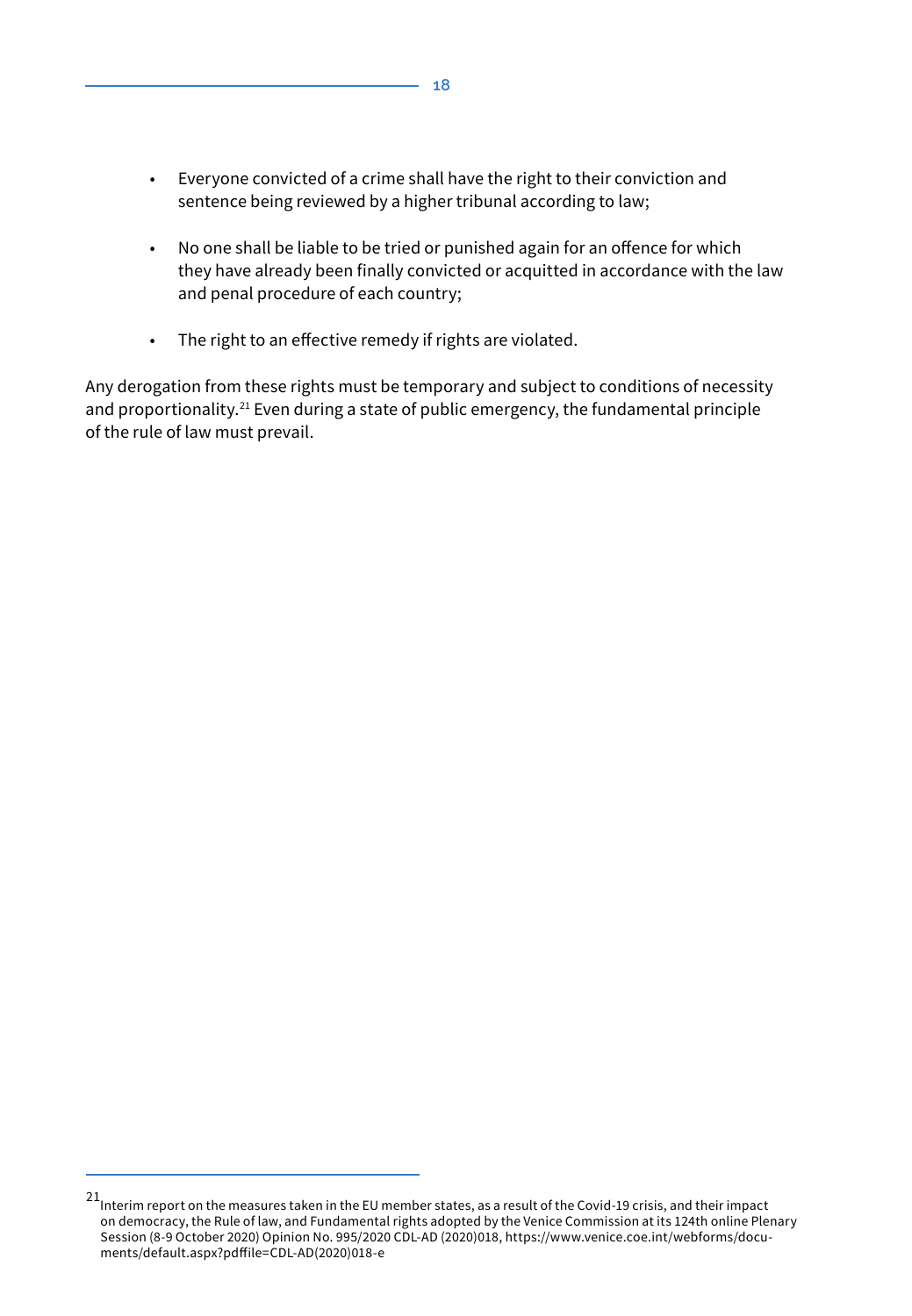- Everyone convicted of a crime shall have the right to their conviction and sentence being reviewed by a higher tribunal according to law;
- No one shall be liable to be tried or punished again for an offence for which they have already been finally convicted or acquitted in accordance with the law and penal procedure of each country;
- The right to an effective remedy if rights are violated.

Any derogation from these rights must be temporary and subject to conditions of necessity and proportionality.<sup>21</sup> Even during a state of public emergency, the fundamental principle of the rule of law must prevail.

<sup>&</sup>lt;sup>21</sup>Interim report on the measures taken in the EU member states, as a result of the Covid-19 crisis, and their impact on democracy, the Rule of law, and Fundamental rights adopted by the Venice Commission at its 124th online Plenary Session (8-9 October 2020) Opinion No. 995/2020 CDL-AD (2020)018, https://www.venice.coe.int/webforms/documents/default.aspx?pdffile=CDL-AD(2020)018-e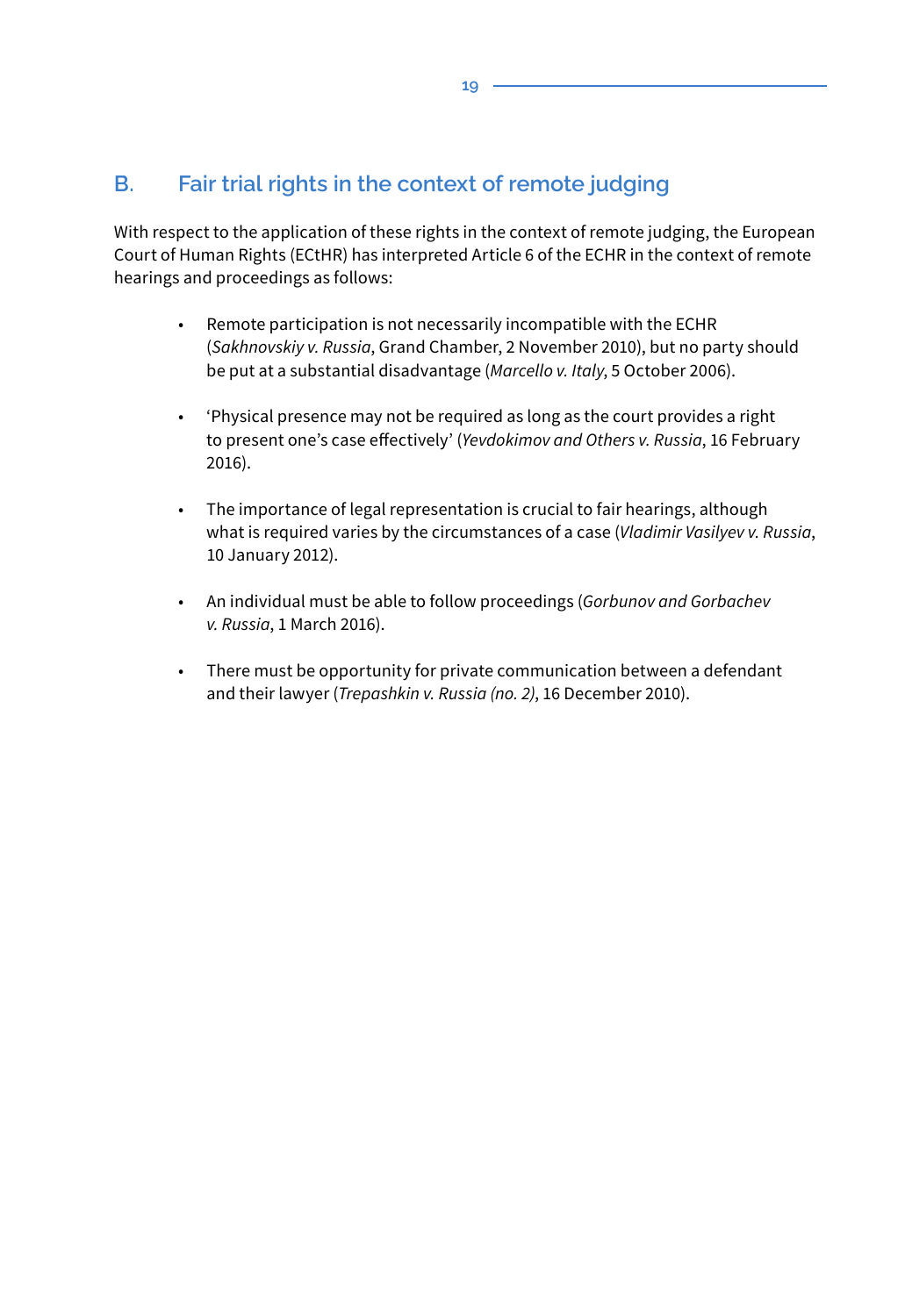# **B. Fair trial rights in the context of remote judging**

With respect to the application of these rights in the context of remote judging, the European Court of Human Rights (ECtHR) has interpreted Article 6 of the ECHR in the context of remote hearings and proceedings as follows:

- Remote participation is not necessarily incompatible with the ECHR (*Sakhnovskiy v. Russia*, Grand Chamber, 2 November 2010), but no party should be put at a substantial disadvantage (*Marcello v. Italy*, 5 October 2006).
- 'Physical presence may not be required as long as the court provides a right to present one's case effectively' (*Yevdokimov and Others v. Russia*, 16 February 2016).
- The importance of legal representation is crucial to fair hearings, although what is required varies by the circumstances of a case (*Vladimir Vasilyev v. Russia*, 10 January 2012).
- An individual must be able to follow proceedings (*Gorbunov and Gorbachev v. Russia*, 1 March 2016).
- There must be opportunity for private communication between a defendant and their lawyer (*Trepashkin v. Russia (no. 2)*, 16 December 2010).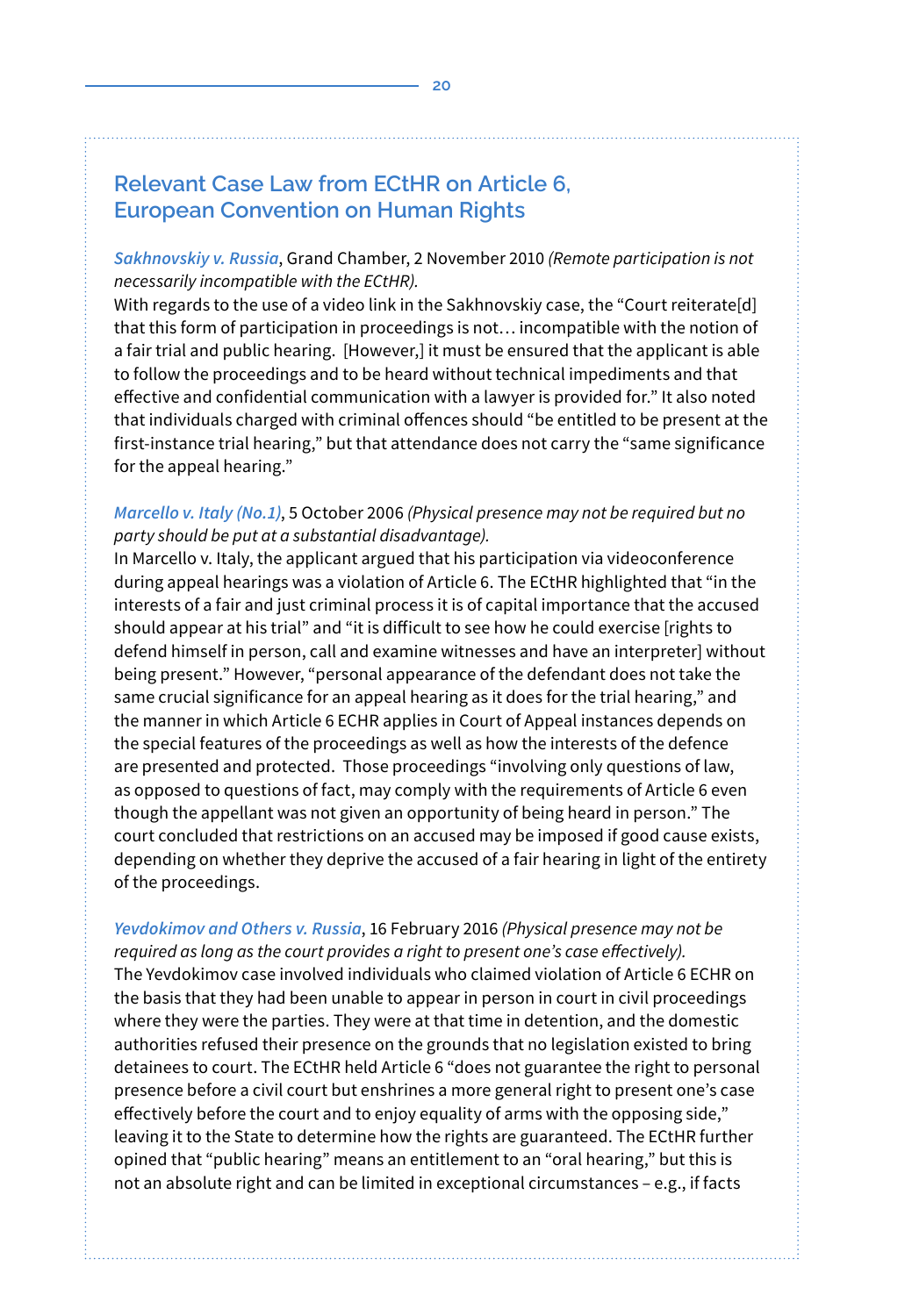# **Relevant Case Law from ECtHR on Article 6, European Convention on Human Rights**

*Sakhnovskiy v. Russia*, Grand Chamber, 2 November 2010 *(Remote participation is not necessarily incompatible with the ECtHR).*

With regards to the use of a video link in the Sakhnovskiy case, the "Court reiterate[d] that this form of participation in proceedings is not… incompatible with the notion of a fair trial and public hearing. [However,] it must be ensured that the applicant is able to follow the proceedings and to be heard without technical impediments and that effective and confidential communication with a lawyer is provided for." It also noted that individuals charged with criminal offences should "be entitled to be present at the first-instance trial hearing," but that attendance does not carry the "same significance for the appeal hearing."

#### *Marcello v. Italy (No.1)*, 5 October 2006 *(Physical presence may not be required but no party should be put at a substantial disadvantage).*

In Marcello v. Italy, the applicant argued that his participation via videoconference during appeal hearings was a violation of Article 6. The ECtHR highlighted that "in the interests of a fair and just criminal process it is of capital importance that the accused should appear at his trial" and "it is difficult to see how he could exercise [rights to defend himself in person, call and examine witnesses and have an interpreter] without being present." However, "personal appearance of the defendant does not take the same crucial significance for an appeal hearing as it does for the trial hearing," and the manner in which Article 6 ECHR applies in Court of Appeal instances depends on the special features of the proceedings as well as how the interests of the defence are presented and protected. Those proceedings "involving only questions of law, as opposed to questions of fact, may comply with the requirements of Article 6 even though the appellant was not given an opportunity of being heard in person." The court concluded that restrictions on an accused may be imposed if good cause exists, depending on whether they deprive the accused of a fair hearing in light of the entirety of the proceedings.

*Yevdokimov and Others v. Russia*, 16 February 2016 *(Physical presence may not be required as long as the court provides a right to present one's case effectively).* The Yevdokimov case involved individuals who claimed violation of Article 6 ECHR on the basis that they had been unable to appear in person in court in civil proceedings where they were the parties. They were at that time in detention, and the domestic authorities refused their presence on the grounds that no legislation existed to bring detainees to court. The ECtHR held Article 6 "does not guarantee the right to personal presence before a civil court but enshrines a more general right to present one's case effectively before the court and to enjoy equality of arms with the opposing side," leaving it to the State to determine how the rights are guaranteed. The ECtHR further opined that "public hearing" means an entitlement to an "oral hearing," but this is not an absolute right and can be limited in exceptional circumstances – e.g., if facts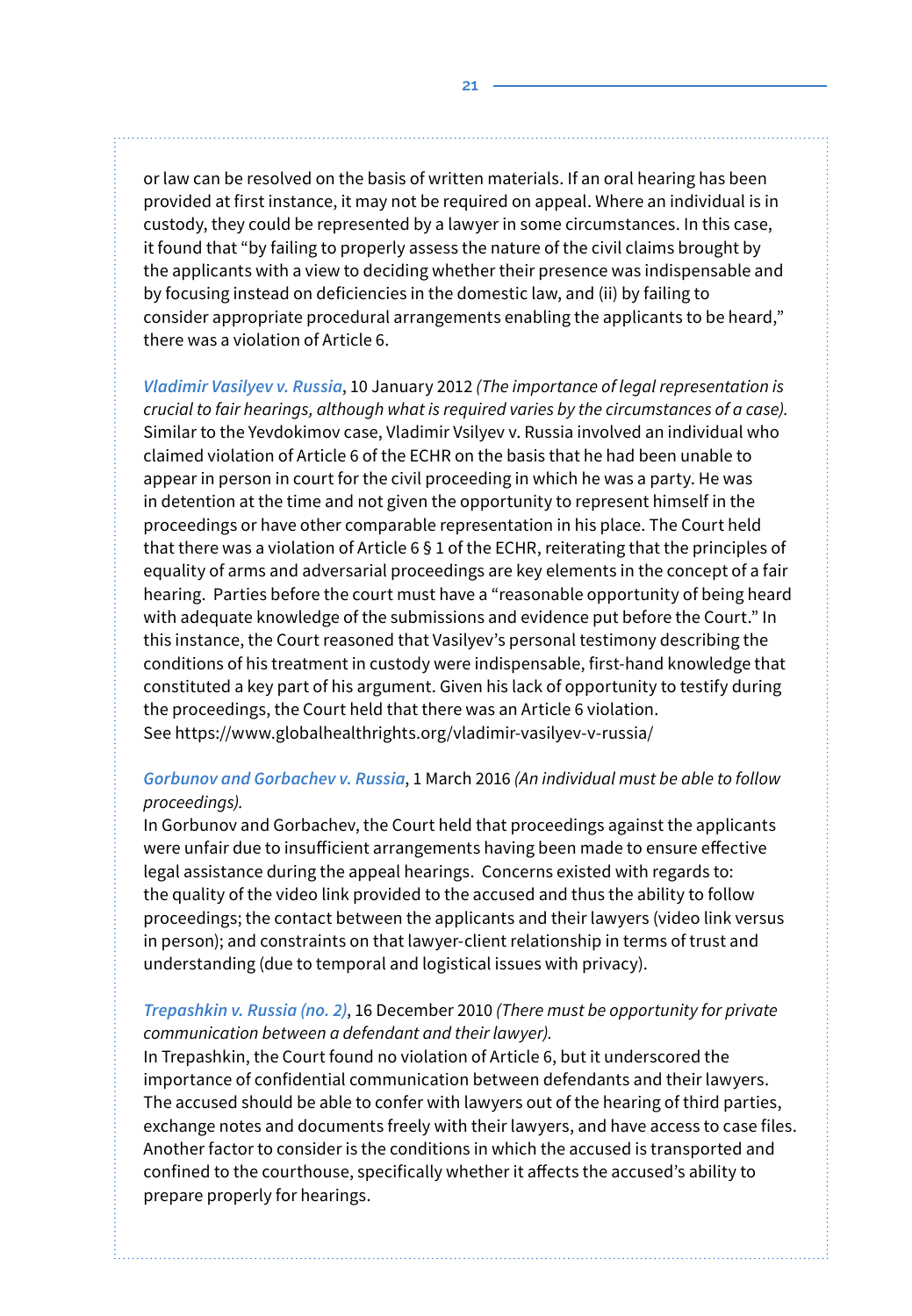or law can be resolved on the basis of written materials. If an oral hearing has been provided at first instance, it may not be required on appeal. Where an individual is in custody, they could be represented by a lawyer in some circumstances. In this case, it found that "by failing to properly assess the nature of the civil claims brought by the applicants with a view to deciding whether their presence was indispensable and by focusing instead on deficiencies in the domestic law, and (ii) by failing to consider appropriate procedural arrangements enabling the applicants to be heard," there was a violation of Article 6.

*Vladimir Vasilyev v. Russia*, 10 January 2012 *(The importance of legal representation is crucial to fair hearings, although what is required varies by the circumstances of a case).* Similar to the Yevdokimov case, Vladimir Vsilyev v. Russia involved an individual who claimed violation of Article 6 of the ECHR on the basis that he had been unable to appear in person in court for the civil proceeding in which he was a party. He was in detention at the time and not given the opportunity to represent himself in the proceedings or have other comparable representation in his place. The Court held that there was a violation of Article 6 § 1 of the ECHR, reiterating that the principles of equality of arms and adversarial proceedings are key elements in the concept of a fair hearing. Parties before the court must have a "reasonable opportunity of being heard with adequate knowledge of the submissions and evidence put before the Court." In this instance, the Court reasoned that Vasilyev's personal testimony describing the conditions of his treatment in custody were indispensable, first-hand knowledge that constituted a key part of his argument. Given his lack of opportunity to testify during the proceedings, the Court held that there was an Article 6 violation. See https://www.globalhealthrights.org/vladimir-vasilyev-v-russia/

#### *Gorbunov and Gorbachev v. Russia*, 1 March 2016 *(An individual must be able to follow proceedings).*

In Gorbunov and Gorbachev, the Court held that proceedings against the applicants were unfair due to insufficient arrangements having been made to ensure effective legal assistance during the appeal hearings. Concerns existed with regards to: the quality of the video link provided to the accused and thus the ability to follow proceedings; the contact between the applicants and their lawyers (video link versus in person); and constraints on that lawyer-client relationship in terms of trust and understanding (due to temporal and logistical issues with privacy).

#### *Trepashkin v. Russia (no. 2)*, 16 December 2010 *(There must be opportunity for private communication between a defendant and their lawyer).*

In Trepashkin, the Court found no violation of Article 6, but it underscored the importance of confidential communication between defendants and their lawyers. The accused should be able to confer with lawyers out of the hearing of third parties, exchange notes and documents freely with their lawyers, and have access to case files. Another factor to consider is the conditions in which the accused is transported and confined to the courthouse, specifically whether it affects the accused's ability to prepare properly for hearings.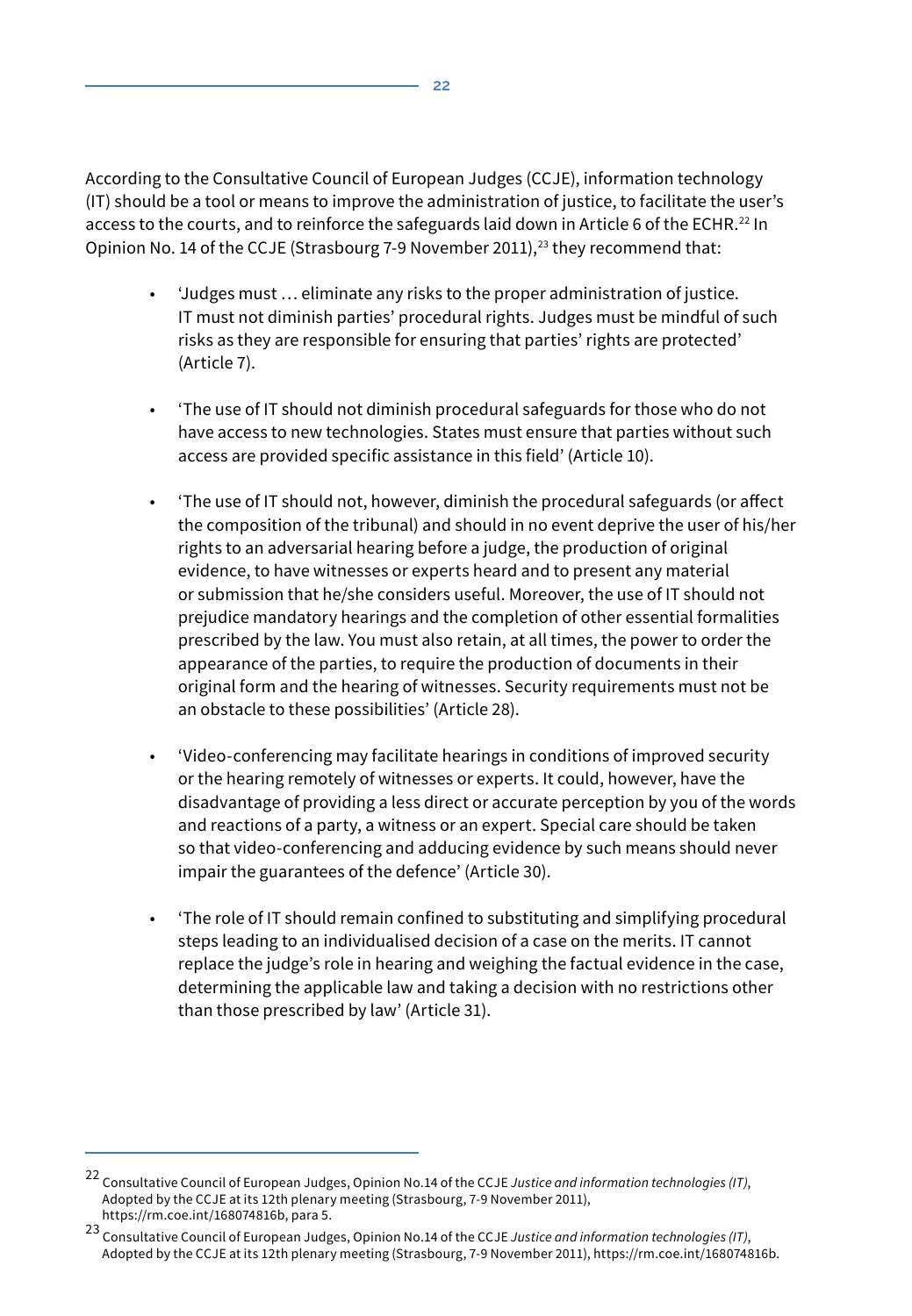According to the Consultative Council of European Judges (CCJE), information technology (IT) should be a tool or means to improve the administration of justice, to facilitate the user's access to the courts, and to reinforce the safeguards laid down in Article 6 of the ECHR.<sup>22</sup> In Opinion No. 14 of the CCJE (Strasbourg 7-9 November 2011).<sup>23</sup> they recommend that:

- 'Judges must … eliminate any risks to the proper administration of justice. IT must not diminish parties' procedural rights. Judges must be mindful of such risks as they are responsible for ensuring that parties' rights are protected' (Article 7).
- 'The use of IT should not diminish procedural safeguards for those who do not have access to new technologies. States must ensure that parties without such access are provided specific assistance in this field' (Article 10).
- 'The use of IT should not, however, diminish the procedural safeguards (or affect the composition of the tribunal) and should in no event deprive the user of his/her rights to an adversarial hearing before a judge, the production of original evidence, to have witnesses or experts heard and to present any material or submission that he/she considers useful. Moreover, the use of IT should not prejudice mandatory hearings and the completion of other essential formalities prescribed by the law. You must also retain, at all times, the power to order the appearance of the parties, to require the production of documents in their original form and the hearing of witnesses. Security requirements must not be an obstacle to these possibilities' (Article 28).
- 'Video-conferencing may facilitate hearings in conditions of improved security or the hearing remotely of witnesses or experts. It could, however, have the disadvantage of providing a less direct or accurate perception by you of the words and reactions of a party, a witness or an expert. Special care should be taken so that video-conferencing and adducing evidence by such means should never impair the guarantees of the defence' (Article 30).
- 'The role of IT should remain confined to substituting and simplifying procedural steps leading to an individualised decision of a case on the merits. IT cannot replace the judge's role in hearing and weighing the factual evidence in the case, determining the applicable law and taking a decision with no restrictions other than those prescribed by law' (Article 31).

<sup>22</sup> Consultative Council of European Judges, Opinion No.14 of the CCJE *Justice and information technologies (IT)*, Adopted by the CCJE at its 12th plenary meeting (Strasbourg, 7-9 November 2011), https://rm.coe.int/168074816b, para 5.

<sup>23</sup> Consultative Council of European Judges, Opinion No.14 of the CCJE *Justice and information technologies (IT)*, Adopted by the CCJE at its 12th plenary meeting (Strasbourg, 7-9 November 2011), https://rm.coe.int/168074816b.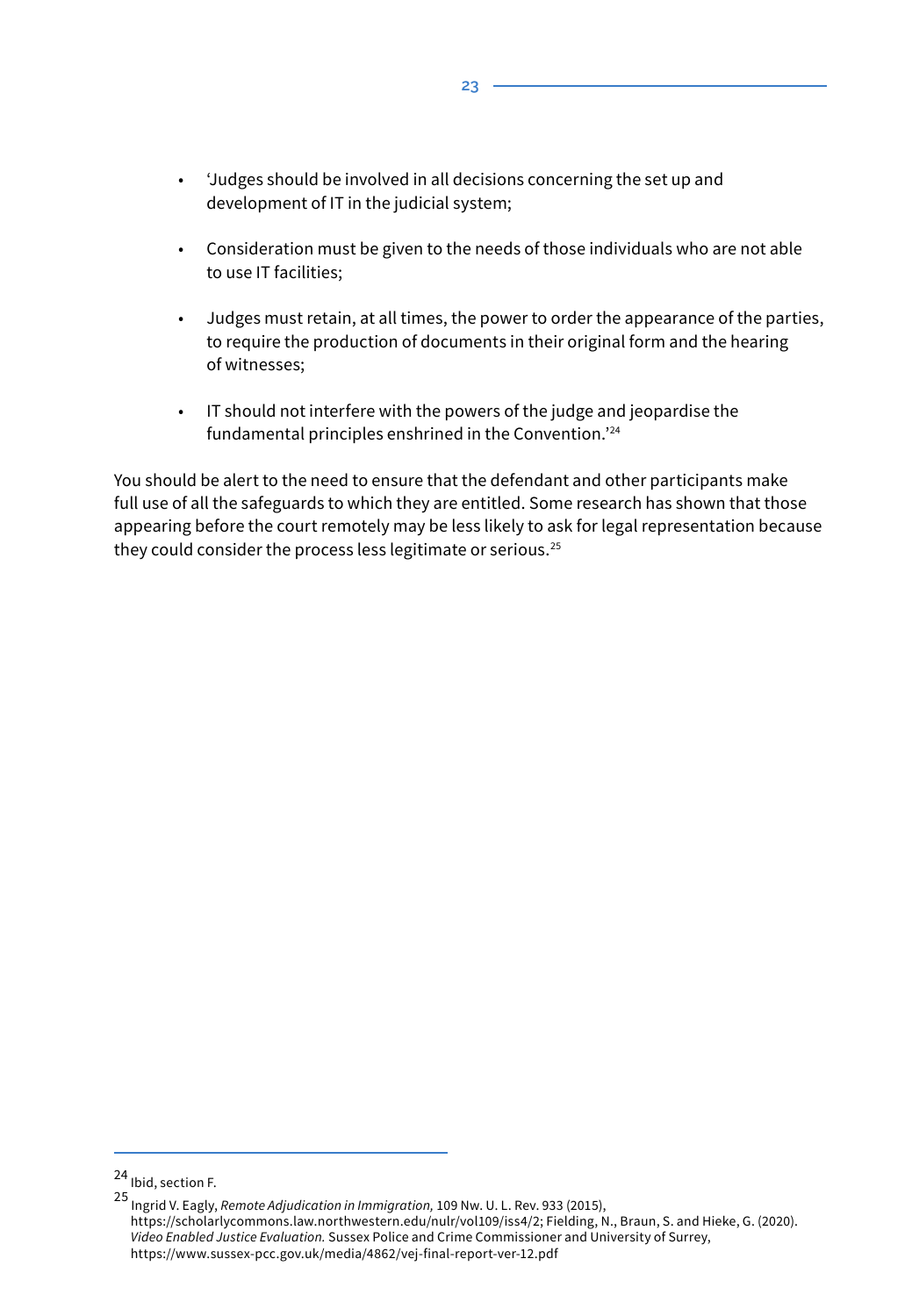- 'Judges should be involved in all decisions concerning the set up and development of IT in the judicial system;
- Consideration must be given to the needs of those individuals who are not able to use IT facilities;
- Judges must retain, at all times, the power to order the appearance of the parties, to require the production of documents in their original form and the hearing of witnesses;
- IT should not interfere with the powers of the judge and jeopardise the fundamental principles enshrined in the Convention.'<sup>24</sup>

You should be alert to the need to ensure that the defendant and other participants make full use of all the safeguards to which they are entitled. Some research has shown that those appearing before the court remotely may be less likely to ask for legal representation because they could consider the process less legitimate or serious.25

<sup>24</sup> Ibid, section F.

<sup>25</sup> Ingrid V. Eagly, *Remote Adjudication in Immigration,* 109 Nw. U. L. Rev. 933 (2015), https://scholarlycommons.law.northwestern.edu/nulr/vol109/iss4/2; Fielding, N., Braun, S. and Hieke, G. (2020). *Video Enabled Justice Evaluation.* Sussex Police and Crime Commissioner and University of Surrey, https://www.sussex-pcc.gov.uk/media/4862/vej-final-report-ver-12.pdf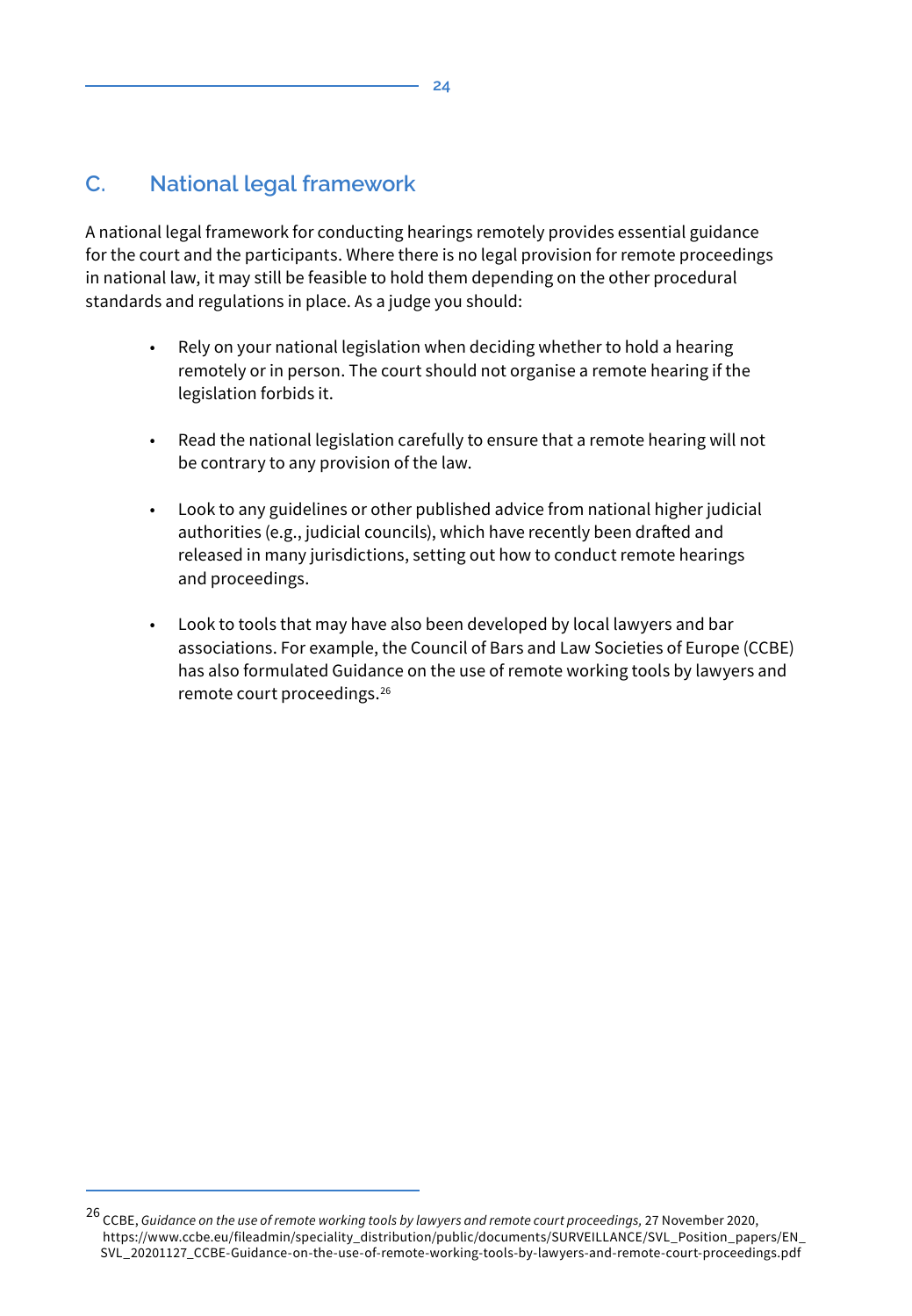# **C. National legal framework**

A national legal framework for conducting hearings remotely provides essential guidance for the court and the participants. Where there is no legal provision for remote proceedings in national law, it may still be feasible to hold them depending on the other procedural standards and regulations in place. As a judge you should:

- Rely on your national legislation when deciding whether to hold a hearing remotely or in person. The court should not organise a remote hearing if the legislation forbids it.
- Read the national legislation carefully to ensure that a remote hearing will not be contrary to any provision of the law.
- Look to any guidelines or other published advice from national higher judicial authorities (e.g., judicial councils), which have recently been drafted and released in many jurisdictions, setting out how to conduct remote hearings and proceedings.
- Look to tools that may have also been developed by local lawyers and bar associations. For example, the Council of Bars and Law Societies of Europe (CCBE) has also formulated Guidance on the use of remote working tools by lawyers and remote court proceedings.<sup>26</sup>

<sup>26</sup> CCBE, *Guidance on the use of remote working tools by lawyers and remote court proceedings,* 27 November 2020, https://www.ccbe.eu/fileadmin/speciality\_distribution/public/documents/SURVEILLANCE/SVL\_Position\_papers/EN SVL\_20201127\_CCBE-Guidance-on-the-use-of-remote-working-tools-by-lawyers-and-remote-court-proceedings.pdf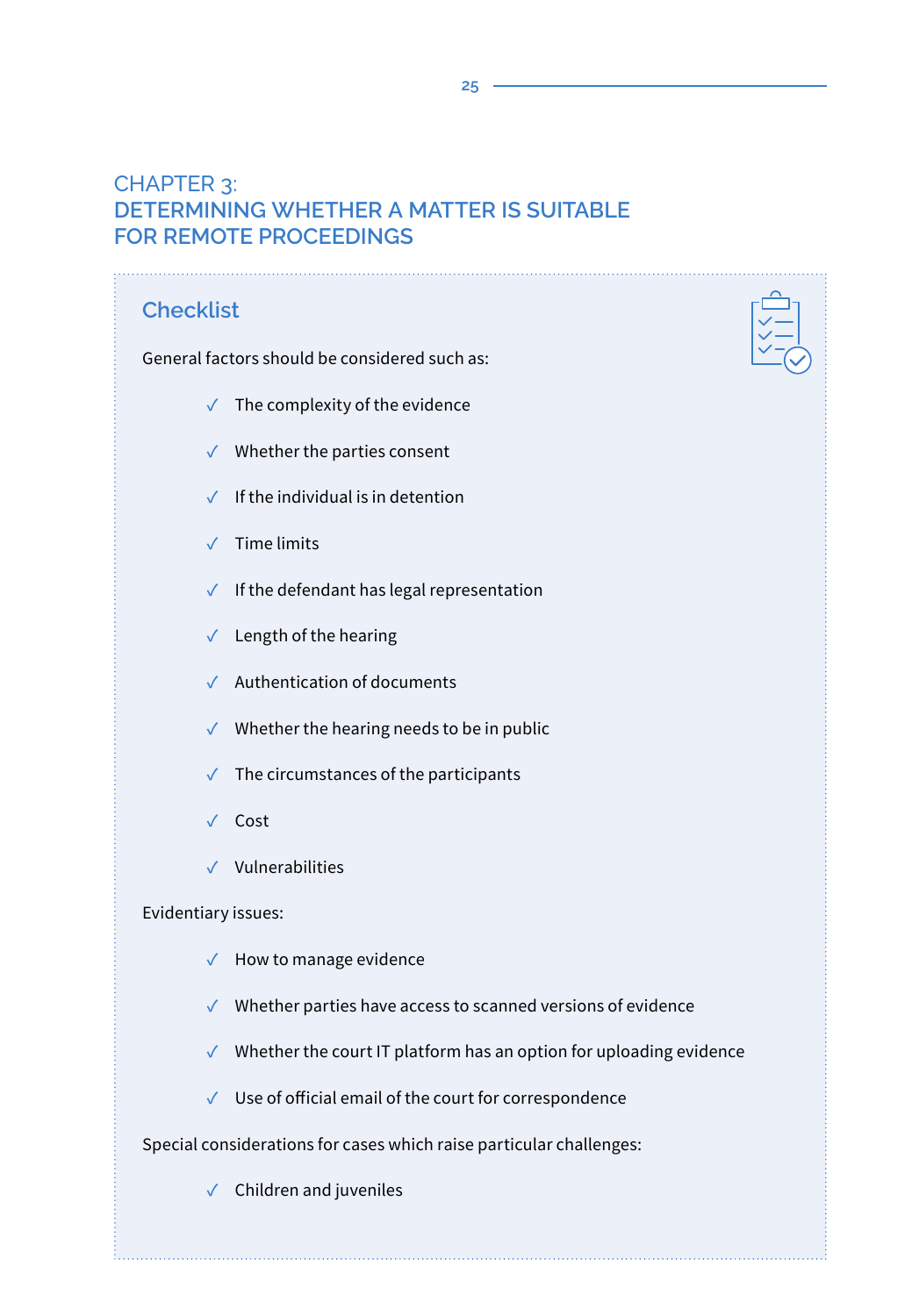# CHAPTER 3: **DETERMINING WHETHER A MATTER IS SUITABLE FOR REMOTE PROCEEDINGS**

# **Checklist**

General factors should be considered such as:

**✓** The complexity of the evidence

- **✓** Whether the parties consent
- **✓** If the individual is in detention
- **✓** Time limits
- **✓** If the defendant has legal representation
- **✓** Length of the hearing
- **✓** Authentication of documents
- **✓** Whether the hearing needs to be in public
- **✓** The circumstances of the participants
- **✓** Cost
- **✓** Vulnerabilities

Evidentiary issues:

- **✓** How to manage evidence
- **✓** Whether parties have access to scanned versions of evidence
- **✓** Whether the court IT platform has an option for uploading evidence
- **✓** Use of official email of the court for correspondence

#### Special considerations for cases which raise particular challenges:

**✓** Children and juveniles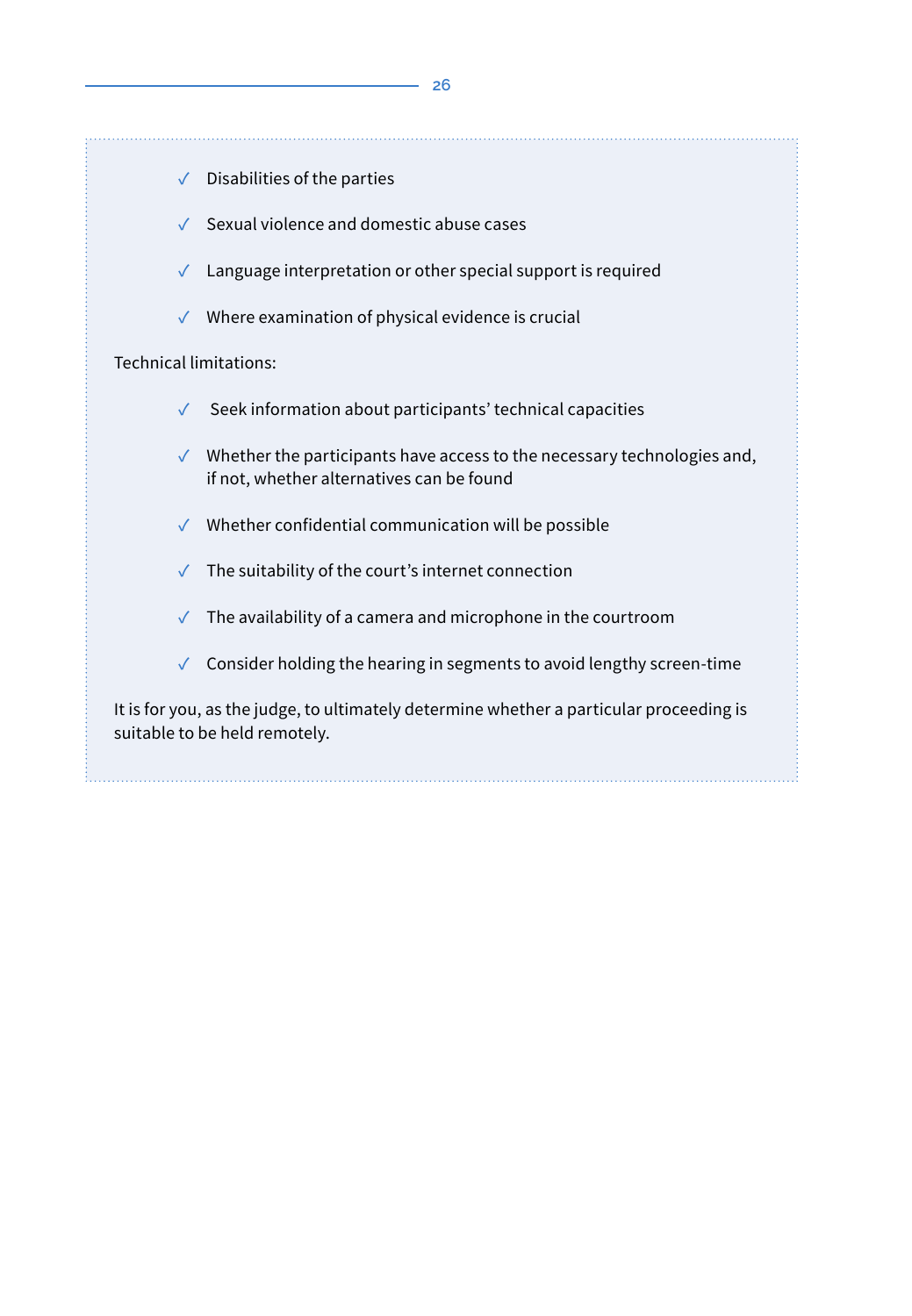- **✓** Disabilities of the parties
- **✓** Sexual violence and domestic abuse cases
- **✓** Language interpretation or other special support is required
- **✓** Where examination of physical evidence is crucial

#### Technical limitations:

- **✓** Seek information about participants' technical capacities
- **✓** Whether the participants have access to the necessary technologies and, if not, whether alternatives can be found
- **✓** Whether confidential communication will be possible
- **✓** The suitability of the court's internet connection
- **✓** The availability of a camera and microphone in the courtroom
- **✓** Consider holding the hearing in segments to avoid lengthy screen-time

It is for you, as the judge, to ultimately determine whether a particular proceeding is suitable to be held remotely.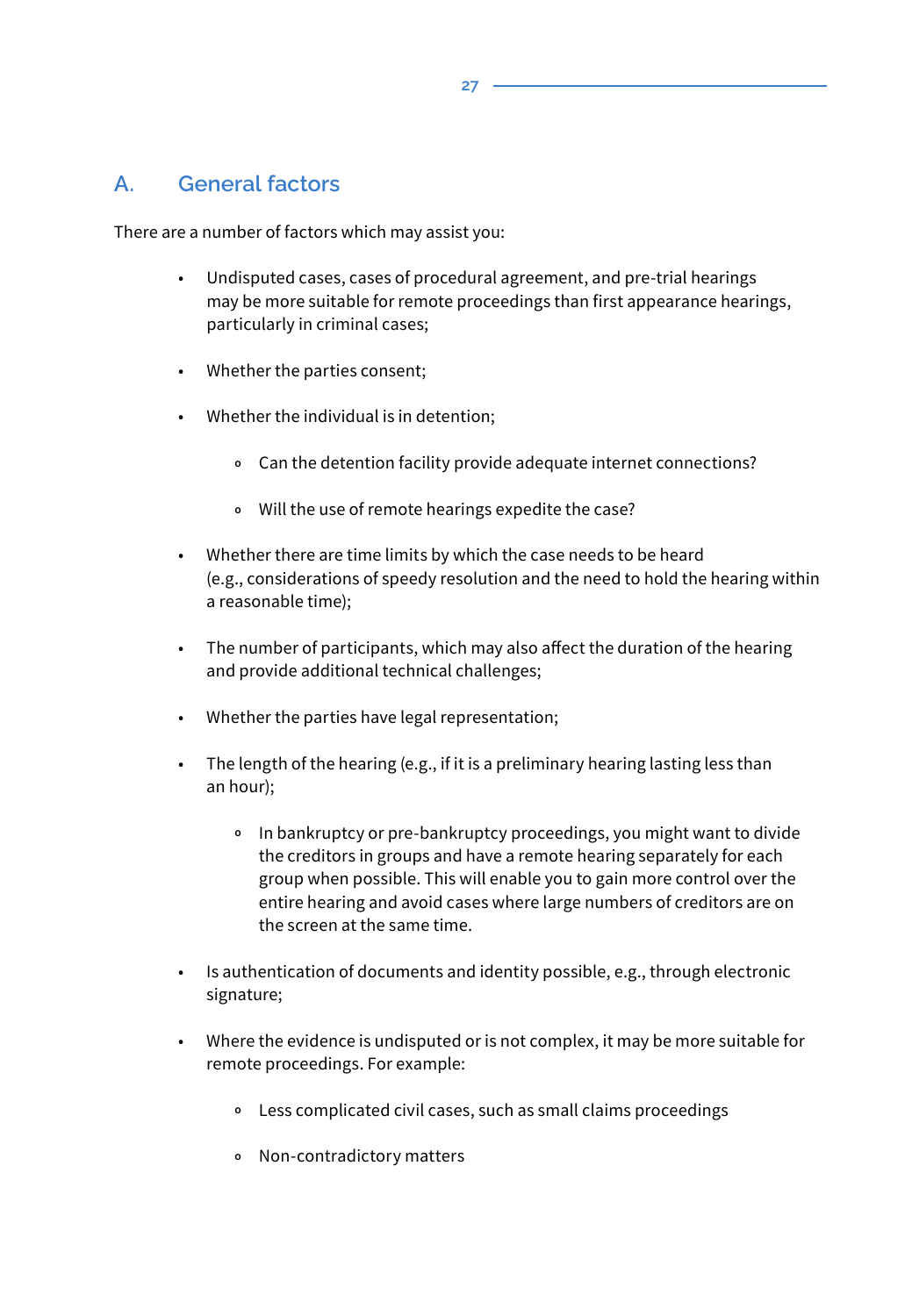### **A. General factors**

There are a number of factors which may assist you:

- Undisputed cases, cases of procedural agreement, and pre-trial hearings may be more suitable for remote proceedings than first appearance hearings, particularly in criminal cases;
- Whether the parties consent;
- Whether the individual is in detention;
	- **<sup>o</sup>** Can the detention facility provide adequate internet connections?
	- **<sup>o</sup>** Will the use of remote hearings expedite the case?
- Whether there are time limits by which the case needs to be heard (e.g., considerations of speedy resolution and the need to hold the hearing within a reasonable time);
- The number of participants, which may also affect the duration of the hearing and provide additional technical challenges;
- Whether the parties have legal representation;
- The length of the hearing (e.g., if it is a preliminary hearing lasting less than an hour);
	- **<sup>o</sup>** In bankruptcy or pre-bankruptcy proceedings, you might want to divide the creditors in groups and have a remote hearing separately for each group when possible. This will enable you to gain more control over the entire hearing and avoid cases where large numbers of creditors are on the screen at the same time.
- Is authentication of documents and identity possible, e.g., through electronic signature;
- Where the evidence is undisputed or is not complex, it may be more suitable for remote proceedings. For example:
	- **<sup>o</sup>** Less complicated civil cases, such as small claims proceedings
	- **<sup>o</sup>** Non-contradictory matters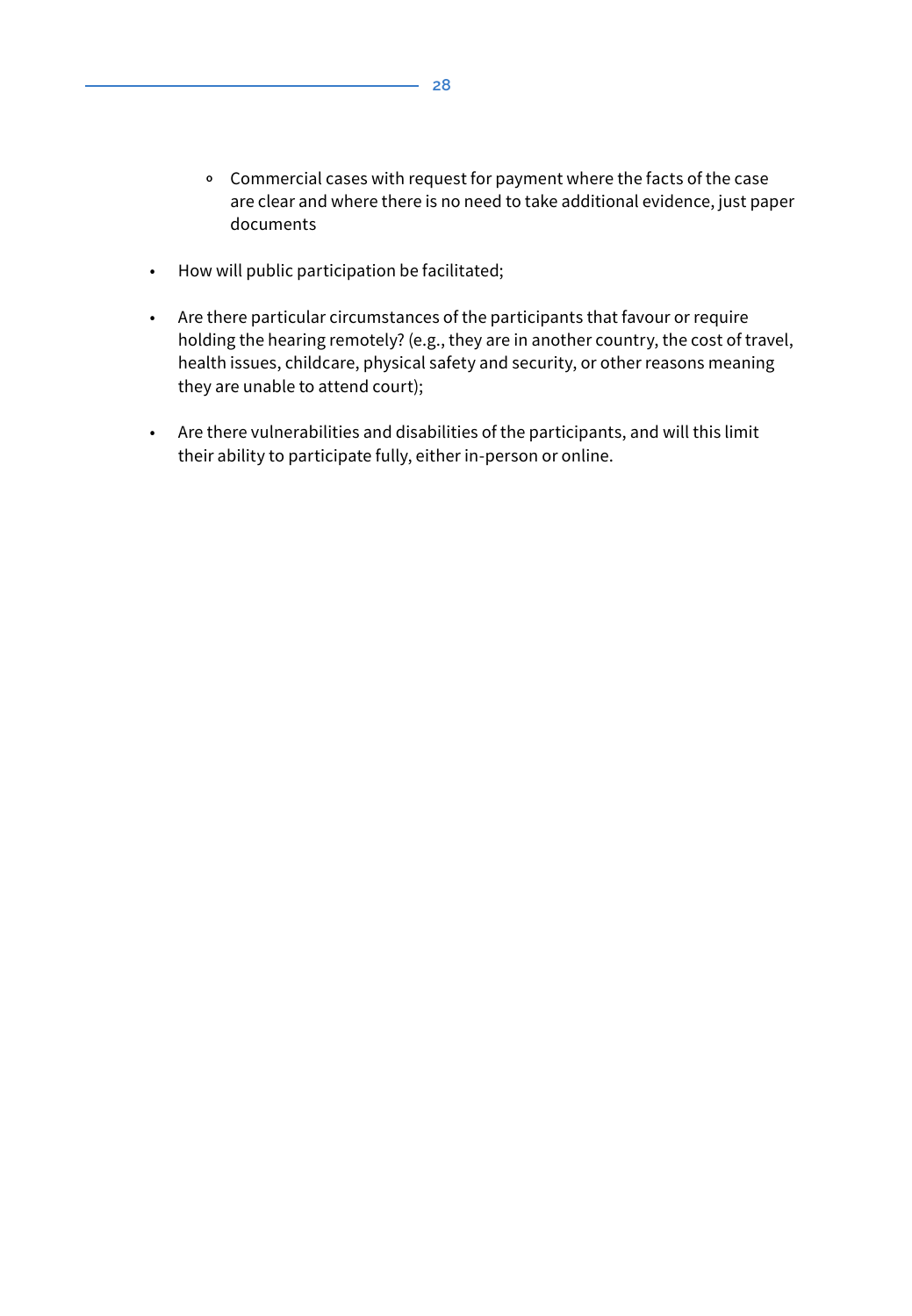- **<sup>o</sup>** Commercial cases with request for payment where the facts of the case are clear and where there is no need to take additional evidence, just paper documents
- How will public participation be facilitated;
- Are there particular circumstances of the participants that favour or require holding the hearing remotely? (e.g., they are in another country, the cost of travel, health issues, childcare, physical safety and security, or other reasons meaning they are unable to attend court);
- Are there vulnerabilities and disabilities of the participants, and will this limit their ability to participate fully, either in-person or online.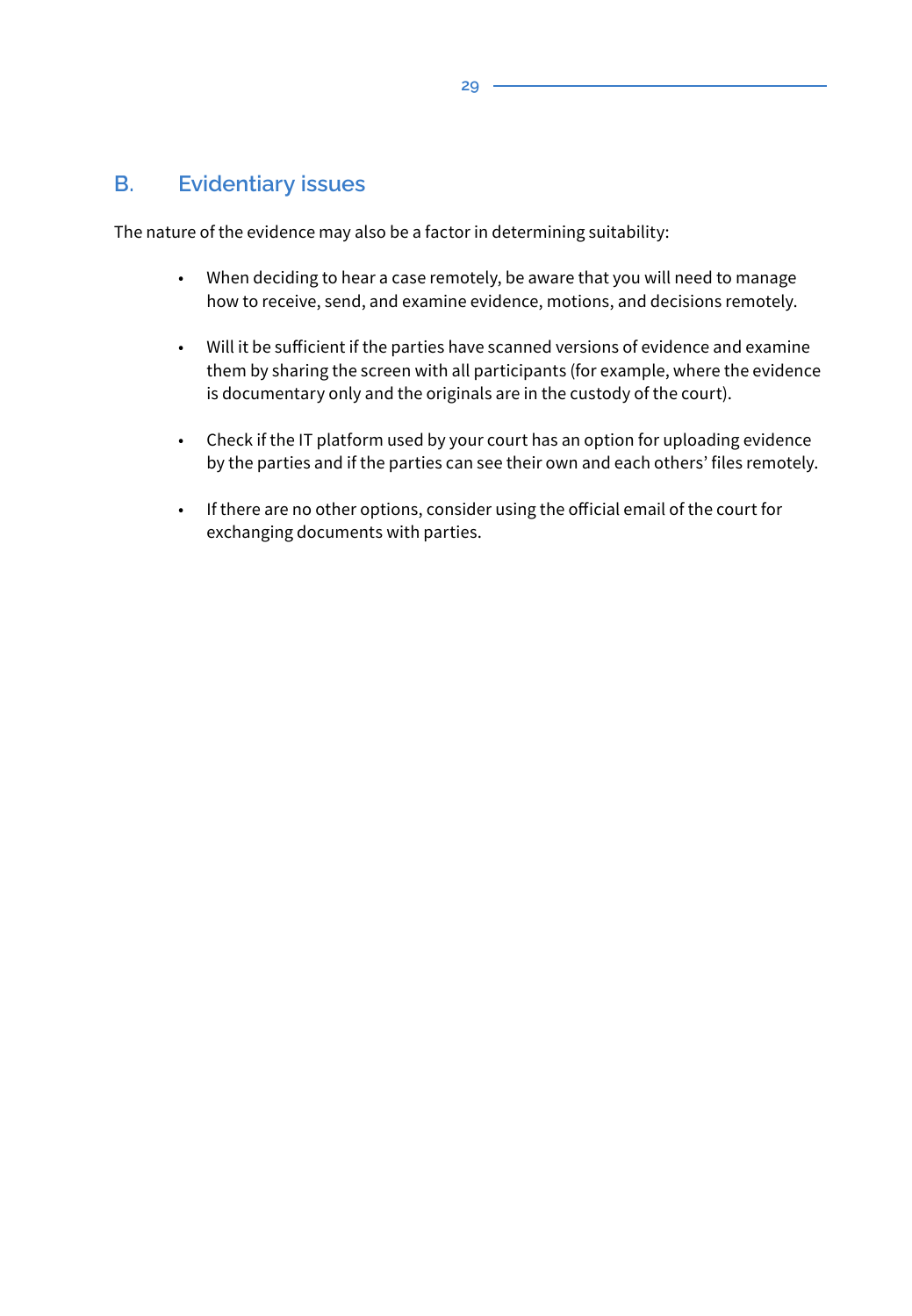### **B. Evidentiary issues**

The nature of the evidence may also be a factor in determining suitability:

- When deciding to hear a case remotely, be aware that you will need to manage how to receive, send, and examine evidence, motions, and decisions remotely.
- Will it be sufficient if the parties have scanned versions of evidence and examine them by sharing the screen with all participants (for example, where the evidence is documentary only and the originals are in the custody of the court).
- Check if the IT platform used by your court has an option for uploading evidence by the parties and if the parties can see their own and each others' files remotely.
- If there are no other options, consider using the official email of the court for exchanging documents with parties.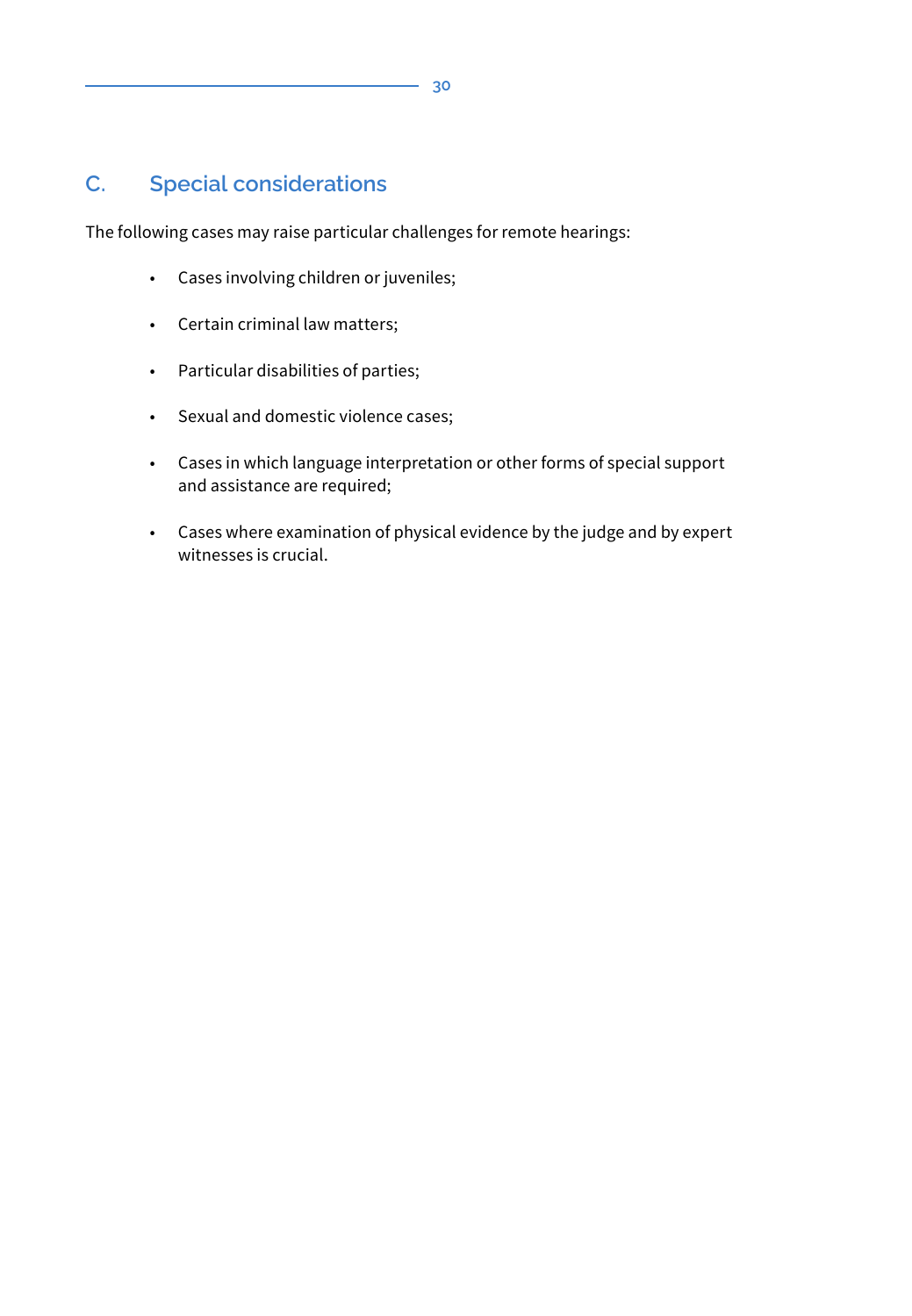# **C. Special considerations**

The following cases may raise particular challenges for remote hearings:

- Cases involving children or juveniles;
- Certain criminal law matters;
- Particular disabilities of parties;
- Sexual and domestic violence cases;
- Cases in which language interpretation or other forms of special support and assistance are required;
- Cases where examination of physical evidence by the judge and by expert witnesses is crucial.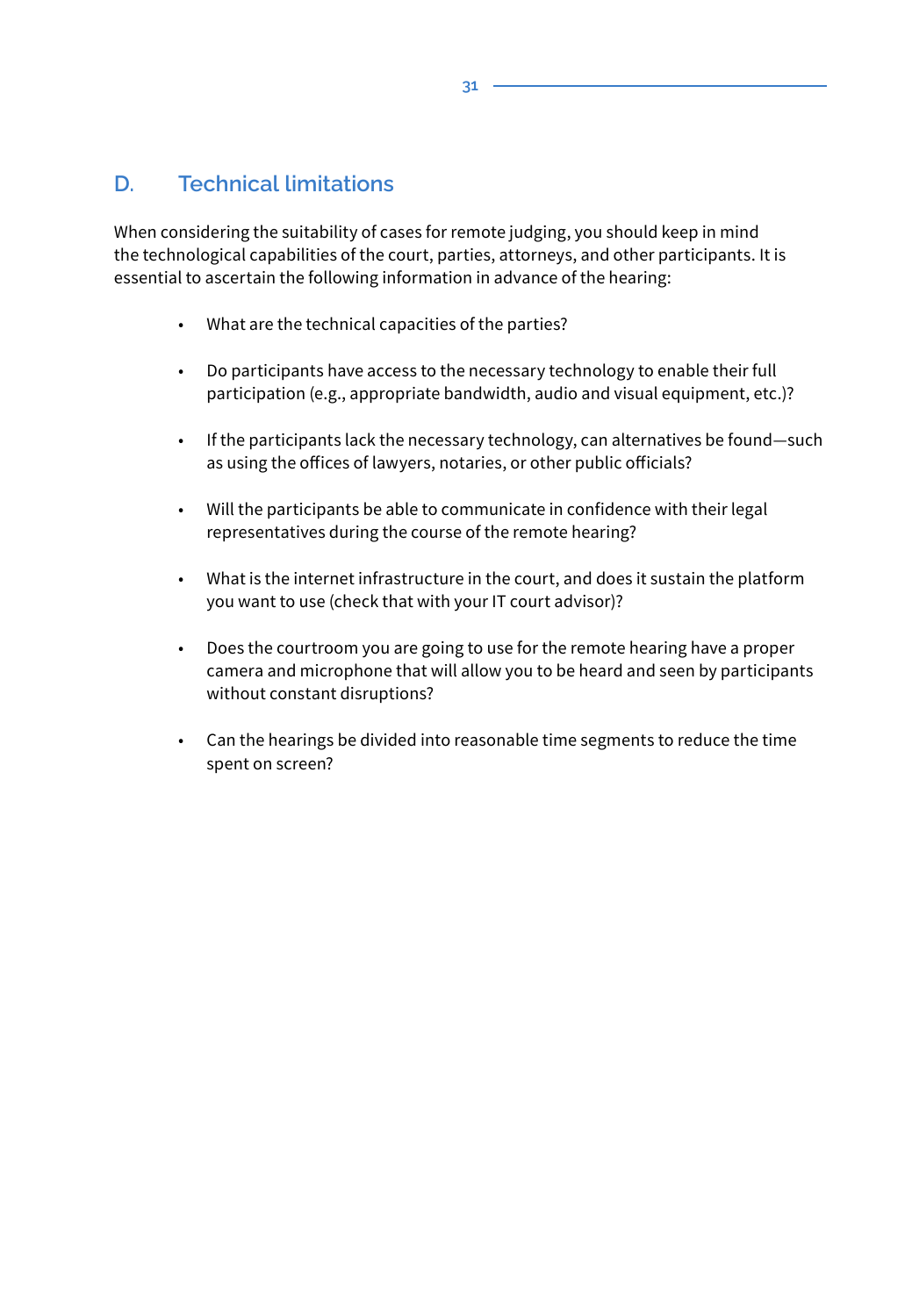# **D. Technical limitations**

When considering the suitability of cases for remote judging, you should keep in mind the technological capabilities of the court, parties, attorneys, and other participants. It is essential to ascertain the following information in advance of the hearing:

- What are the technical capacities of the parties?
- Do participants have access to the necessary technology to enable their full participation (e.g., appropriate bandwidth, audio and visual equipment, etc.)?
- If the participants lack the necessary technology, can alternatives be found—such as using the offices of lawyers, notaries, or other public officials?
- Will the participants be able to communicate in confidence with their legal representatives during the course of the remote hearing?
- What is the internet infrastructure in the court, and does it sustain the platform you want to use (check that with your IT court advisor)?
- Does the courtroom you are going to use for the remote hearing have a proper camera and microphone that will allow you to be heard and seen by participants without constant disruptions?
- Can the hearings be divided into reasonable time segments to reduce the time spent on screen?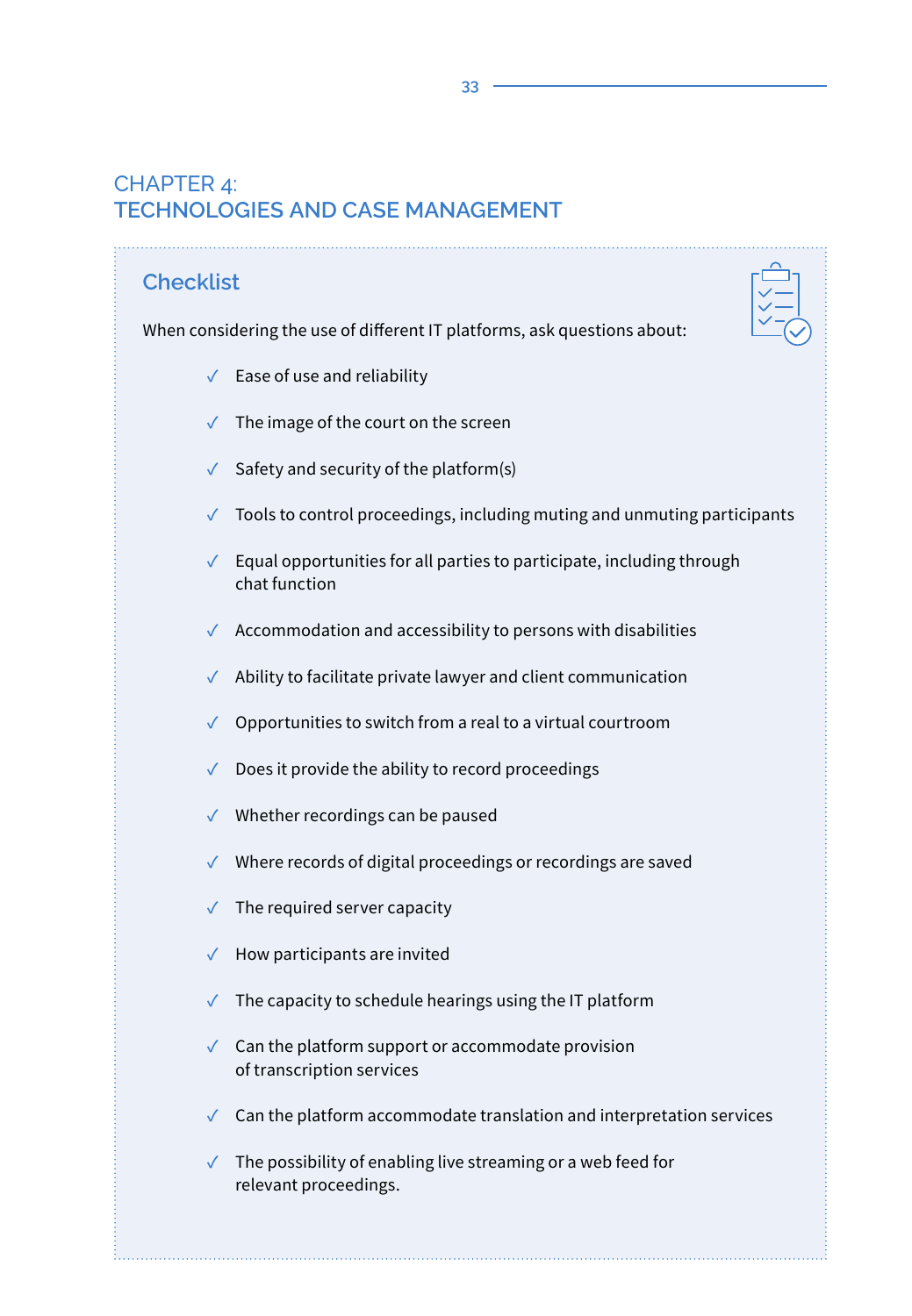# CHAPTER 4: **TECHNOLOGIES AND CASE MANAGEMENT**

# **Checklist** When considering the use of different IT platforms, ask questions about: **✓** Ease of use and reliability **✓** The image of the court on the screen **✓** Safety and security of the platform(s) **✓** Tools to control proceedings, including muting and unmuting participants **✓** Equal opportunities for all parties to participate, including through chat function **✓** Accommodation and accessibility to persons with disabilities **✓** Ability to facilitate private lawyer and client communication **✓** Opportunities to switch from a real to a virtual courtroom **✓** Does it provide the ability to record proceedings **✓** Whether recordings can be paused **✓** Where records of digital proceedings or recordings are saved **✓** The required server capacity **✓** How participants are invited

- **✓** The capacity to schedule hearings using the IT platform
- **✓** Can the platform support or accommodate provision of transcription services
- **✓** Can the platform accommodate translation and interpretation services
- **✓** The possibility of enabling live streaming or a web feed for relevant proceedings.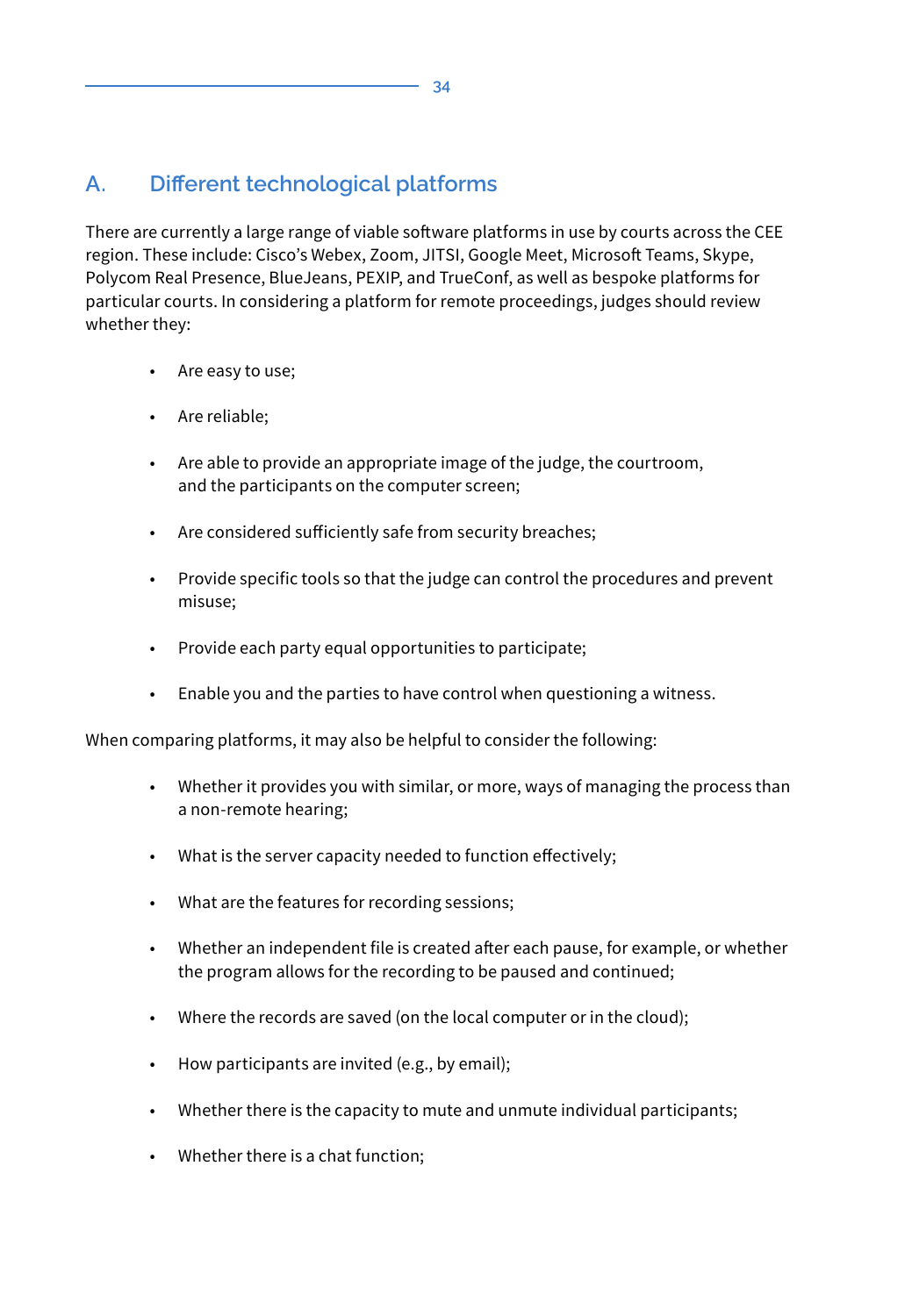# **A. Different technological platforms**

There are currently a large range of viable software platforms in use by courts across the CEE region. These include: Cisco's Webex, Zoom, JITSI, Google Meet, Microsoft Teams, Skype, Polycom Real Presence, BlueJeans, PEXIP, and TrueConf, as well as bespoke platforms for particular courts. In considering a platform for remote proceedings, judges should review whether they:

- Are easy to use;
- Are reliable;
- Are able to provide an appropriate image of the judge, the courtroom, and the participants on the computer screen;
- Are considered sufficiently safe from security breaches;
- Provide specific tools so that the judge can control the procedures and prevent misuse;
- Provide each party equal opportunities to participate;
- Enable you and the parties to have control when questioning a witness.

When comparing platforms, it may also be helpful to consider the following:

- Whether it provides you with similar, or more, ways of managing the process than a non-remote hearing;
- What is the server capacity needed to function effectively;
- What are the features for recording sessions;
- Whether an independent file is created after each pause, for example, or whether the program allows for the recording to be paused and continued;
- Where the records are saved (on the local computer or in the cloud);
- How participants are invited (e.g., by email);
- Whether there is the capacity to mute and unmute individual participants;
- Whether there is a chat function;

**34**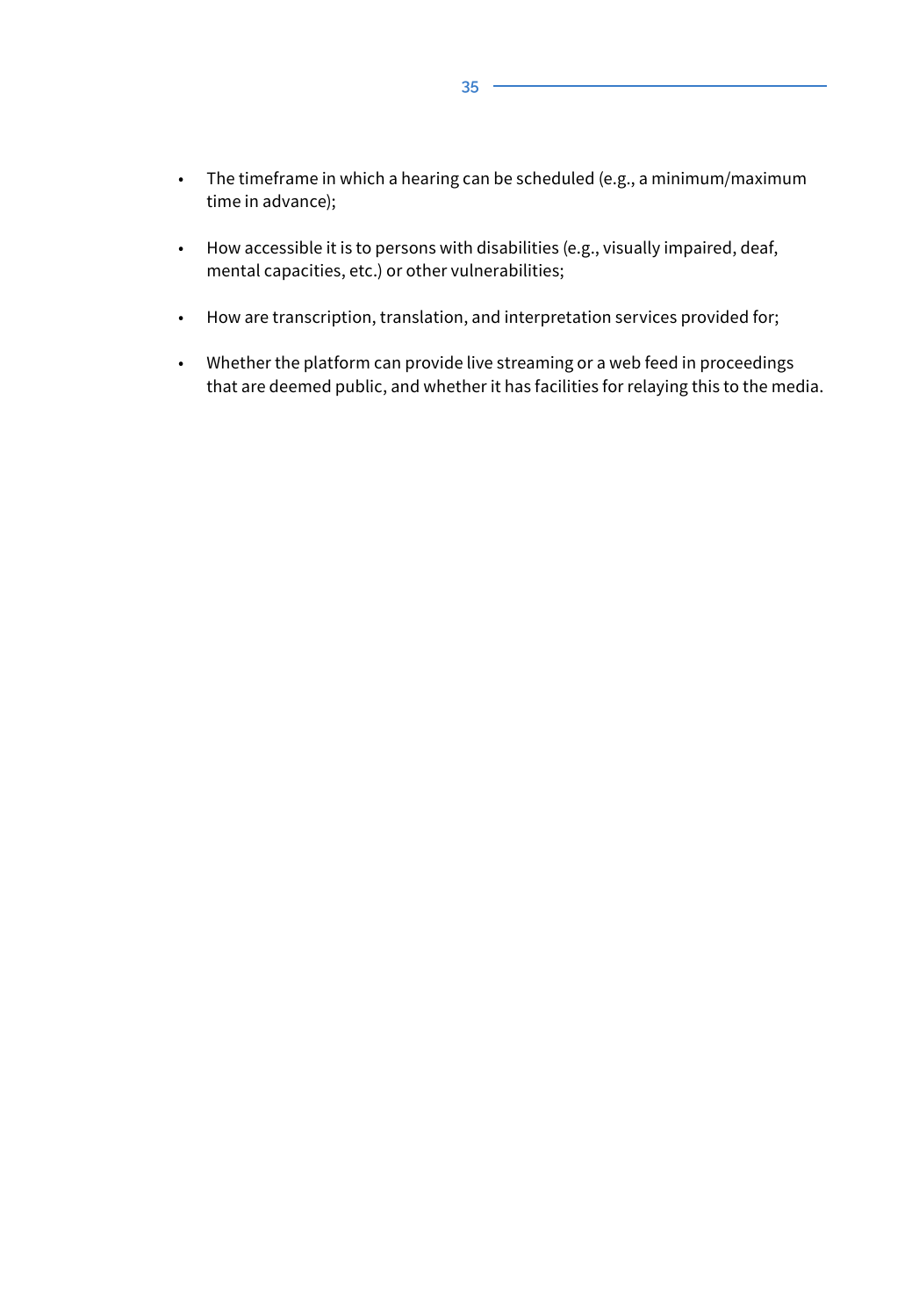- The timeframe in which a hearing can be scheduled (e.g., a minimum/maximum time in advance);
- How accessible it is to persons with disabilities (e.g., visually impaired, deaf, mental capacities, etc.) or other vulnerabilities;
- How are transcription, translation, and interpretation services provided for;
- Whether the platform can provide live streaming or a web feed in proceedings that are deemed public, and whether it has facilities for relaying this to the media.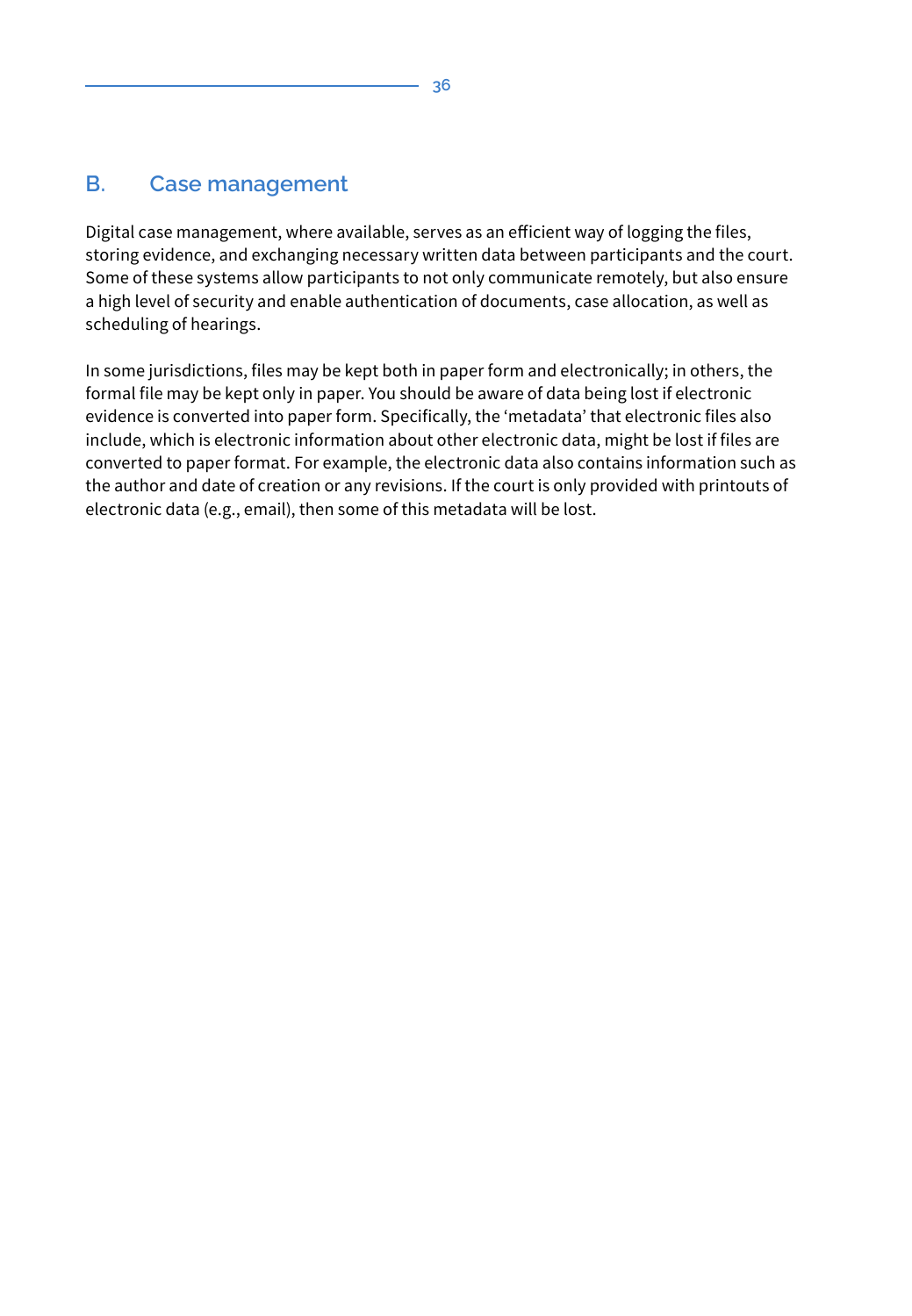# **B. Case management**

Digital case management, where available, serves as an efficient way of logging the files, storing evidence, and exchanging necessary written data between participants and the court. Some of these systems allow participants to not only communicate remotely, but also ensure a high level of security and enable authentication of documents, case allocation, as well as scheduling of hearings.

In some jurisdictions, files may be kept both in paper form and electronically; in others, the formal file may be kept only in paper. You should be aware of data being lost if electronic evidence is converted into paper form. Specifically, the 'metadata' that electronic files also include, which is electronic information about other electronic data, might be lost if files are converted to paper format. For example, the electronic data also contains information such as the author and date of creation or any revisions. If the court is only provided with printouts of electronic data (e.g., email), then some of this metadata will be lost.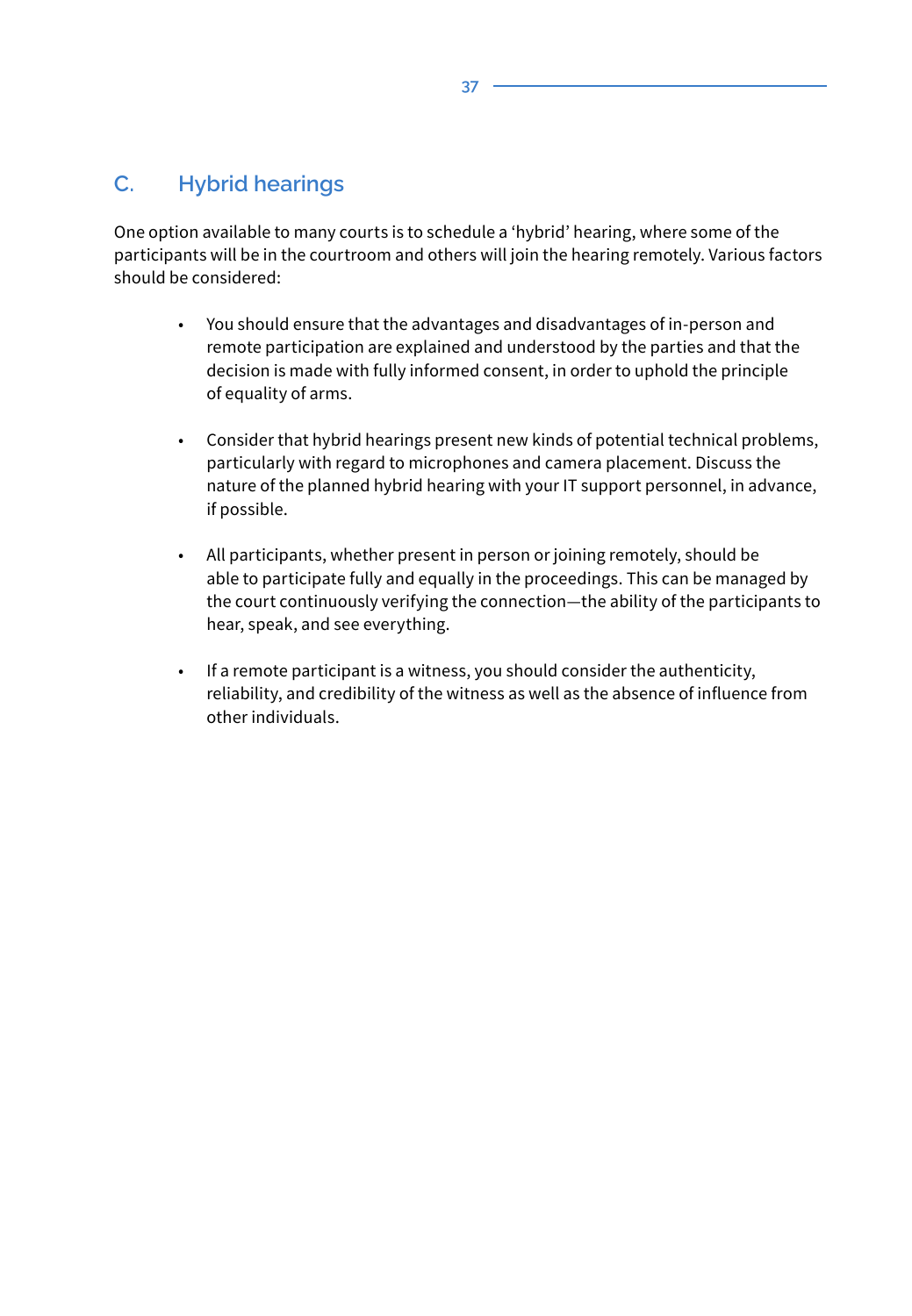## **C. Hybrid hearings**

One option available to many courts is to schedule a 'hybrid' hearing, where some of the participants will be in the courtroom and others will join the hearing remotely. Various factors should be considered:

- You should ensure that the advantages and disadvantages of in-person and remote participation are explained and understood by the parties and that the decision is made with fully informed consent, in order to uphold the principle of equality of arms.
- Consider that hybrid hearings present new kinds of potential technical problems, particularly with regard to microphones and camera placement. Discuss the nature of the planned hybrid hearing with your IT support personnel, in advance, if possible.
- All participants, whether present in person or joining remotely, should be able to participate fully and equally in the proceedings. This can be managed by the court continuously verifying the connection—the ability of the participants to hear, speak, and see everything.
- If a remote participant is a witness, you should consider the authenticity, reliability, and credibility of the witness as well as the absence of influence from other individuals.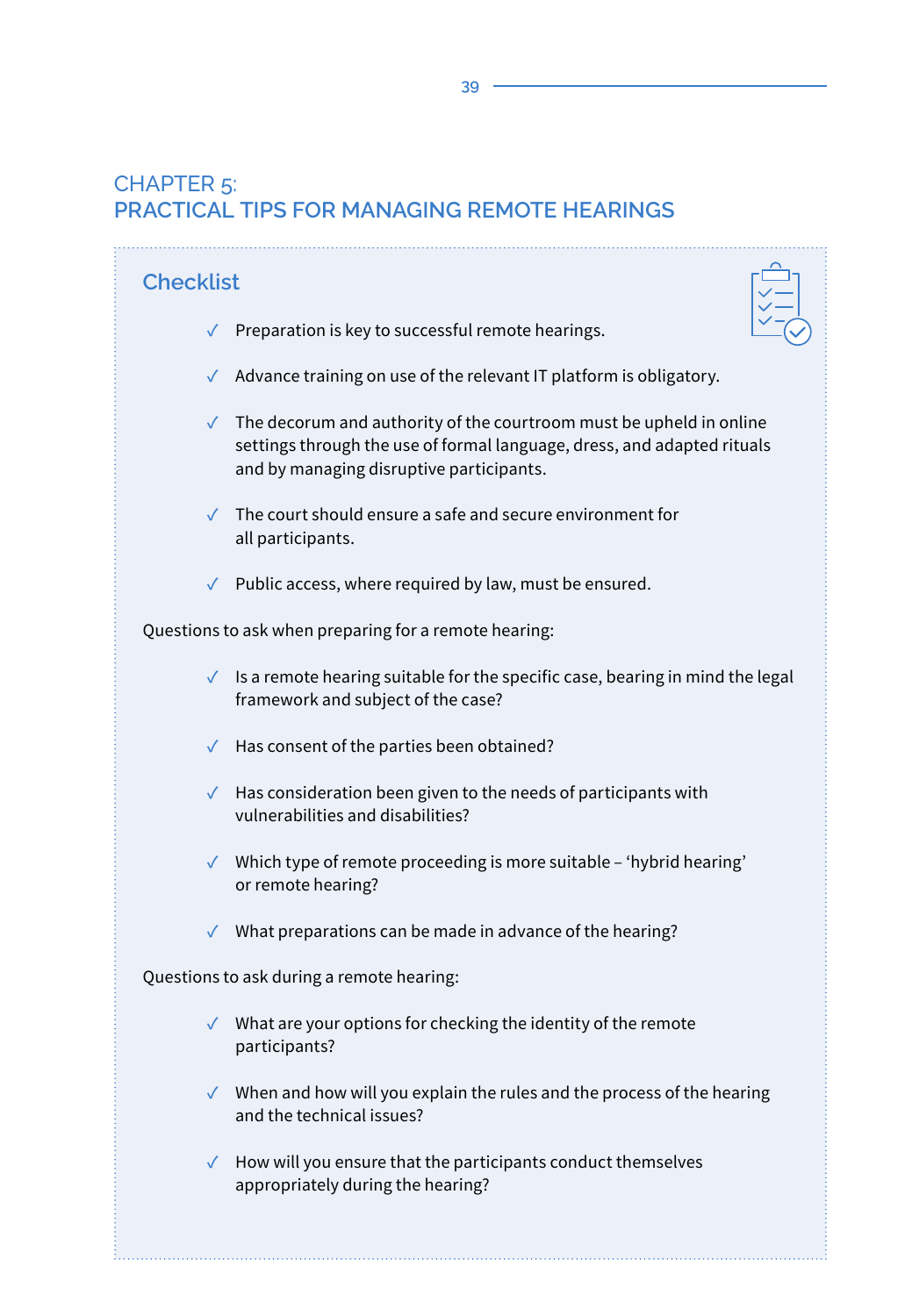# CHAPTER 5: **PRACTICAL TIPS FOR MANAGING REMOTE HEARINGS**

| <b>Checklist</b>                                                                                                                                                                                        |  |  |
|---------------------------------------------------------------------------------------------------------------------------------------------------------------------------------------------------------|--|--|
| $\checkmark$ Preparation is key to successful remote hearings.                                                                                                                                          |  |  |
| √ Advance training on use of the relevant IT platform is obligatory.                                                                                                                                    |  |  |
| $\checkmark$ The decorum and authority of the courtroom must be upheld in online<br>settings through the use of formal language, dress, and adapted rituals<br>and by managing disruptive participants. |  |  |
| $\checkmark$ The court should ensure a safe and secure environment for<br>all participants.                                                                                                             |  |  |
| $\checkmark$ Public access, where required by law, must be ensured.                                                                                                                                     |  |  |
| Questions to ask when preparing for a remote hearing:                                                                                                                                                   |  |  |
| $\checkmark$ Is a remote hearing suitable for the specific case, bearing in mind the legal<br>framework and subject of the case?                                                                        |  |  |
| $\checkmark$ Has consent of the parties been obtained?                                                                                                                                                  |  |  |
| $\sqrt{\phantom{a}}$ Has consideration been given to the needs of participants with<br>vulnerabilities and disabilities?                                                                                |  |  |
| √ Which type of remote proceeding is more suitable - 'hybrid hearing'<br>or remote hearing?                                                                                                             |  |  |
| $\checkmark$ What preparations can be made in advance of the hearing?                                                                                                                                   |  |  |
| Questions to ask during a remote hearing:                                                                                                                                                               |  |  |
| $\checkmark$ What are your options for checking the identity of the remote<br>participants?                                                                                                             |  |  |
| $\sqrt{\phantom{a}}$ When and how will you explain the rules and the process of the hearing<br>and the technical issues?                                                                                |  |  |
| How will you ensure that the participants conduct themselves<br>$\checkmark$<br>appropriately during the hearing?                                                                                       |  |  |
|                                                                                                                                                                                                         |  |  |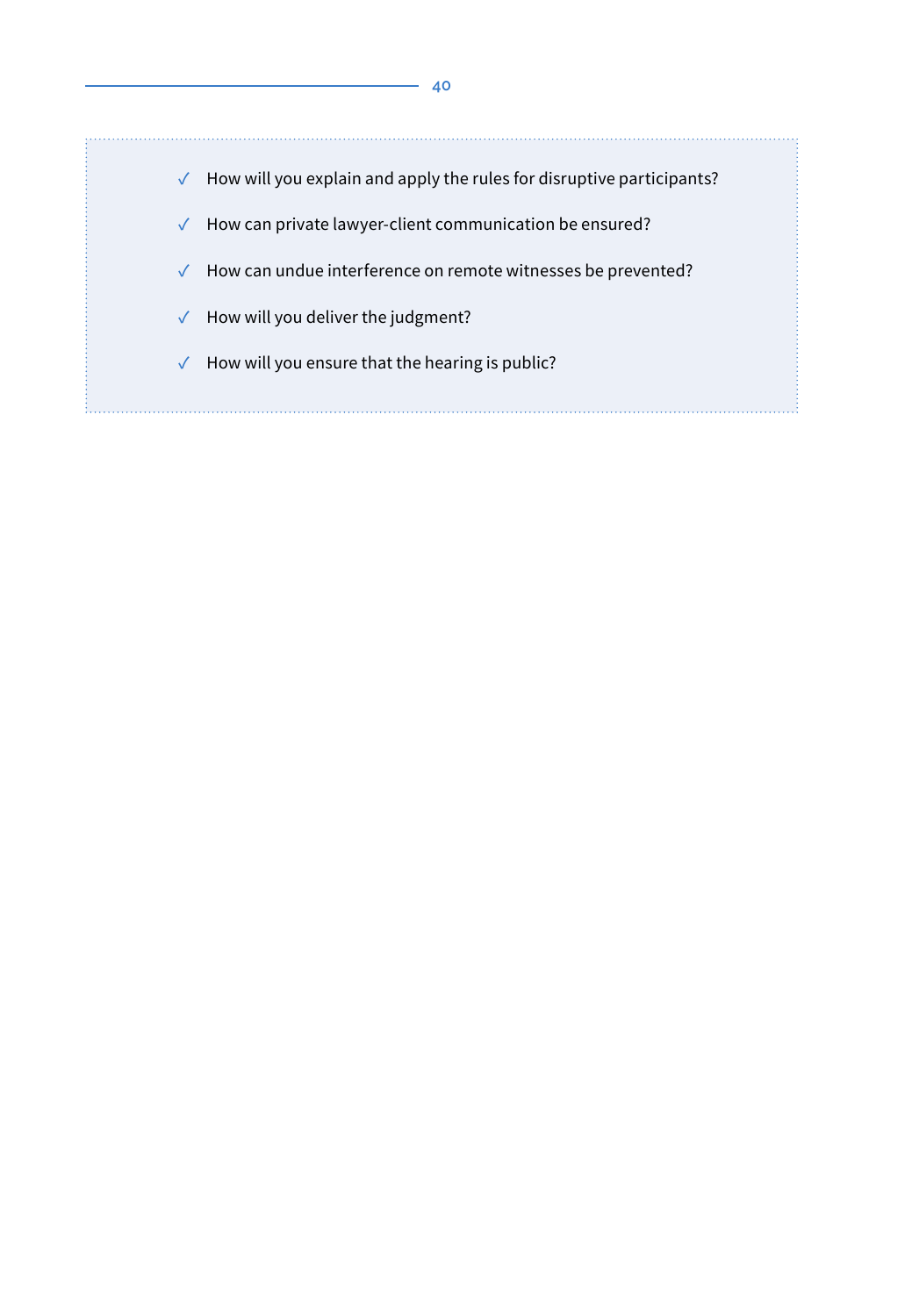

- **✓** How can private lawyer-client communication be ensured?
- **✓** How can undue interference on remote witnesses be prevented?
- **✓** How will you deliver the judgment?
- **✓** How will you ensure that the hearing is public?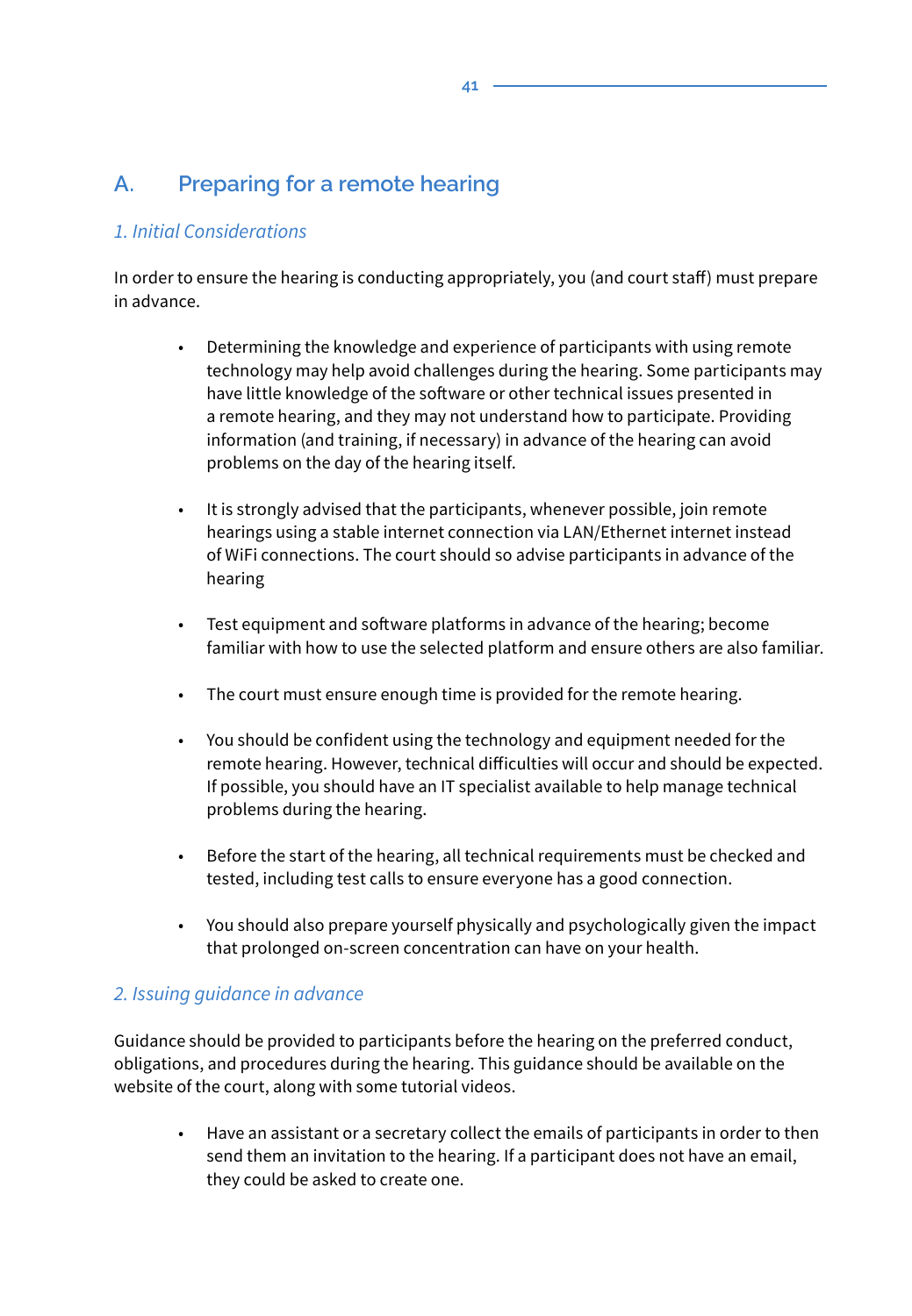# **A. Preparing for a remote hearing**

#### *1. Initial Considerations*

In order to ensure the hearing is conducting appropriately, you (and court staff) must prepare in advance.

- Determining the knowledge and experience of participants with using remote technology may help avoid challenges during the hearing. Some participants may have little knowledge of the software or other technical issues presented in a remote hearing, and they may not understand how to participate. Providing information (and training, if necessary) in advance of the hearing can avoid problems on the day of the hearing itself.
- It is strongly advised that the participants, whenever possible, join remote hearings using a stable internet connection via LAN/Ethernet internet instead of WiFi connections. The court should so advise participants in advance of the hearing
- Test equipment and software platforms in advance of the hearing; become familiar with how to use the selected platform and ensure others are also familiar.
- The court must ensure enough time is provided for the remote hearing.
- You should be confident using the technology and equipment needed for the remote hearing. However, technical difficulties will occur and should be expected. If possible, you should have an IT specialist available to help manage technical problems during the hearing.
- Before the start of the hearing, all technical requirements must be checked and tested, including test calls to ensure everyone has a good connection.
- You should also prepare yourself physically and psychologically given the impact that prolonged on-screen concentration can have on your health.

#### *2. Issuing guidance in advance*

Guidance should be provided to participants before the hearing on the preferred conduct, obligations, and procedures during the hearing. This guidance should be available on the website of the court, along with some tutorial videos.

• Have an assistant or a secretary collect the emails of participants in order to then send them an invitation to the hearing. If a participant does not have an email, they could be asked to create one.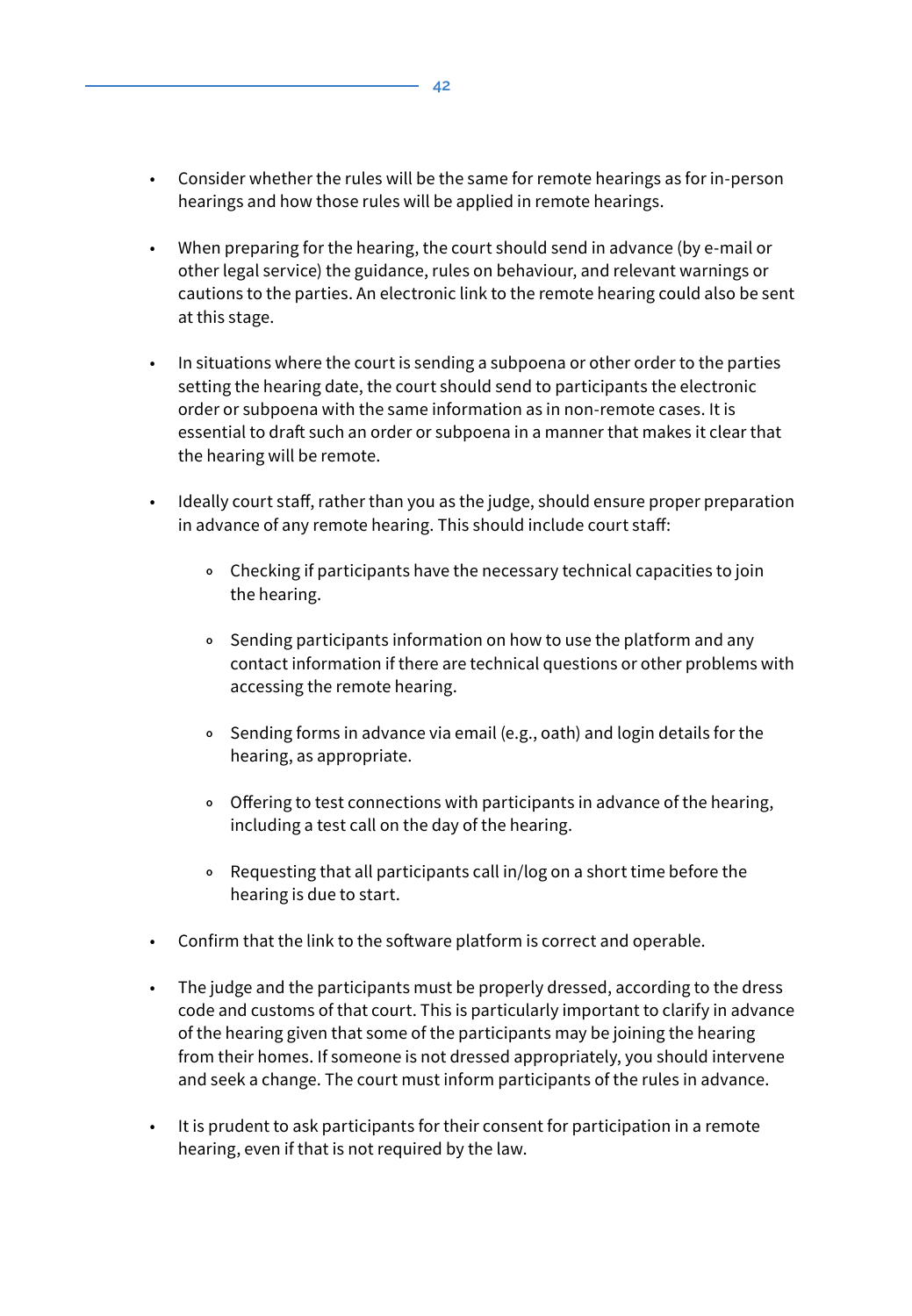- Consider whether the rules will be the same for remote hearings as for in-person hearings and how those rules will be applied in remote hearings.
- When preparing for the hearing, the court should send in advance (by e-mail or other legal service) the guidance, rules on behaviour, and relevant warnings or cautions to the parties. An electronic link to the remote hearing could also be sent at this stage.
- In situations where the court is sending a subpoena or other order to the parties setting the hearing date, the court should send to participants the electronic order or subpoena with the same information as in non-remote cases. It is essential to draft such an order or subpoena in a manner that makes it clear that the hearing will be remote.
- Ideally court staff, rather than you as the judge, should ensure proper preparation in advance of any remote hearing. This should include court staff:
	- **<sup>o</sup>** Checking if participants have the necessary technical capacities to join the hearing.
	- **<sup>o</sup>** Sending participants information on how to use the platform and any contact information if there are technical questions or other problems with accessing the remote hearing.
	- **<sup>o</sup>** Sending forms in advance via email (e.g., oath) and login details for the hearing, as appropriate.
	- **<sup>o</sup>** Offering to test connections with participants in advance of the hearing, including a test call on the day of the hearing.
	- **<sup>o</sup>** Requesting that all participants call in/log on a short time before the hearing is due to start.
- Confirm that the link to the software platform is correct and operable.
- The judge and the participants must be properly dressed, according to the dress code and customs of that court. This is particularly important to clarify in advance of the hearing given that some of the participants may be joining the hearing from their homes. If someone is not dressed appropriately, you should intervene and seek a change. The court must inform participants of the rules in advance.
- It is prudent to ask participants for their consent for participation in a remote hearing, even if that is not required by the law.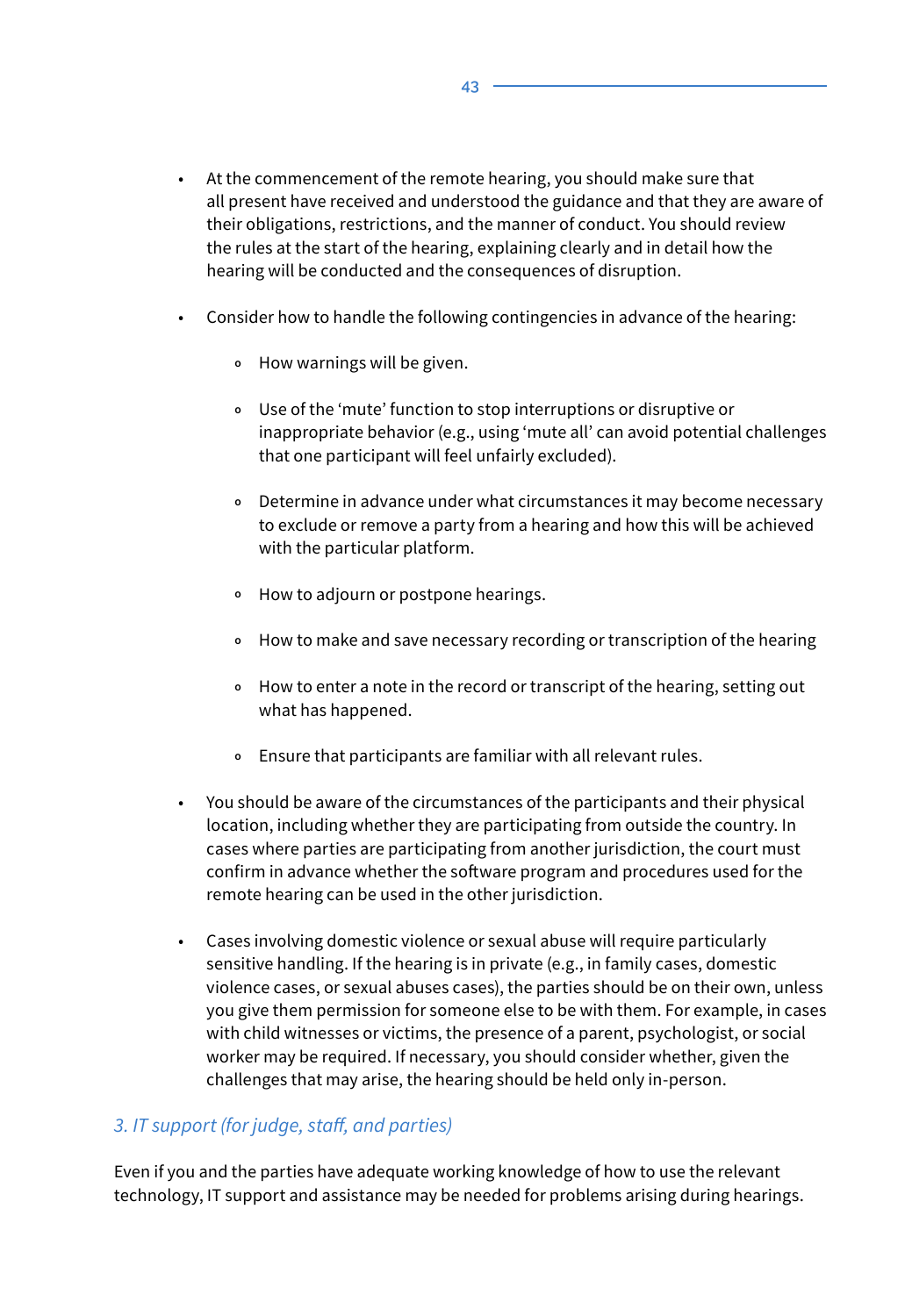- At the commencement of the remote hearing, you should make sure that all present have received and understood the guidance and that they are aware of their obligations, restrictions, and the manner of conduct. You should review the rules at the start of the hearing, explaining clearly and in detail how the hearing will be conducted and the consequences of disruption.
- Consider how to handle the following contingencies in advance of the hearing:
	- **<sup>o</sup>** How warnings will be given.
	- **<sup>o</sup>** Use of the 'mute' function to stop interruptions or disruptive or inappropriate behavior (e.g., using 'mute all' can avoid potential challenges that one participant will feel unfairly excluded).
	- **<sup>o</sup>** Determine in advance under what circumstances it may become necessary to exclude or remove a party from a hearing and how this will be achieved with the particular platform.
	- **<sup>o</sup>** How to adjourn or postpone hearings.
	- **<sup>o</sup>** How to make and save necessary recording or transcription of the hearing
	- **<sup>o</sup>** How to enter a note in the record or transcript of the hearing, setting out what has happened.
	- **<sup>o</sup>** Ensure that participants are familiar with all relevant rules.
- You should be aware of the circumstances of the participants and their physical location, including whether they are participating from outside the country. In cases where parties are participating from another jurisdiction, the court must confirm in advance whether the software program and procedures used for the remote hearing can be used in the other jurisdiction.
- Cases involving domestic violence or sexual abuse will require particularly sensitive handling. If the hearing is in private (e.g., in family cases, domestic violence cases, or sexual abuses cases), the parties should be on their own, unless you give them permission for someone else to be with them. For example, in cases with child witnesses or victims, the presence of a parent, psychologist, or social worker may be required. If necessary, you should consider whether, given the challenges that may arise, the hearing should be held only in-person.

#### *3. IT support (for judge, staff, and parties)*

Even if you and the parties have adequate working knowledge of how to use the relevant technology, IT support and assistance may be needed for problems arising during hearings.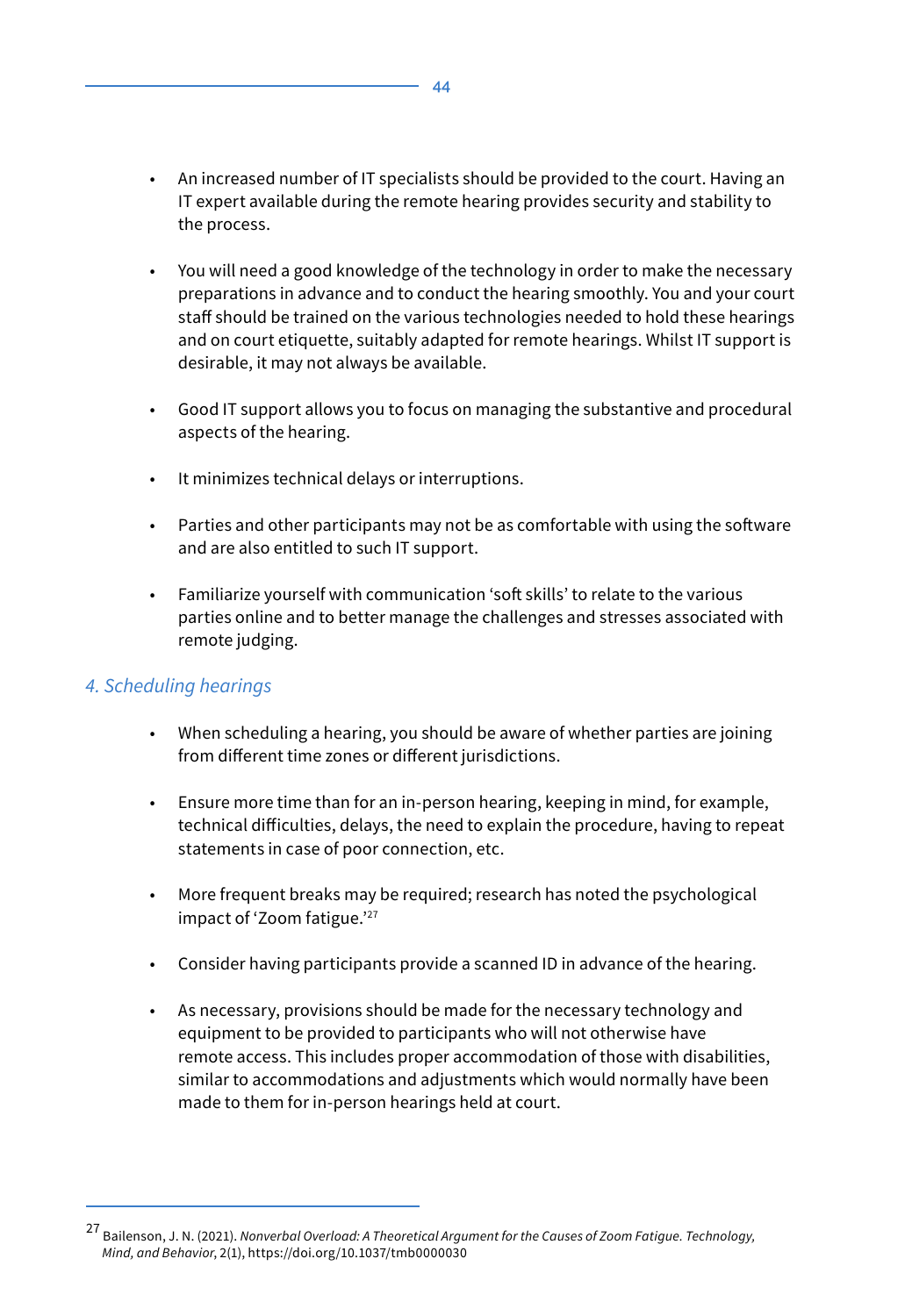- An increased number of IT specialists should be provided to the court. Having an IT expert available during the remote hearing provides security and stability to the process.
- You will need a good knowledge of the technology in order to make the necessary preparations in advance and to conduct the hearing smoothly. You and your court staff should be trained on the various technologies needed to hold these hearings and on court etiquette, suitably adapted for remote hearings. Whilst IT support is desirable, it may not always be available.
- Good IT support allows you to focus on managing the substantive and procedural aspects of the hearing.
- It minimizes technical delays or interruptions.
- Parties and other participants may not be as comfortable with using the software and are also entitled to such IT support.
- Familiarize yourself with communication 'soft skills' to relate to the various parties online and to better manage the challenges and stresses associated with remote judging.

#### *4. Scheduling hearings*

- When scheduling a hearing, you should be aware of whether parties are joining from different time zones or different jurisdictions.
- Ensure more time than for an in-person hearing, keeping in mind, for example, technical difficulties, delays, the need to explain the procedure, having to repeat statements in case of poor connection, etc.
- More frequent breaks may be required; research has noted the psychological impact of 'Zoom fatigue.'<sup>27</sup>
- Consider having participants provide a scanned ID in advance of the hearing.
- As necessary, provisions should be made for the necessary technology and equipment to be provided to participants who will not otherwise have remote access. This includes proper accommodation of those with disabilities, similar to accommodations and adjustments which would normally have been made to them for in-person hearings held at court.

<sup>27</sup> Bailenson, J. N. (2021). *Nonverbal Overload: A Theoretical Argument for the Causes of Zoom Fatigue. Technology, Mind, and Behavior*, 2(1), https://doi.org/10.1037/tmb0000030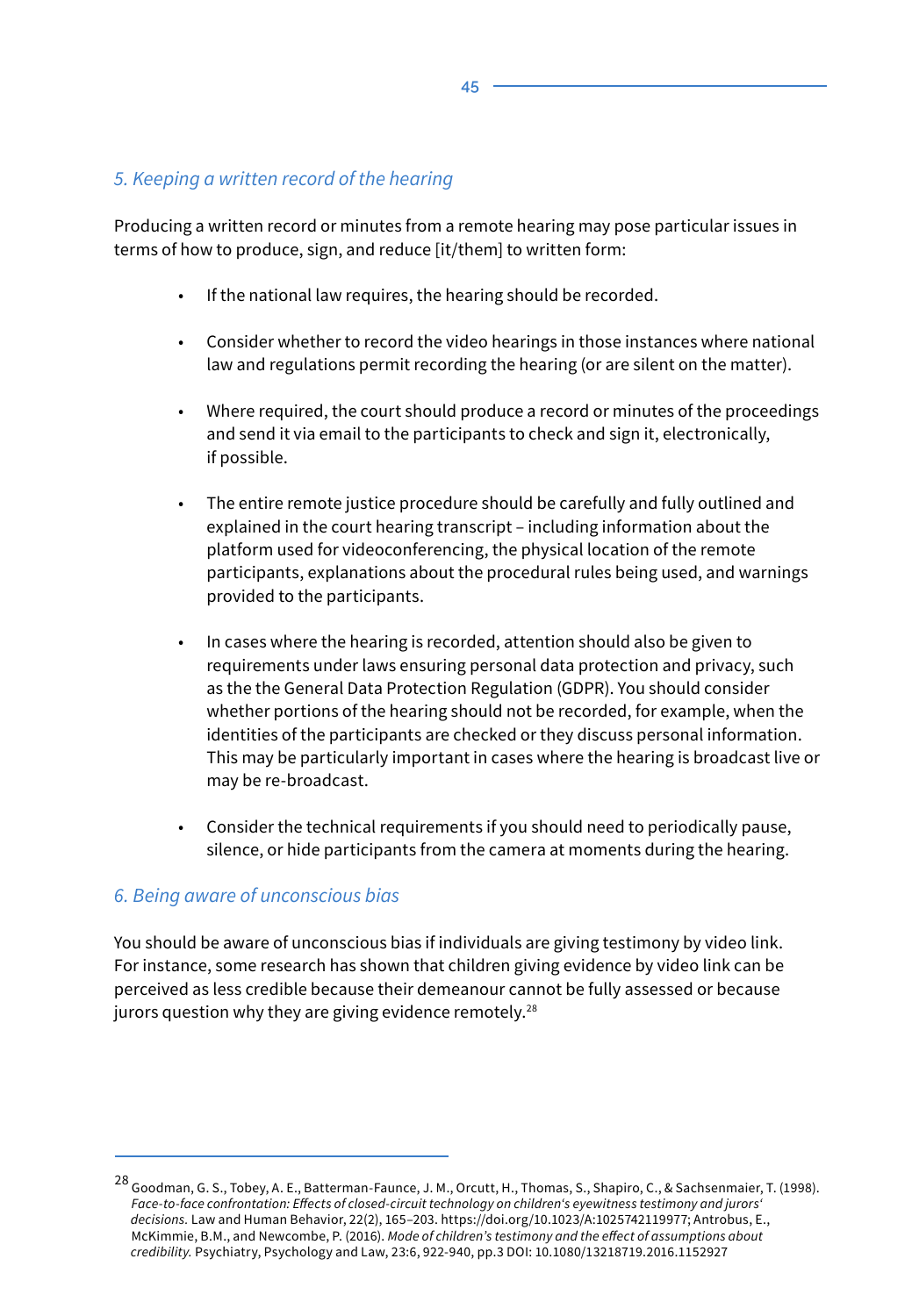#### *5. Keeping a written record of the hearing*

Producing a written record or minutes from a remote hearing may pose particular issues in terms of how to produce, sign, and reduce [it/them] to written form:

- If the national law requires, the hearing should be recorded.
- Consider whether to record the video hearings in those instances where national law and regulations permit recording the hearing (or are silent on the matter).
- Where required, the court should produce a record or minutes of the proceedings and send it via email to the participants to check and sign it, electronically, if possible.
- The entire remote justice procedure should be carefully and fully outlined and explained in the court hearing transcript – including information about the platform used for videoconferencing, the physical location of the remote participants, explanations about the procedural rules being used, and warnings provided to the participants.
- In cases where the hearing is recorded, attention should also be given to requirements under laws ensuring personal data protection and privacy, such as the the General Data Protection Regulation (GDPR). You should consider whether portions of the hearing should not be recorded, for example, when the identities of the participants are checked or they discuss personal information. This may be particularly important in cases where the hearing is broadcast live or may be re-broadcast.
- Consider the technical requirements if you should need to periodically pause, silence, or hide participants from the camera at moments during the hearing.

#### *6. Being aware of unconscious bias*

You should be aware of unconscious bias if individuals are giving testimony by video link. For instance, some research has shown that children giving evidence by video link can be perceived as less credible because their demeanour cannot be fully assessed or because jurors question why they are giving evidence remotely.<sup>28</sup>

<sup>&</sup>lt;sup>28</sup> Goodman, G. S., Tobey, A. E., Batterman-Faunce, J. M., Orcutt, H., Thomas, S., Shapiro, C., & Sachsenmaier, T. (1998). *Face-to-face confrontation: Effects of closed-circuit technology on children's eyewitness testimony and jurors' decisions.* Law and Human Behavior, 22(2), 165–203. https://doi.org/10.1023/A:1025742119977; Antrobus, E., McKimmie, B.M., and Newcombe, P. (2016). *Mode of children's testimony and the effect of assumptions about credibility.* Psychiatry, Psychology and Law, 23:6, 922-940, pp.3 DOI: 10.1080/13218719.2016.1152927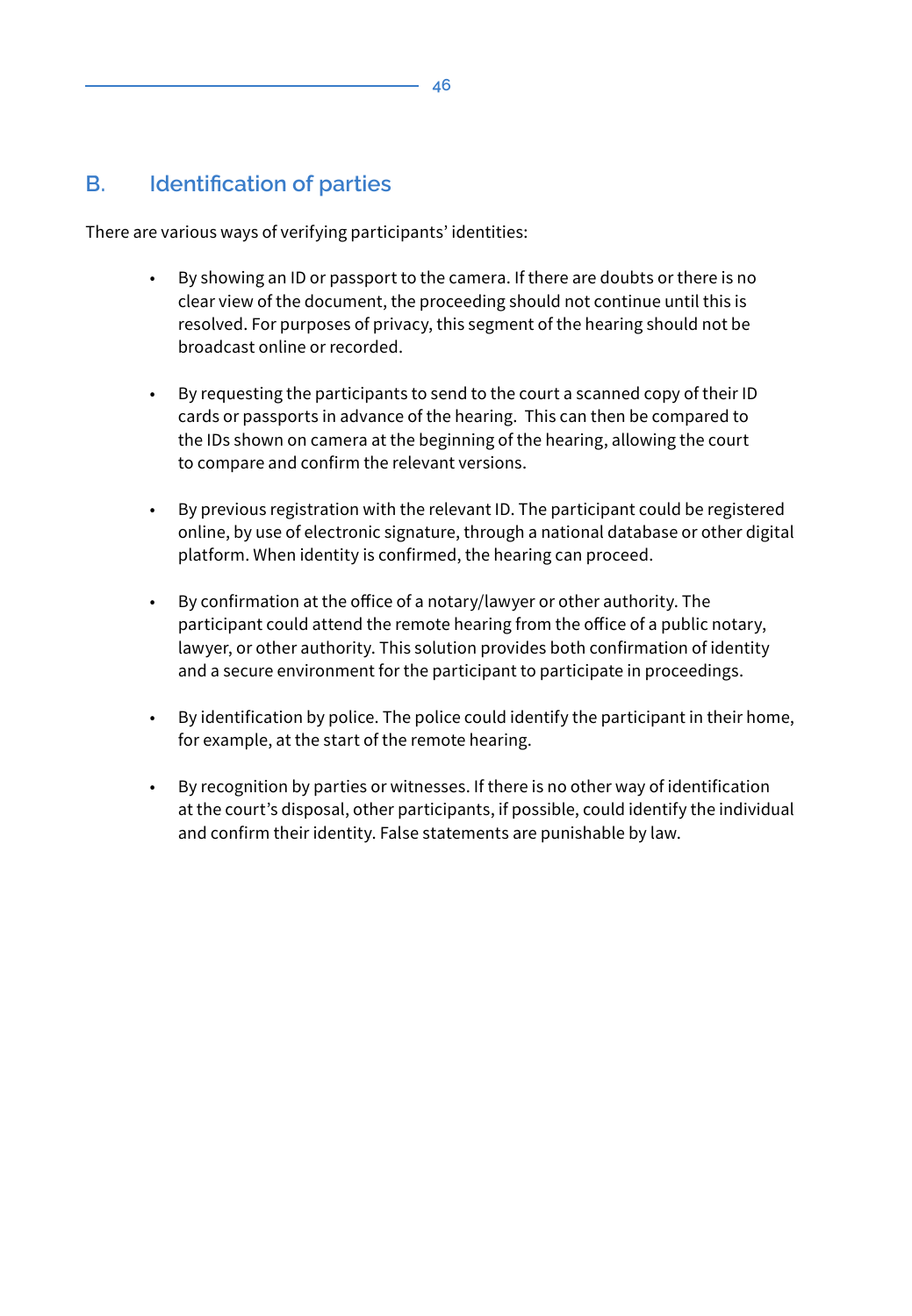# **B. Identification of parties**

There are various ways of verifying participants' identities:

- By showing an ID or passport to the camera. If there are doubts or there is no clear view of the document, the proceeding should not continue until this is resolved. For purposes of privacy, this segment of the hearing should not be broadcast online or recorded.
- By requesting the participants to send to the court a scanned copy of their ID cards or passports in advance of the hearing. This can then be compared to the IDs shown on camera at the beginning of the hearing, allowing the court to compare and confirm the relevant versions.
- By previous registration with the relevant ID. The participant could be registered online, by use of electronic signature, through a national database or other digital platform. When identity is confirmed, the hearing can proceed.
- By confirmation at the office of a notary/lawyer or other authority. The participant could attend the remote hearing from the office of a public notary, lawyer, or other authority. This solution provides both confirmation of identity and a secure environment for the participant to participate in proceedings.
- By identification by police. The police could identify the participant in their home, for example, at the start of the remote hearing.
- By recognition by parties or witnesses. If there is no other way of identification at the court's disposal, other participants, if possible, could identify the individual and confirm their identity. False statements are punishable by law.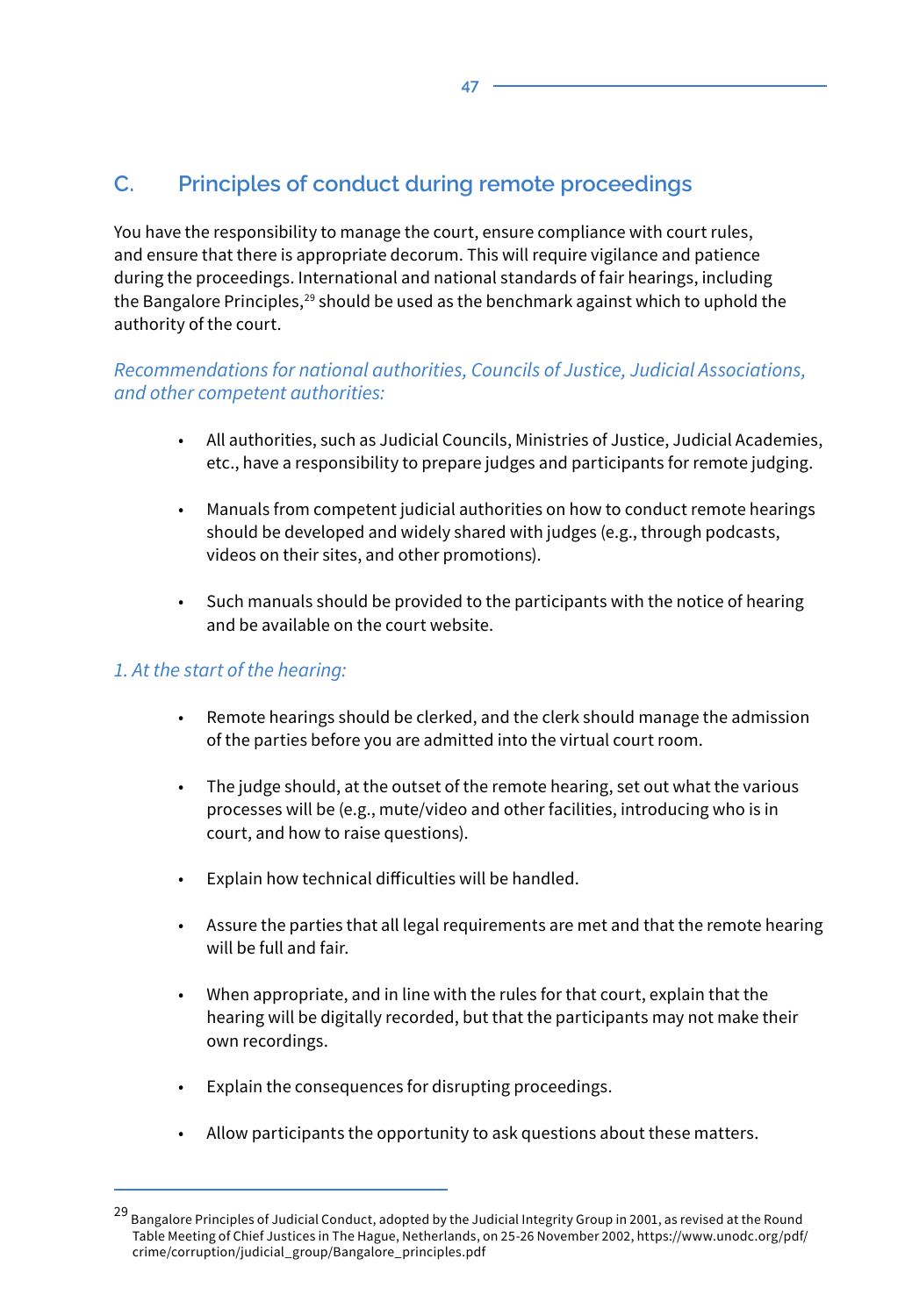# **C. Principles of conduct during remote proceedings**

You have the responsibility to manage the court, ensure compliance with court rules, and ensure that there is appropriate decorum. This will require vigilance and patience during the proceedings. International and national standards of fair hearings, including the Bangalore Principles, $29$  should be used as the benchmark against which to uphold the authority of the court.

#### *Recommendations for national authorities, Councils of Justice, Judicial Associations, and other competent authorities:*

- All authorities, such as Judicial Councils, Ministries of Justice, Judicial Academies, etc., have a responsibility to prepare judges and participants for remote judging.
- Manuals from competent judicial authorities on how to conduct remote hearings should be developed and widely shared with judges (e.g., through podcasts, videos on their sites, and other promotions).
- Such manuals should be provided to the participants with the notice of hearing and be available on the court website.

#### *1. At the start of the hearing:*

- Remote hearings should be clerked, and the clerk should manage the admission of the parties before you are admitted into the virtual court room.
- The judge should, at the outset of the remote hearing, set out what the various processes will be (e.g., mute/video and other facilities, introducing who is in court, and how to raise questions).
- Explain how technical difficulties will be handled.
- Assure the parties that all legal requirements are met and that the remote hearing will be full and fair.
- When appropriate, and in line with the rules for that court, explain that the hearing will be digitally recorded, but that the participants may not make their own recordings.
- Explain the consequences for disrupting proceedings.
- Allow participants the opportunity to ask questions about these matters.

<sup>29</sup> Bangalore Principles of Judicial Conduct, adopted by the Judicial Integrity Group in 2001, as revised at the Round Table Meeting of Chief Justices in The Hague, Netherlands, on 25-26 November 2002, https://www.unodc.org/pdf/ crime/corruption/judicial\_group/Bangalore\_principles.pdf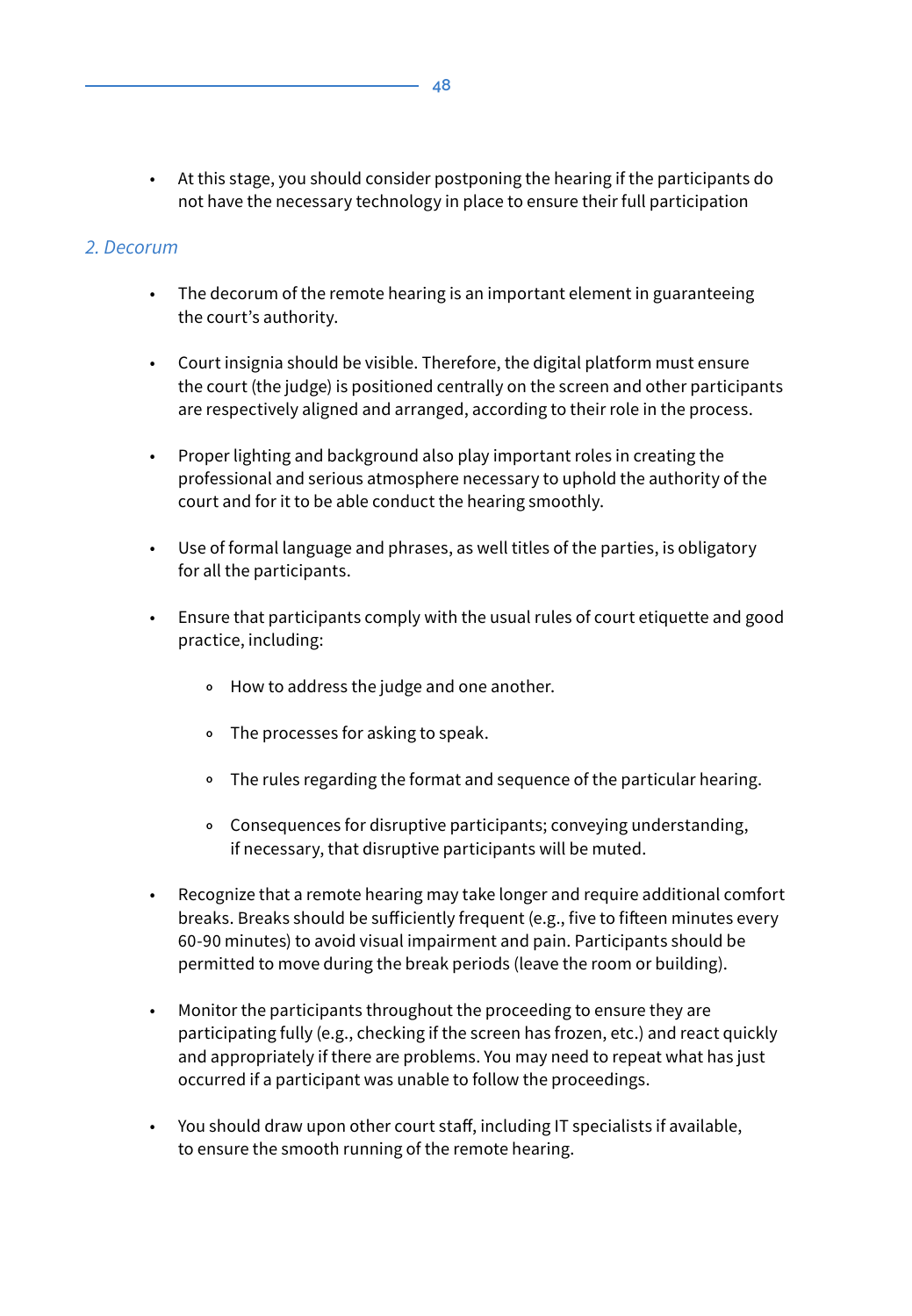• At this stage, you should consider postponing the hearing if the participants do not have the necessary technology in place to ensure their full participation

#### *2. Decorum*

- The decorum of the remote hearing is an important element in guaranteeing the court's authority.
- Court insignia should be visible. Therefore, the digital platform must ensure the court (the judge) is positioned centrally on the screen and other participants are respectively aligned and arranged, according to their role in the process.
- Proper lighting and background also play important roles in creating the professional and serious atmosphere necessary to uphold the authority of the court and for it to be able conduct the hearing smoothly.
- Use of formal language and phrases, as well titles of the parties, is obligatory for all the participants.
- Ensure that participants comply with the usual rules of court etiquette and good practice, including:
	- **<sup>o</sup>** How to address the judge and one another.
	- **<sup>o</sup>** The processes for asking to speak.
	- **<sup>o</sup>** The rules regarding the format and sequence of the particular hearing.
	- **<sup>o</sup>** Consequences for disruptive participants; conveying understanding, if necessary, that disruptive participants will be muted.
- Recognize that a remote hearing may take longer and require additional comfort breaks. Breaks should be sufficiently frequent (e.g., five to fifteen minutes every 60-90 minutes) to avoid visual impairment and pain. Participants should be permitted to move during the break periods (leave the room or building).
- Monitor the participants throughout the proceeding to ensure they are participating fully (e.g., checking if the screen has frozen, etc.) and react quickly and appropriately if there are problems. You may need to repeat what has just occurred if a participant was unable to follow the proceedings.
- You should draw upon other court staff, including IT specialists if available, to ensure the smooth running of the remote hearing.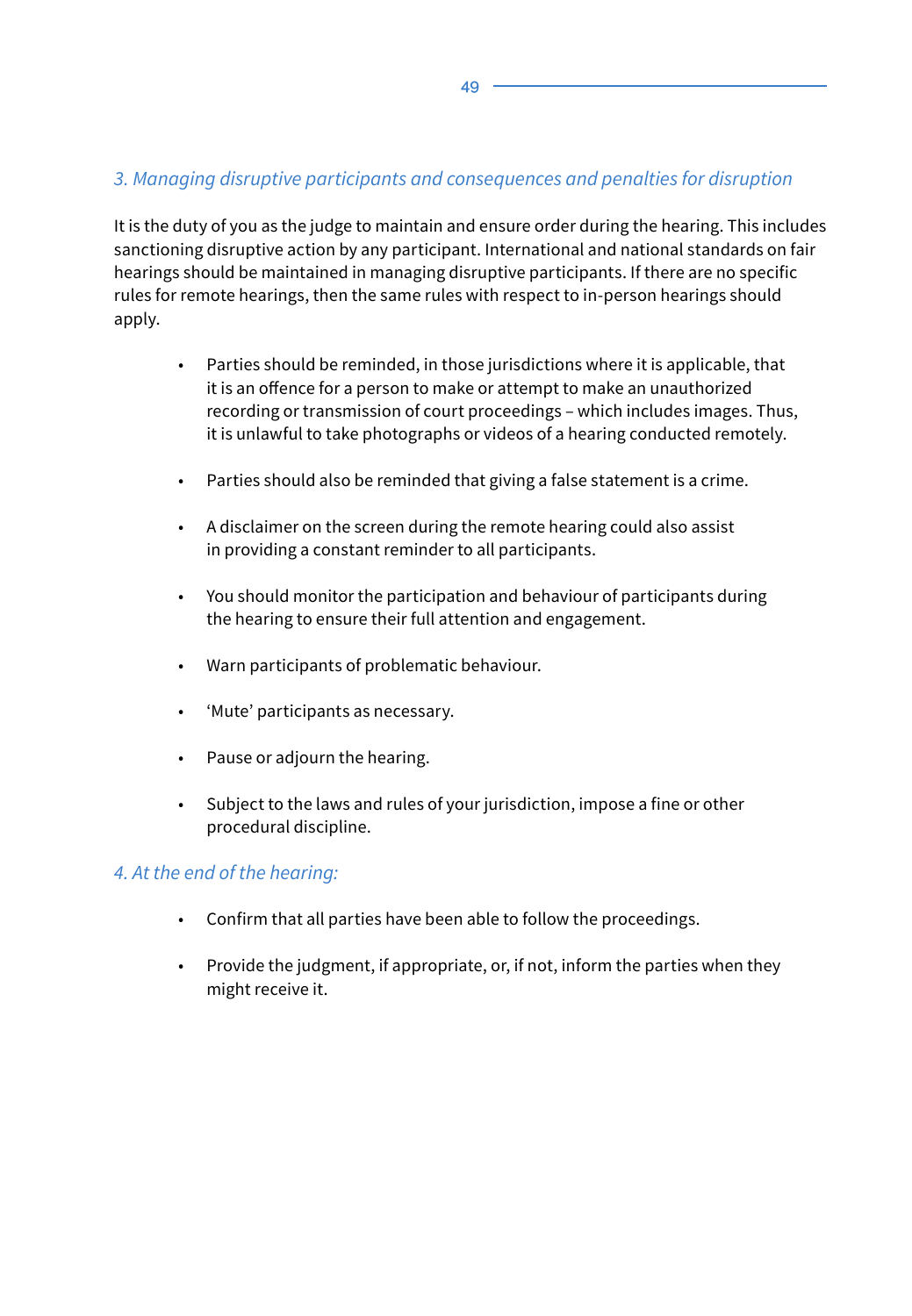### *3. Managing disruptive participants and consequences and penalties for disruption*

It is the duty of you as the judge to maintain and ensure order during the hearing. This includes sanctioning disruptive action by any participant. International and national standards on fair hearings should be maintained in managing disruptive participants. If there are no specific rules for remote hearings, then the same rules with respect to in-person hearings should apply.

- Parties should be reminded, in those jurisdictions where it is applicable, that it is an offence for a person to make or attempt to make an unauthorized recording or transmission of court proceedings – which includes images. Thus, it is unlawful to take photographs or videos of a hearing conducted remotely.
- Parties should also be reminded that giving a false statement is a crime.
- A disclaimer on the screen during the remote hearing could also assist in providing a constant reminder to all participants.
- You should monitor the participation and behaviour of participants during the hearing to ensure their full attention and engagement.
- Warn participants of problematic behaviour.
- 'Mute' participants as necessary.
- Pause or adjourn the hearing.
- Subject to the laws and rules of your jurisdiction, impose a fine or other procedural discipline.

#### *4. At the end of the hearing:*

- Confirm that all parties have been able to follow the proceedings.
- Provide the judgment, if appropriate, or, if not, inform the parties when they might receive it.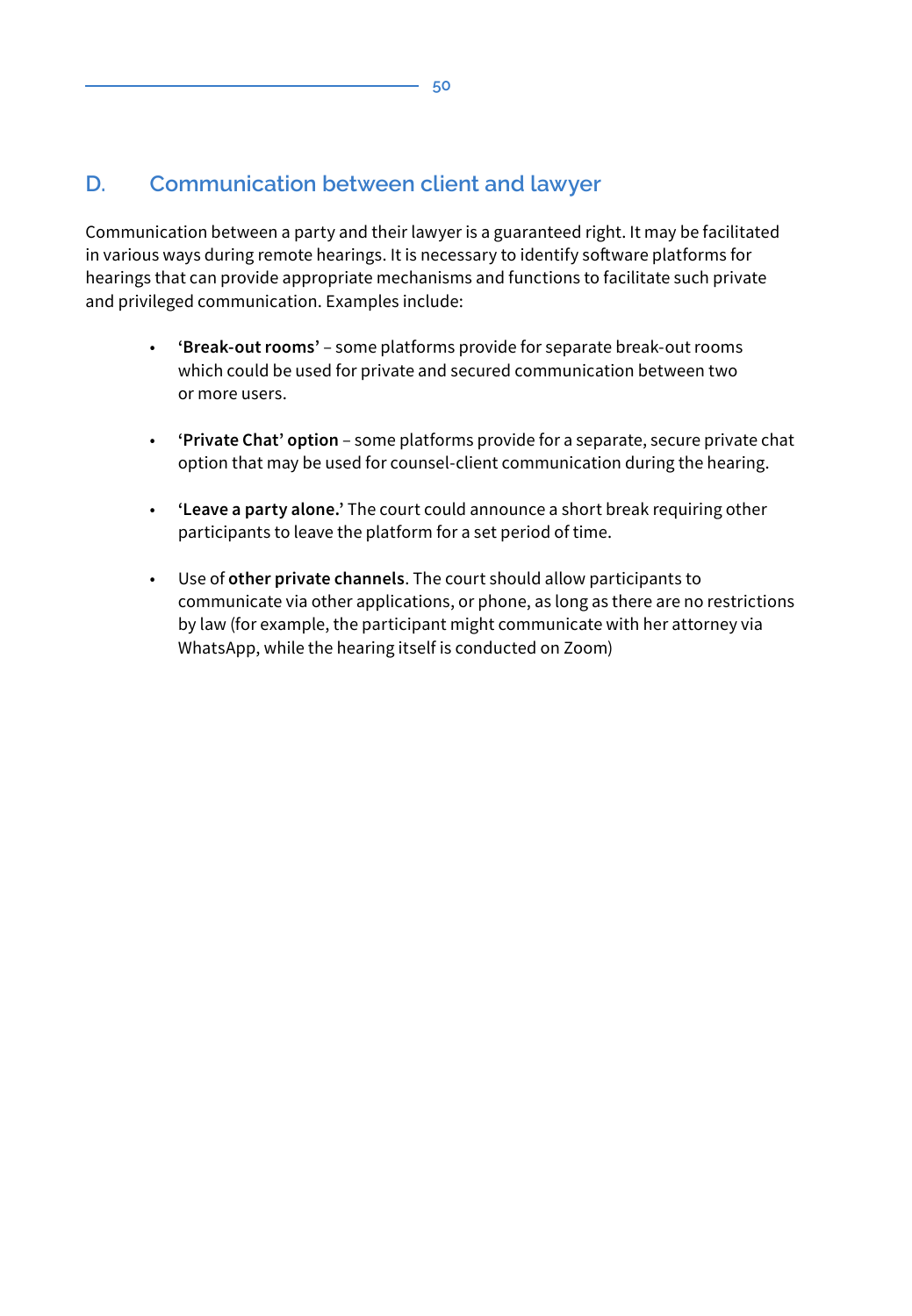# **D. Communication between client and lawyer**

Communication between a party and their lawyer is a guaranteed right. It may be facilitated in various ways during remote hearings. It is necessary to identify software platforms for hearings that can provide appropriate mechanisms and functions to facilitate such private and privileged communication. Examples include:

- **'Break-out rooms'** some platforms provide for separate break-out rooms which could be used for private and secured communication between two or more users.
- **'Private Chat' option** some platforms provide for a separate, secure private chat option that may be used for counsel-client communication during the hearing.
- **'Leave a party alone.'** The court could announce a short break requiring other participants to leave the platform for a set period of time.
- Use of **other private channels**. The court should allow participants to communicate via other applications, or phone, as long as there are no restrictions by law (for example, the participant might communicate with her attorney via WhatsApp, while the hearing itself is conducted on Zoom)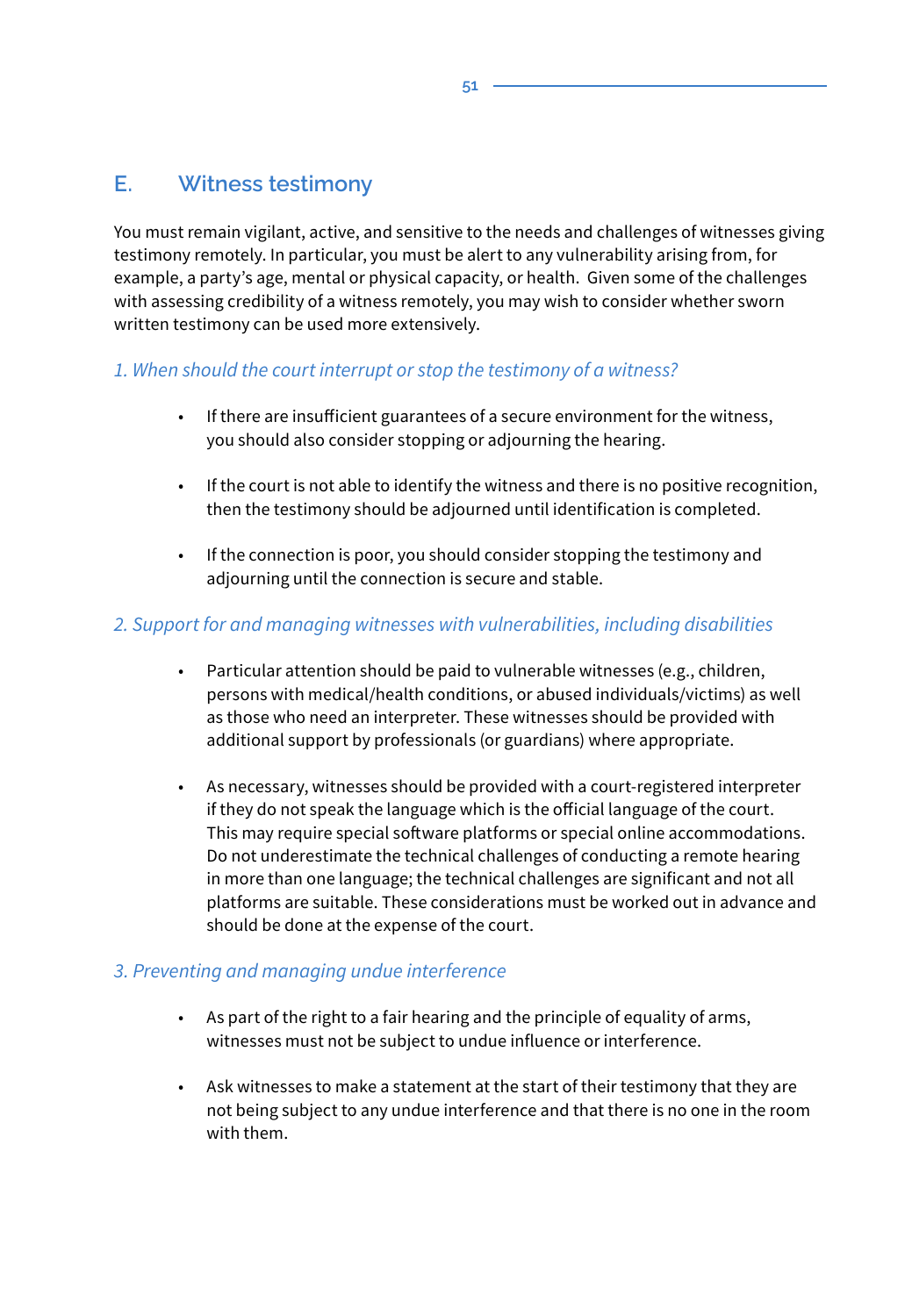### **E. Witness testimony**

You must remain vigilant, active, and sensitive to the needs and challenges of witnesses giving testimony remotely. In particular, you must be alert to any vulnerability arising from, for example, a party's age, mental or physical capacity, or health. Given some of the challenges with assessing credibility of a witness remotely, you may wish to consider whether sworn written testimony can be used more extensively.

#### *1. When should the court interrupt or stop the testimony of a witness?*

- If there are insufficient guarantees of a secure environment for the witness, you should also consider stopping or adjourning the hearing.
- If the court is not able to identify the witness and there is no positive recognition, then the testimony should be adjourned until identification is completed.
- If the connection is poor, you should consider stopping the testimony and adjourning until the connection is secure and stable.

#### *2. Support for and managing witnesses with vulnerabilities, including disabilities*

- Particular attention should be paid to vulnerable witnesses (e.g., children, persons with medical/health conditions, or abused individuals/victims) as well as those who need an interpreter. These witnesses should be provided with additional support by professionals (or guardians) where appropriate.
- As necessary, witnesses should be provided with a court-registered interpreter if they do not speak the language which is the official language of the court. This may require special software platforms or special online accommodations. Do not underestimate the technical challenges of conducting a remote hearing in more than one language; the technical challenges are significant and not all platforms are suitable. These considerations must be worked out in advance and should be done at the expense of the court.

#### *3. Preventing and managing undue interference*

- As part of the right to a fair hearing and the principle of equality of arms, witnesses must not be subject to undue influence or interference.
- Ask witnesses to make a statement at the start of their testimony that they are not being subject to any undue interference and that there is no one in the room with them.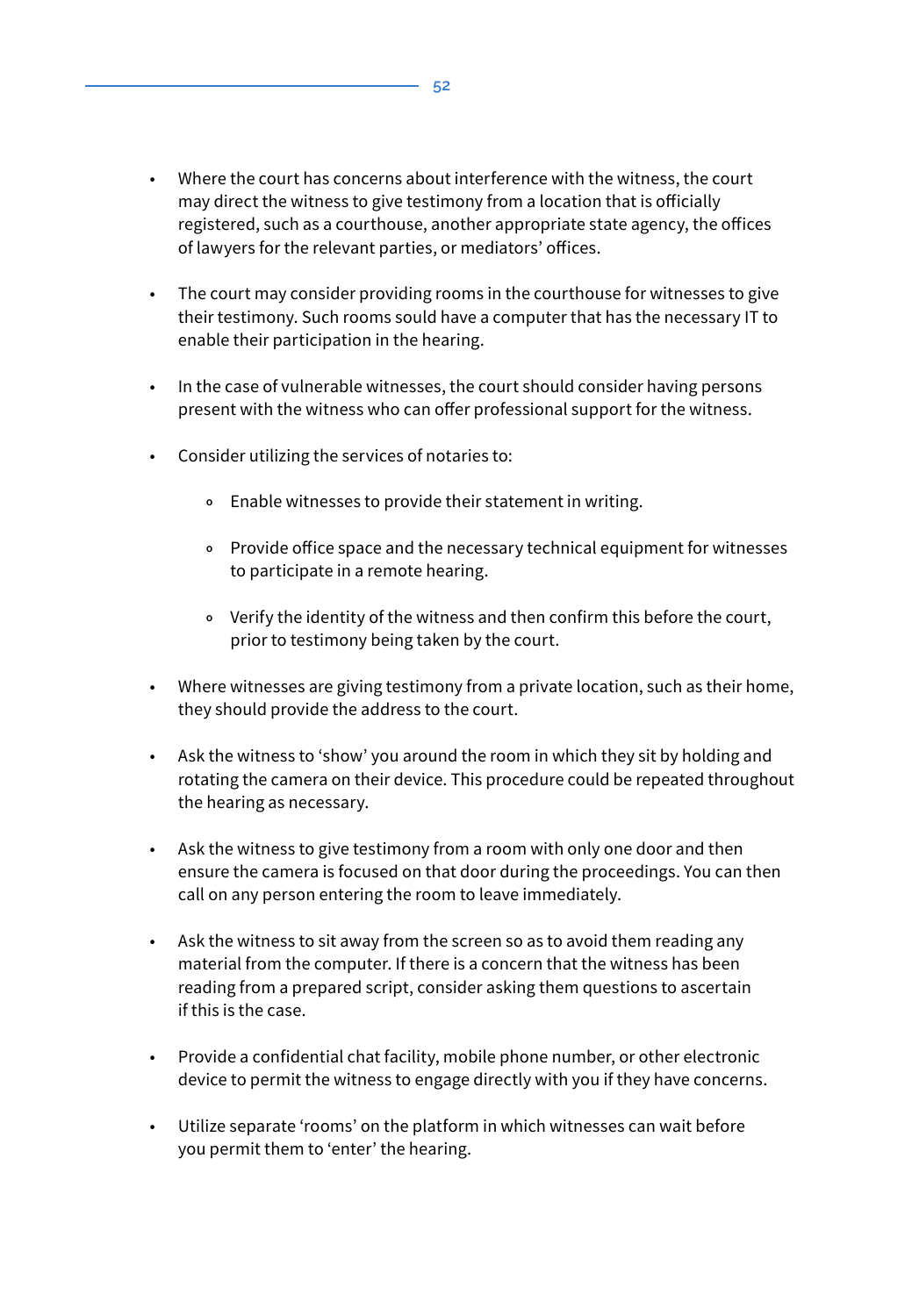- Where the court has concerns about interference with the witness, the court may direct the witness to give testimony from a location that is officially registered, such as a courthouse, another appropriate state agency, the offices of lawyers for the relevant parties, or mediators' offices.
- The court may consider providing rooms in the courthouse for witnesses to give their testimony. Such rooms sould have a computer that has the necessary IT to enable their participation in the hearing.
- In the case of vulnerable witnesses, the court should consider having persons present with the witness who can offer professional support for the witness.
- Consider utilizing the services of notaries to:
	- **<sup>o</sup>** Enable witnesses to provide their statement in writing.
	- **<sup>o</sup>** Provide office space and the necessary technical equipment for witnesses to participate in a remote hearing.
	- **<sup>o</sup>** Verify the identity of the witness and then confirm this before the court, prior to testimony being taken by the court.
- Where witnesses are giving testimony from a private location, such as their home, they should provide the address to the court.
- Ask the witness to 'show' you around the room in which they sit by holding and rotating the camera on their device. This procedure could be repeated throughout the hearing as necessary.
- Ask the witness to give testimony from a room with only one door and then ensure the camera is focused on that door during the proceedings. You can then call on any person entering the room to leave immediately.
- Ask the witness to sit away from the screen so as to avoid them reading any material from the computer. If there is a concern that the witness has been reading from a prepared script, consider asking them questions to ascertain if this is the case.
- Provide a confidential chat facility, mobile phone number, or other electronic device to permit the witness to engage directly with you if they have concerns.
- Utilize separate 'rooms' on the platform in which witnesses can wait before you permit them to 'enter' the hearing.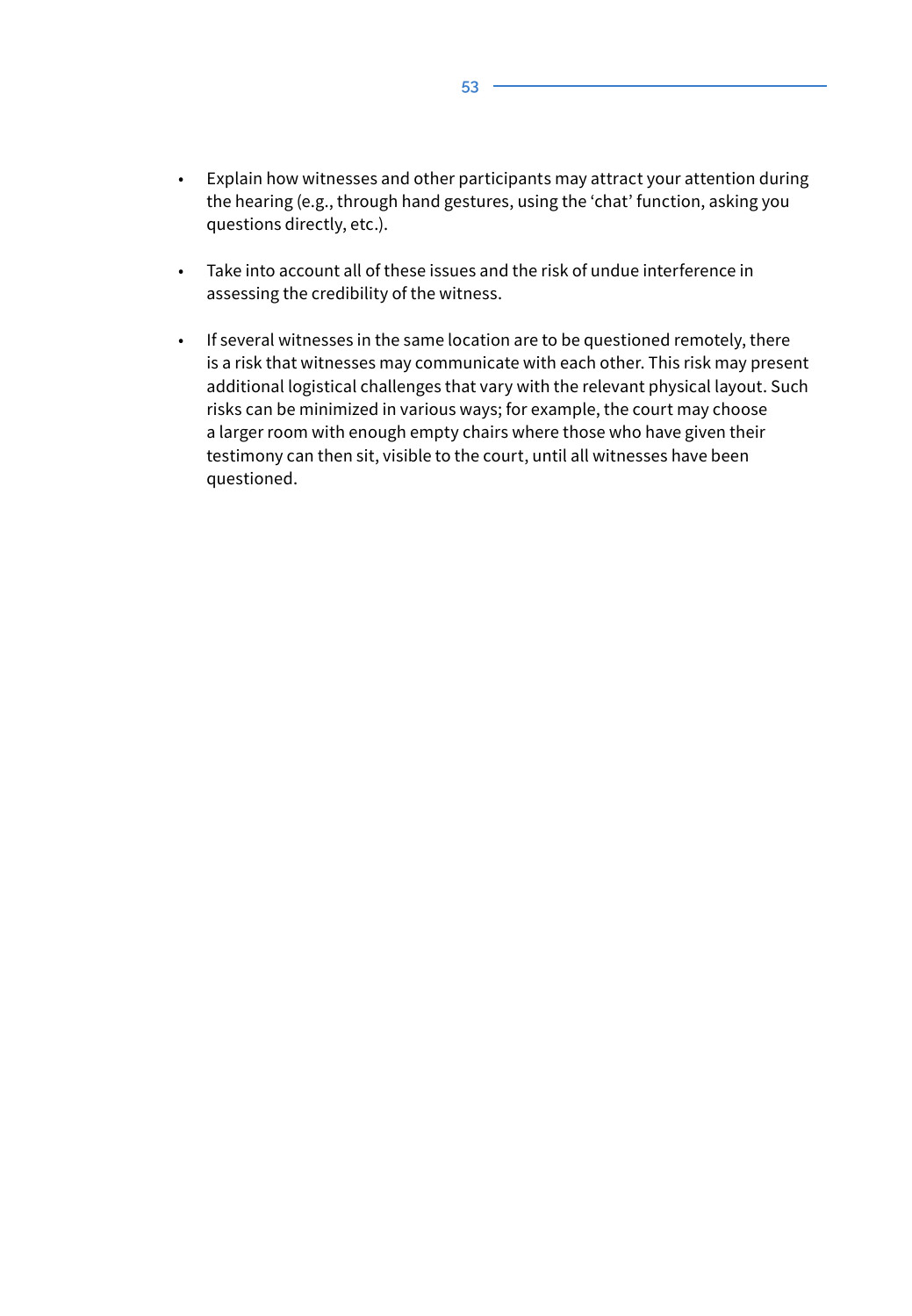- Explain how witnesses and other participants may attract your attention during the hearing (e.g., through hand gestures, using the 'chat' function, asking you questions directly, etc.).
- Take into account all of these issues and the risk of undue interference in assessing the credibility of the witness.
- If several witnesses in the same location are to be questioned remotely, there is a risk that witnesses may communicate with each other. This risk may present additional logistical challenges that vary with the relevant physical layout. Such risks can be minimized in various ways; for example, the court may choose a larger room with enough empty chairs where those who have given their testimony can then sit, visible to the court, until all witnesses have been questioned.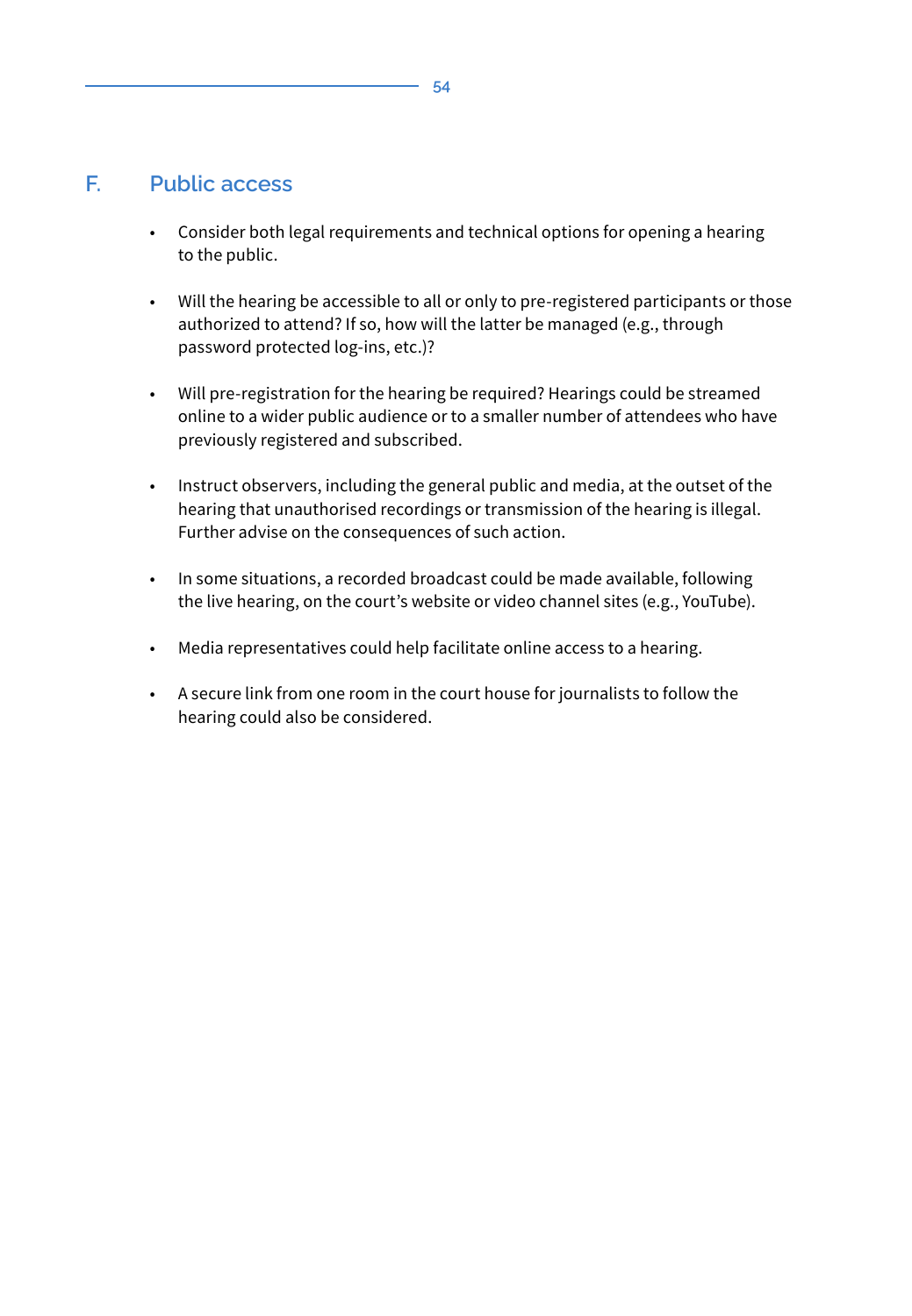**54**

#### **F. Public access**

- Consider both legal requirements and technical options for opening a hearing to the public.
- Will the hearing be accessible to all or only to pre-registered participants or those authorized to attend? If so, how will the latter be managed (e.g., through password protected log-ins, etc.)?
- Will pre-registration for the hearing be required? Hearings could be streamed online to a wider public audience or to a smaller number of attendees who have previously registered and subscribed.
- Instruct observers, including the general public and media, at the outset of the hearing that unauthorised recordings or transmission of the hearing is illegal. Further advise on the consequences of such action.
- In some situations, a recorded broadcast could be made available, following the live hearing, on the court's website or video channel sites (e.g., YouTube).
- Media representatives could help facilitate online access to a hearing.
- A secure link from one room in the court house for journalists to follow the hearing could also be considered.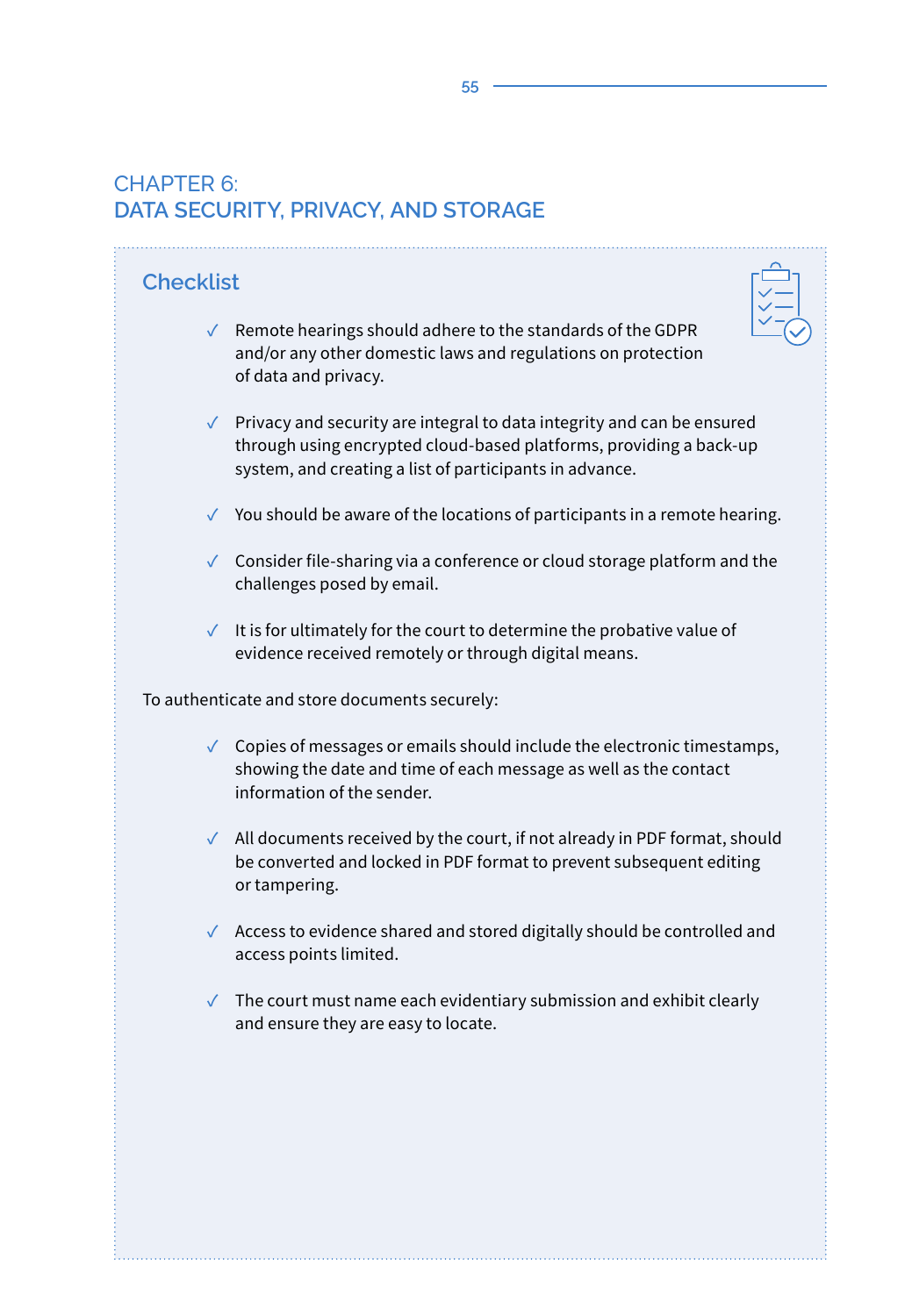# CHAPTER 6: **DATA SECURITY, PRIVACY, AND STORAGE**

| <b>Checklist</b>                              |                                                                                                                                                                                                                              |  |
|-----------------------------------------------|------------------------------------------------------------------------------------------------------------------------------------------------------------------------------------------------------------------------------|--|
|                                               | $\sqrt{\phantom{a}}$ Remote hearings should adhere to the standards of the GDPR<br>and/or any other domestic laws and regulations on protection<br>of data and privacy.                                                      |  |
|                                               | $\sqrt{\phantom{a}}$ Privacy and security are integral to data integrity and can be ensured<br>through using encrypted cloud-based platforms, providing a back-up<br>system, and creating a list of participants in advance. |  |
|                                               | $\checkmark$ You should be aware of the locations of participants in a remote hearing.                                                                                                                                       |  |
|                                               | √ Consider file-sharing via a conference or cloud storage platform and the<br>challenges posed by email.                                                                                                                     |  |
|                                               | $\checkmark$ It is for ultimately for the court to determine the probative value of<br>evidence received remotely or through digital means.                                                                                  |  |
| To authenticate and store documents securely: |                                                                                                                                                                                                                              |  |
|                                               | $\checkmark$ Copies of messages or emails should include the electronic timestamps,<br>showing the date and time of each message as well as the contact<br>information of the sender.                                        |  |
|                                               | √ All documents received by the court, if not already in PDF format, should<br>be converted and locked in PDF format to prevent subsequent editing<br>or tampering.                                                          |  |
|                                               | √ Access to evidence shared and stored digitally should be controlled and<br>access points limited.                                                                                                                          |  |
|                                               | $\sqrt{\phantom{a}}$ The court must name each evidentiary submission and exhibit clearly<br>and ensure they are easy to locate.                                                                                              |  |
|                                               |                                                                                                                                                                                                                              |  |
|                                               |                                                                                                                                                                                                                              |  |
|                                               |                                                                                                                                                                                                                              |  |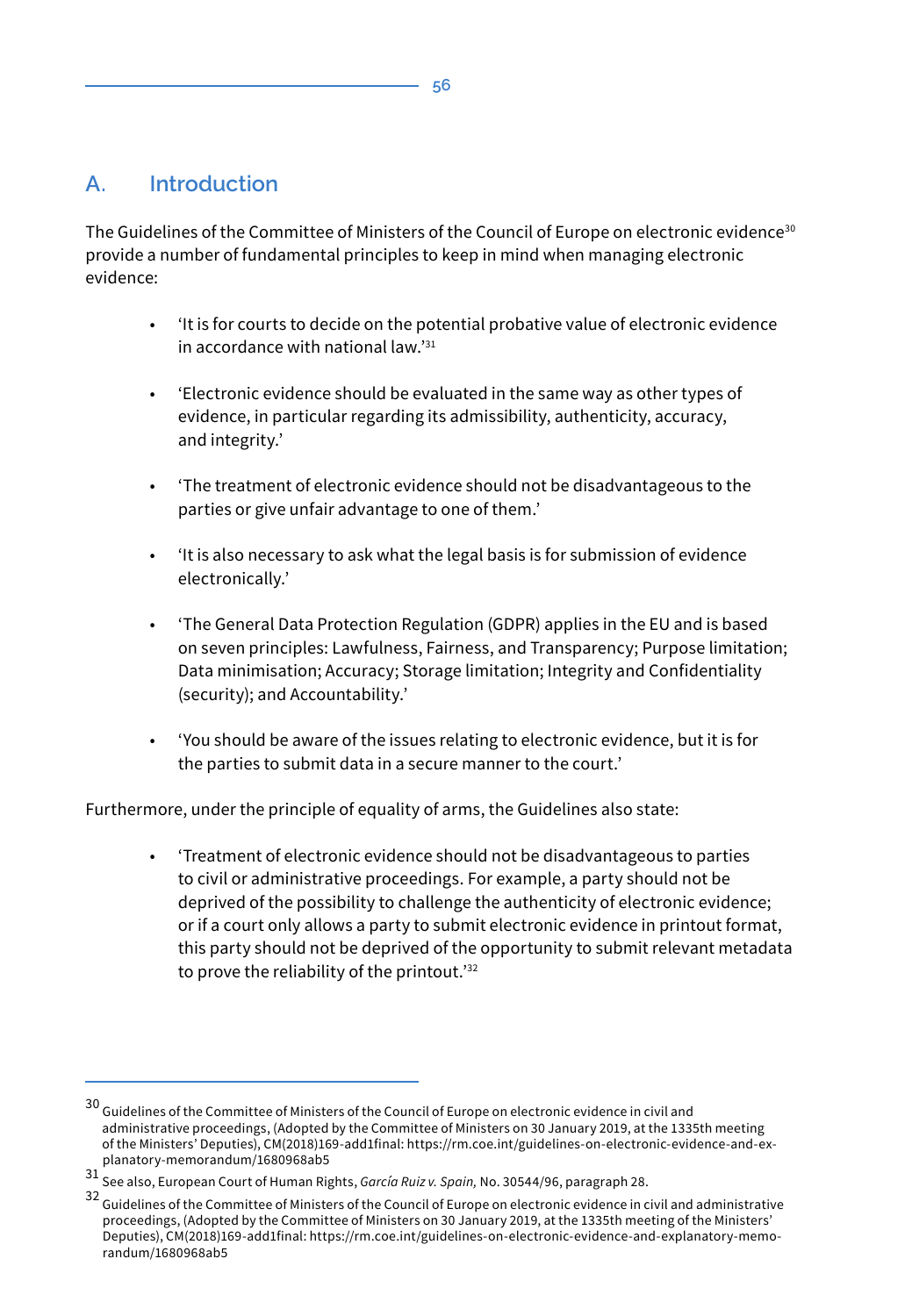# **A. Introduction**

The Guidelines of the Committee of Ministers of the Council of Europe on electronic evidence<sup>30</sup> provide a number of fundamental principles to keep in mind when managing electronic evidence:

- 'It is for courts to decide on the potential probative value of electronic evidence in accordance with national law.'<sup>31</sup>
- 'Electronic evidence should be evaluated in the same way as other types of evidence, in particular regarding its admissibility, authenticity, accuracy, and integrity.'
- 'The treatment of electronic evidence should not be disadvantageous to the parties or give unfair advantage to one of them.'
- 'It is also necessary to ask what the legal basis is for submission of evidence electronically.'
- 'The General Data Protection Regulation (GDPR) applies in the EU and is based on seven principles: Lawfulness, Fairness, and Transparency; Purpose limitation; Data minimisation; Accuracy; Storage limitation; Integrity and Confidentiality (security); and Accountability.'
- 'You should be aware of the issues relating to electronic evidence, but it is for the parties to submit data in a secure manner to the court.'

Furthermore, under the principle of equality of arms, the Guidelines also state:

• 'Treatment of electronic evidence should not be disadvantageous to parties to civil or administrative proceedings. For example, a party should not be deprived of the possibility to challenge the authenticity of electronic evidence; or if a court only allows a party to submit electronic evidence in printout format, this party should not be deprived of the opportunity to submit relevant metadata to prove the reliability of the printout.'<sup>32</sup>

 $30$  Guidelines of the Committee of Ministers of the Council of Europe on electronic evidence in civil and administrative proceedings, (Adopted by the Committee of Ministers on 30 January 2019, at the 1335th meeting of the Ministers' Deputies), CM(2018)169-add1final: https://rm.coe.int/guidelines-on-electronic-evidence-and-explanatory-memorandum/1680968ab5

<sup>31</sup> See also, European Court of Human Rights, *García Ruiz v. Spain,* No. 30544/96, paragraph 28.

<sup>32</sup> Guidelines of the Committee of Ministers of the Council of Europe on electronic evidence in civil and administrative proceedings, (Adopted by the Committee of Ministers on 30 January 2019, at the 1335th meeting of the Ministers' Deputies), CM(2018)169-add1final: https://rm.coe.int/guidelines-on-electronic-evidence-and-explanatory-memorandum/1680968ab5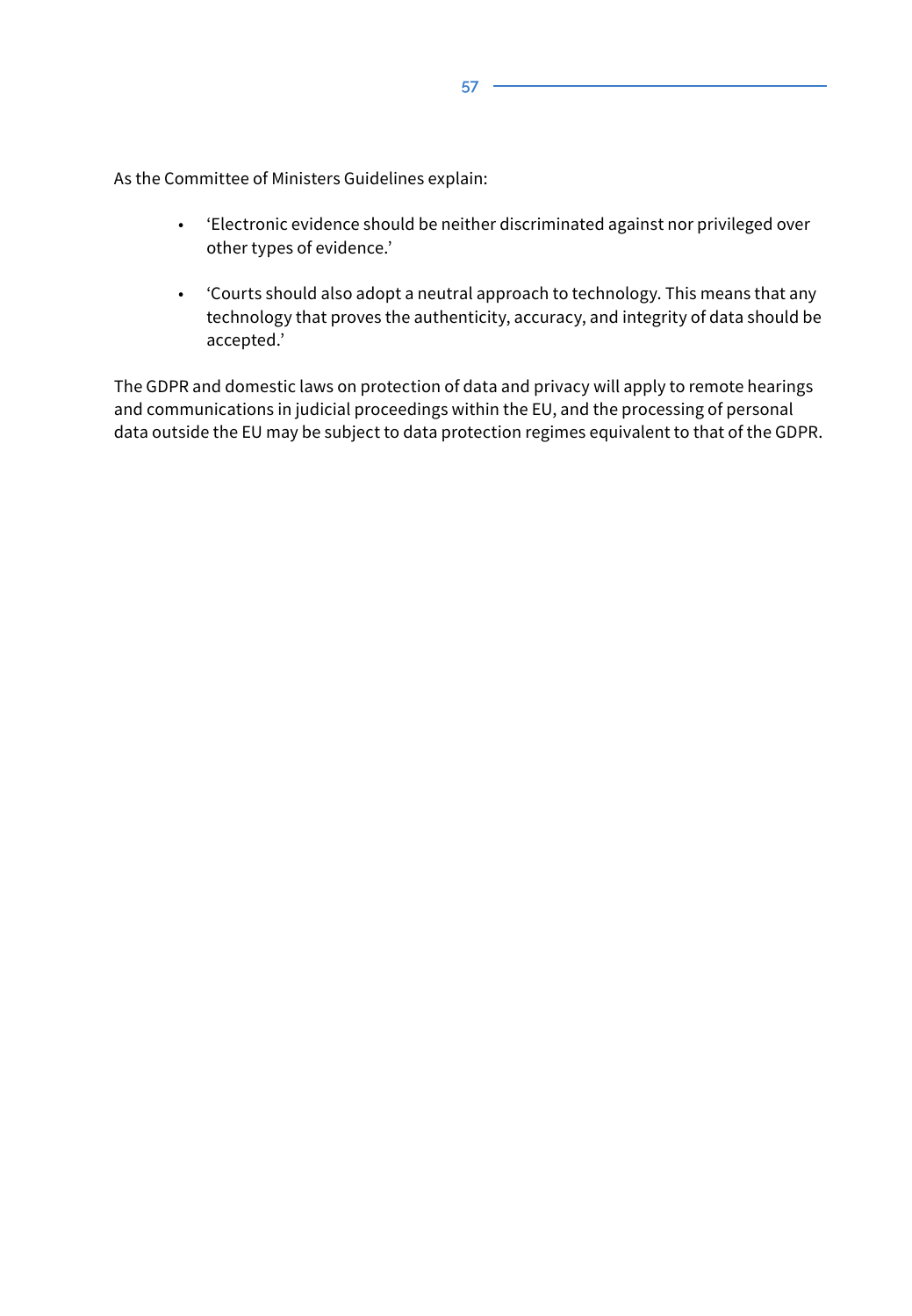As the Committee of Ministers Guidelines explain:

- 'Electronic evidence should be neither discriminated against nor privileged over other types of evidence.'
- 'Courts should also adopt a neutral approach to technology. This means that any technology that proves the authenticity, accuracy, and integrity of data should be accepted.'

The GDPR and domestic laws on protection of data and privacy will apply to remote hearings and communications in judicial proceedings within the EU, and the processing of personal data outside the EU may be subject to data protection regimes equivalent to that of the GDPR.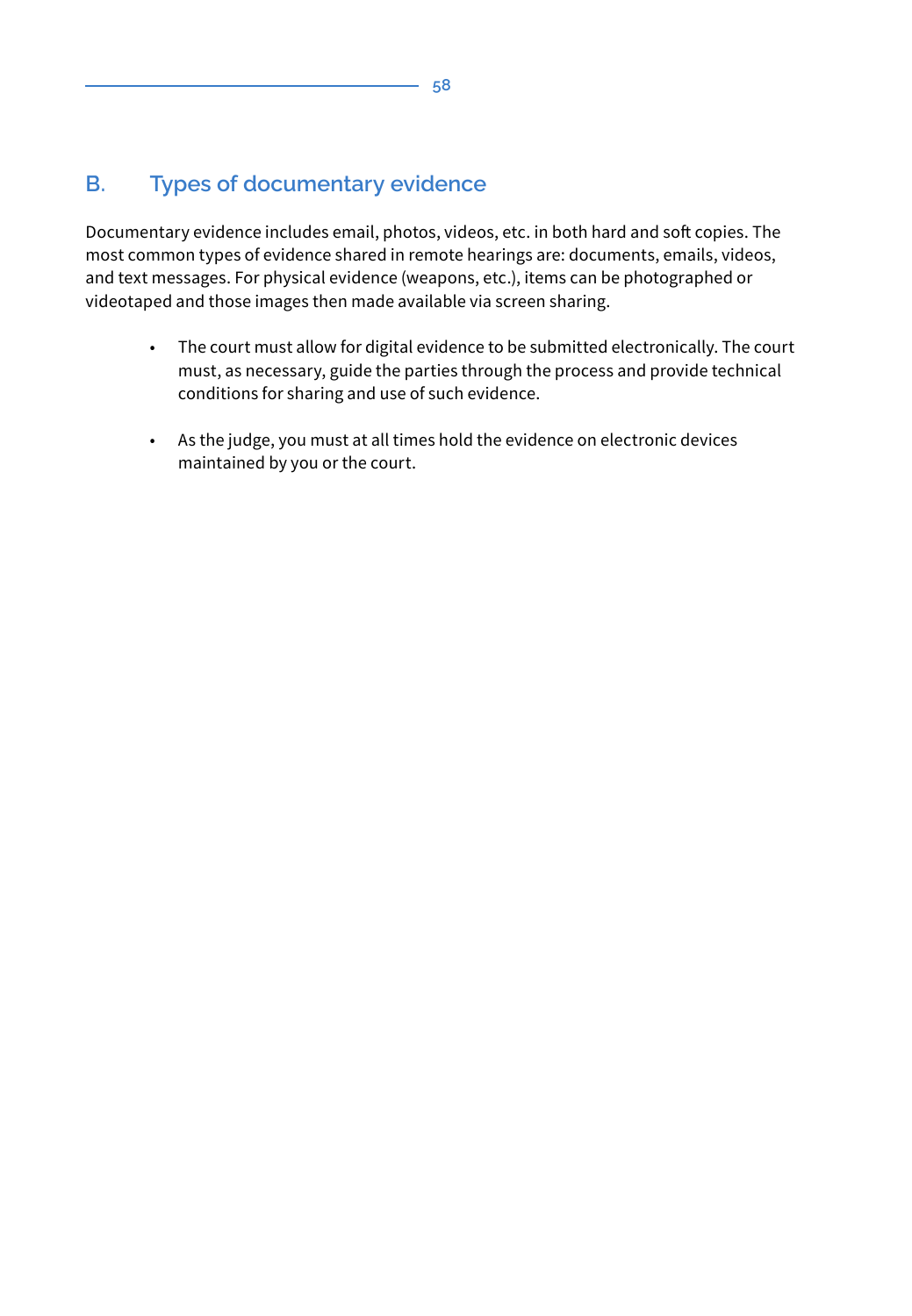# **B. Types of documentary evidence**

Documentary evidence includes email, photos, videos, etc. in both hard and soft copies. The most common types of evidence shared in remote hearings are: documents, emails, videos, and text messages. For physical evidence (weapons, etc.), items can be photographed or videotaped and those images then made available via screen sharing.

- The court must allow for digital evidence to be submitted electronically. The court must, as necessary, guide the parties through the process and provide technical conditions for sharing and use of such evidence.
- As the judge, you must at all times hold the evidence on electronic devices maintained by you or the court.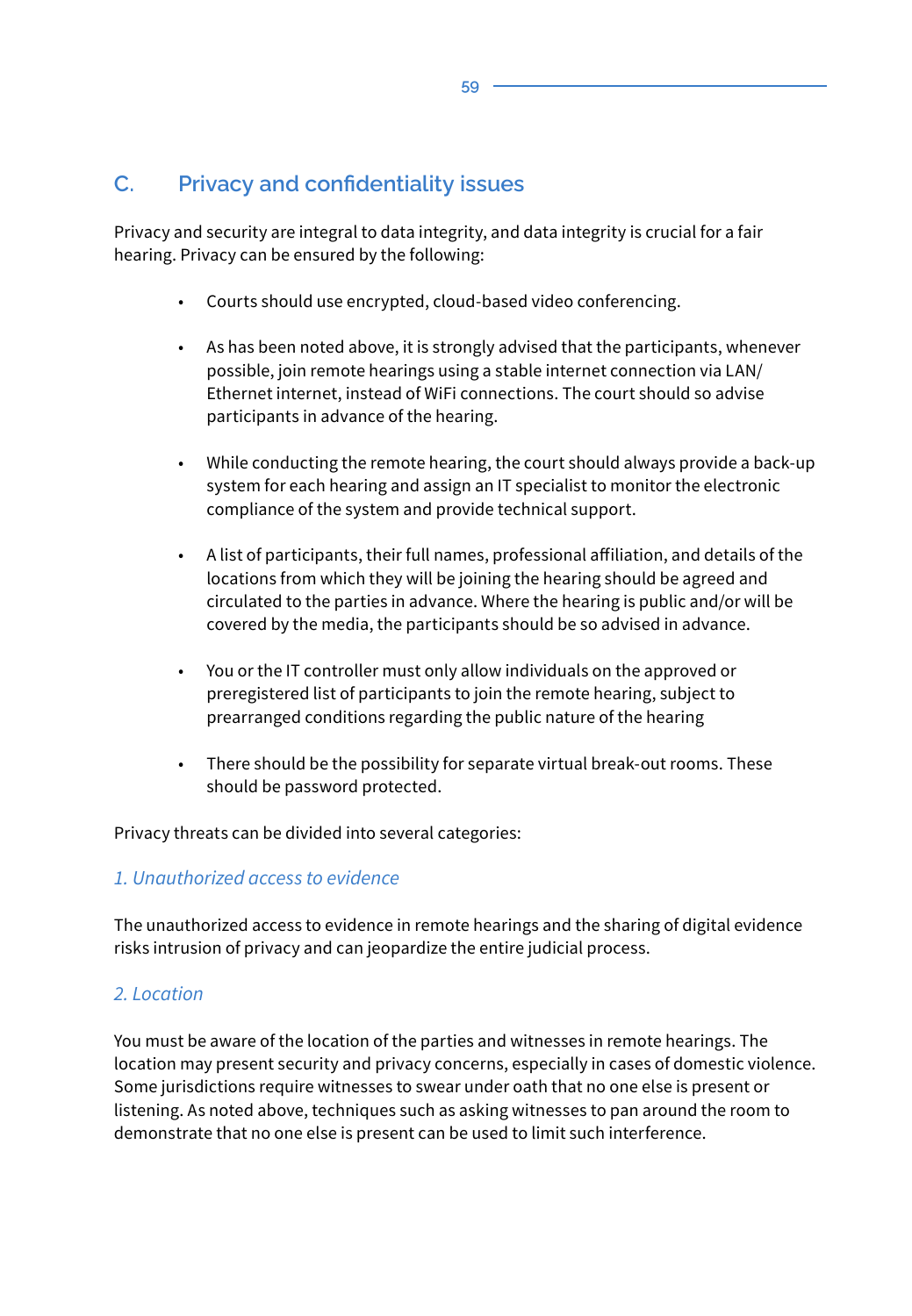# **C. Privacy and confidentiality issues**

Privacy and security are integral to data integrity, and data integrity is crucial for a fair hearing. Privacy can be ensured by the following:

- Courts should use encrypted, cloud-based video conferencing.
- As has been noted above, it is strongly advised that the participants, whenever possible, join remote hearings using a stable internet connection via LAN/ Ethernet internet, instead of WiFi connections. The court should so advise participants in advance of the hearing.
- While conducting the remote hearing, the court should always provide a back-up system for each hearing and assign an IT specialist to monitor the electronic compliance of the system and provide technical support.
- A list of participants, their full names, professional affiliation, and details of the locations from which they will be joining the hearing should be agreed and circulated to the parties in advance. Where the hearing is public and/or will be covered by the media, the participants should be so advised in advance.
- You or the IT controller must only allow individuals on the approved or preregistered list of participants to join the remote hearing, subject to prearranged conditions regarding the public nature of the hearing
- There should be the possibility for separate virtual break-out rooms. These should be password protected.

Privacy threats can be divided into several categories:

#### *1. Unauthorized access to evidence*

The unauthorized access to evidence in remote hearings and the sharing of digital evidence risks intrusion of privacy and can jeopardize the entire judicial process.

#### *2. Location*

You must be aware of the location of the parties and witnesses in remote hearings. The location may present security and privacy concerns, especially in cases of domestic violence. Some jurisdictions require witnesses to swear under oath that no one else is present or listening. As noted above, techniques such as asking witnesses to pan around the room to demonstrate that no one else is present can be used to limit such interference.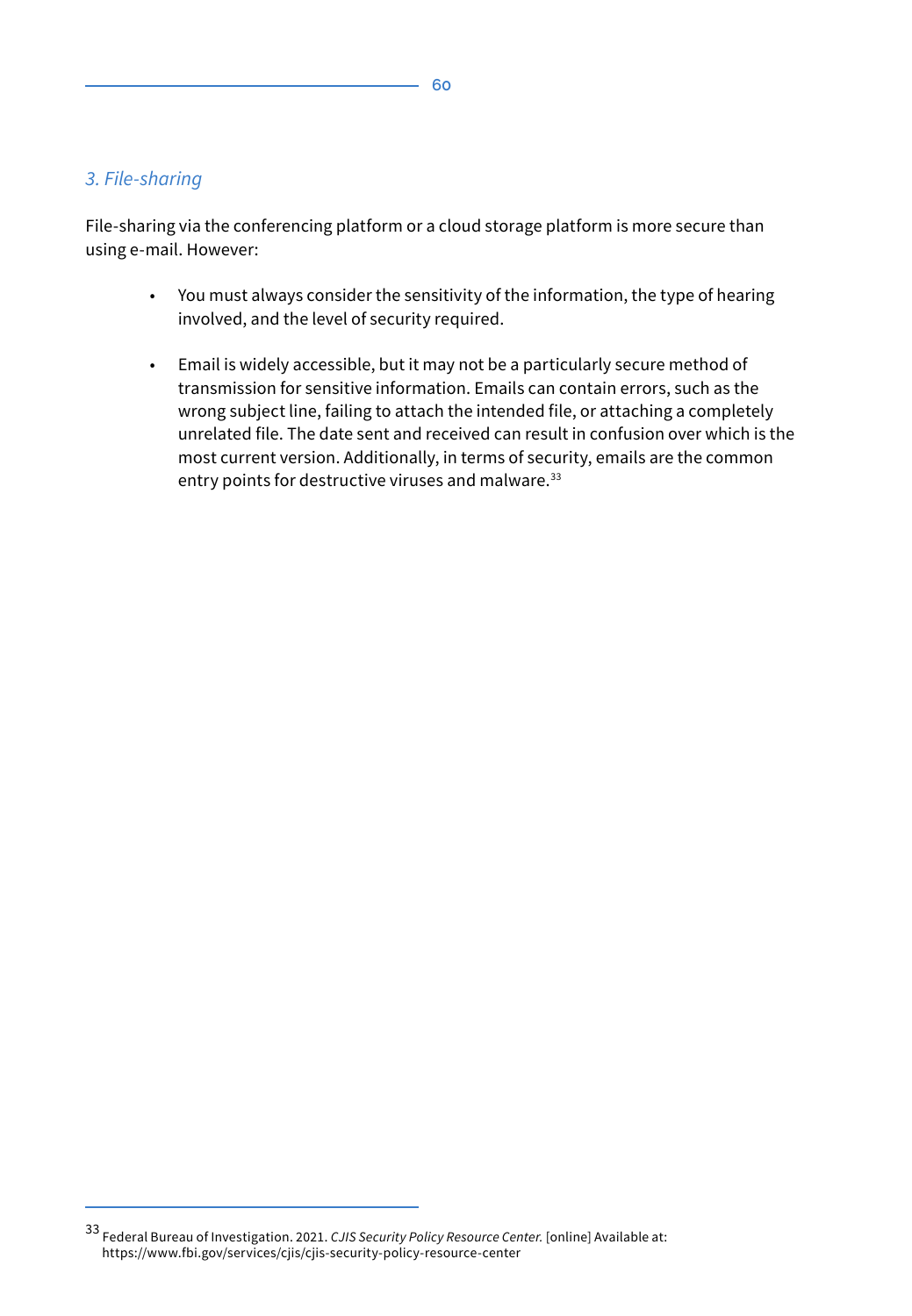#### *3. File-sharing*

File-sharing via the conferencing platform or a cloud storage platform is more secure than using e-mail. However:

- You must always consider the sensitivity of the information, the type of hearing involved, and the level of security required.
- Email is widely accessible, but it may not be a particularly secure method of transmission for sensitive information. Emails can contain errors, such as the wrong subject line, failing to attach the intended file, or attaching a completely unrelated file. The date sent and received can result in confusion over which is the most current version. Additionally, in terms of security, emails are the common entry points for destructive viruses and malware.<sup>33</sup>

<sup>33</sup> Federal Bureau of Investigation. 2021. *CJIS Security Policy Resource Center.* [online] Available at: https://www.fbi.gov/services/cjis/cjis-security-policy-resource-center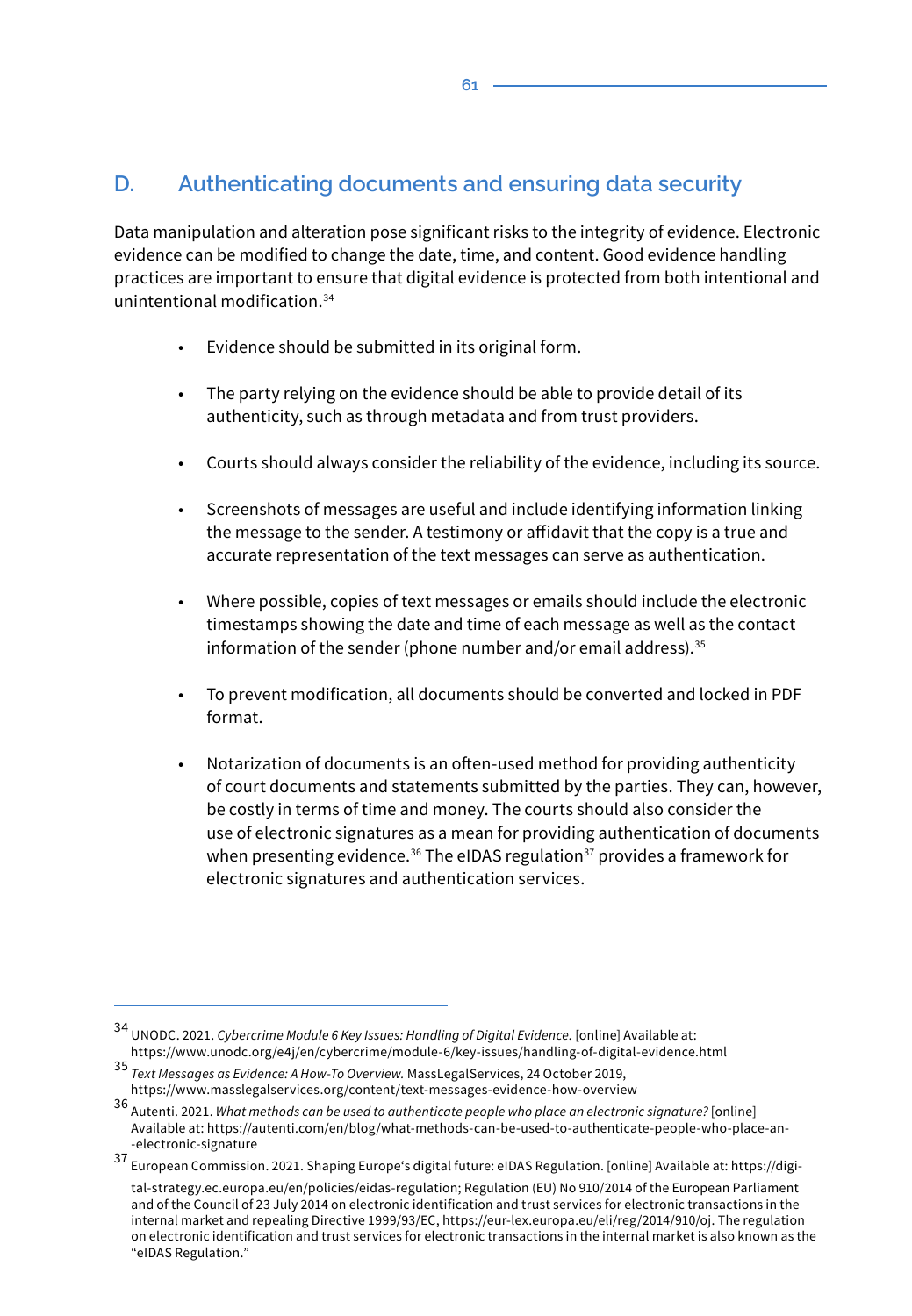# **D. Authenticating documents and ensuring data security**

Data manipulation and alteration pose significant risks to the integrity of evidence. Electronic evidence can be modified to change the date, time, and content. Good evidence handling practices are important to ensure that digital evidence is protected from both intentional and unintentional modification 34

- Evidence should be submitted in its original form.
- The party relying on the evidence should be able to provide detail of its authenticity, such as through metadata and from trust providers.
- Courts should always consider the reliability of the evidence, including its source.
- Screenshots of messages are useful and include identifying information linking the message to the sender. A testimony or affidavit that the copy is a true and accurate representation of the text messages can serve as authentication.
- Where possible, copies of text messages or emails should include the electronic timestamps showing the date and time of each message as well as the contact information of the sender (phone number and/or email address). $35$
- To prevent modification, all documents should be converted and locked in PDF format.
- Notarization of documents is an often-used method for providing authenticity of court documents and statements submitted by the parties. They can, however, be costly in terms of time and money. The courts should also consider the use of electronic signatures as a mean for providing authentication of documents when presenting evidence.<sup>36</sup> The eIDAS regulation<sup>37</sup> provides a framework for electronic signatures and authentication services.

<sup>34</sup> UNODC. 2021. *Cybercrime Module 6 Key Issues: Handling of Digital Evidence.* [online] Available at: https://www.unodc.org/e4j/en/cybercrime/module-6/key-issues/handling-of-digital-evidence.html

<sup>35</sup> *Text Messages as Evidence: A How-To Overview.* MassLegalServices, 24 October 2019, https://www.masslegalservices.org/content/text-messages-evidence-how-overview

<sup>36</sup> Autenti. 2021. *What methods can be used to authenticate people who place an electronic signature?* [online] Available at: https://autenti.com/en/blog/what-methods-can-be-used-to-authenticate-people-who-place-an- -electronic-signature

<sup>37</sup> European Commission. 2021. Shaping Europe's digital future: eIDAS Regulation. [online] Available at: https://digital-strategy.ec.europa.eu/en/policies/eidas-regulation; Regulation (EU) No 910/2014 of the European Parliament and of the Council of 23 July 2014 on electronic identification and trust services for electronic transactions in the internal market and repealing Directive 1999/93/EC, https://eur-lex.europa.eu/eli/reg/2014/910/oj. The regulation on electronic identification and trust services for electronic transactions in the internal market is also known as the "eIDAS Regulation."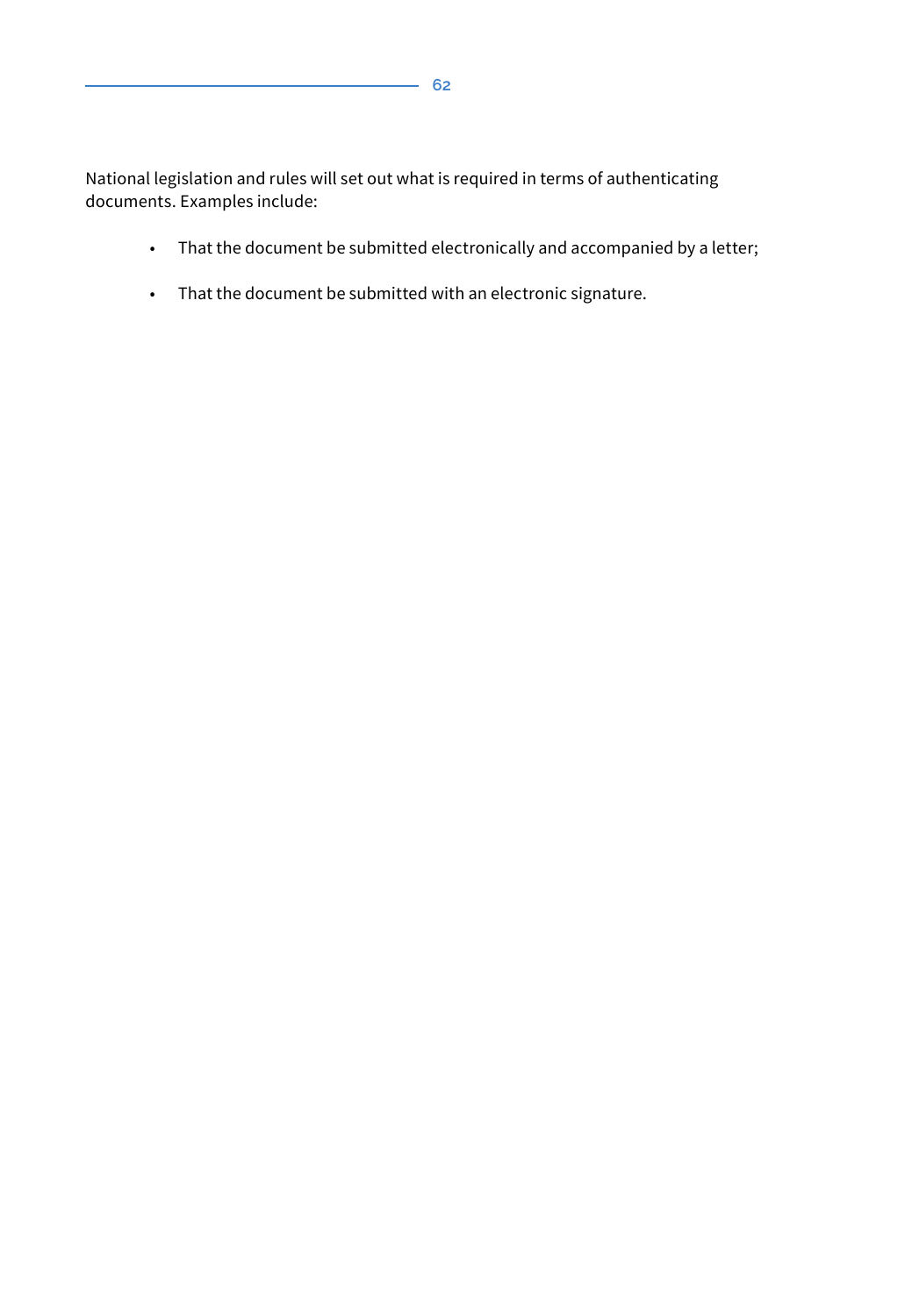National legislation and rules will set out what is required in terms of authenticating documents. Examples include:

- That the document be submitted electronically and accompanied by a letter;
- That the document be submitted with an electronic signature.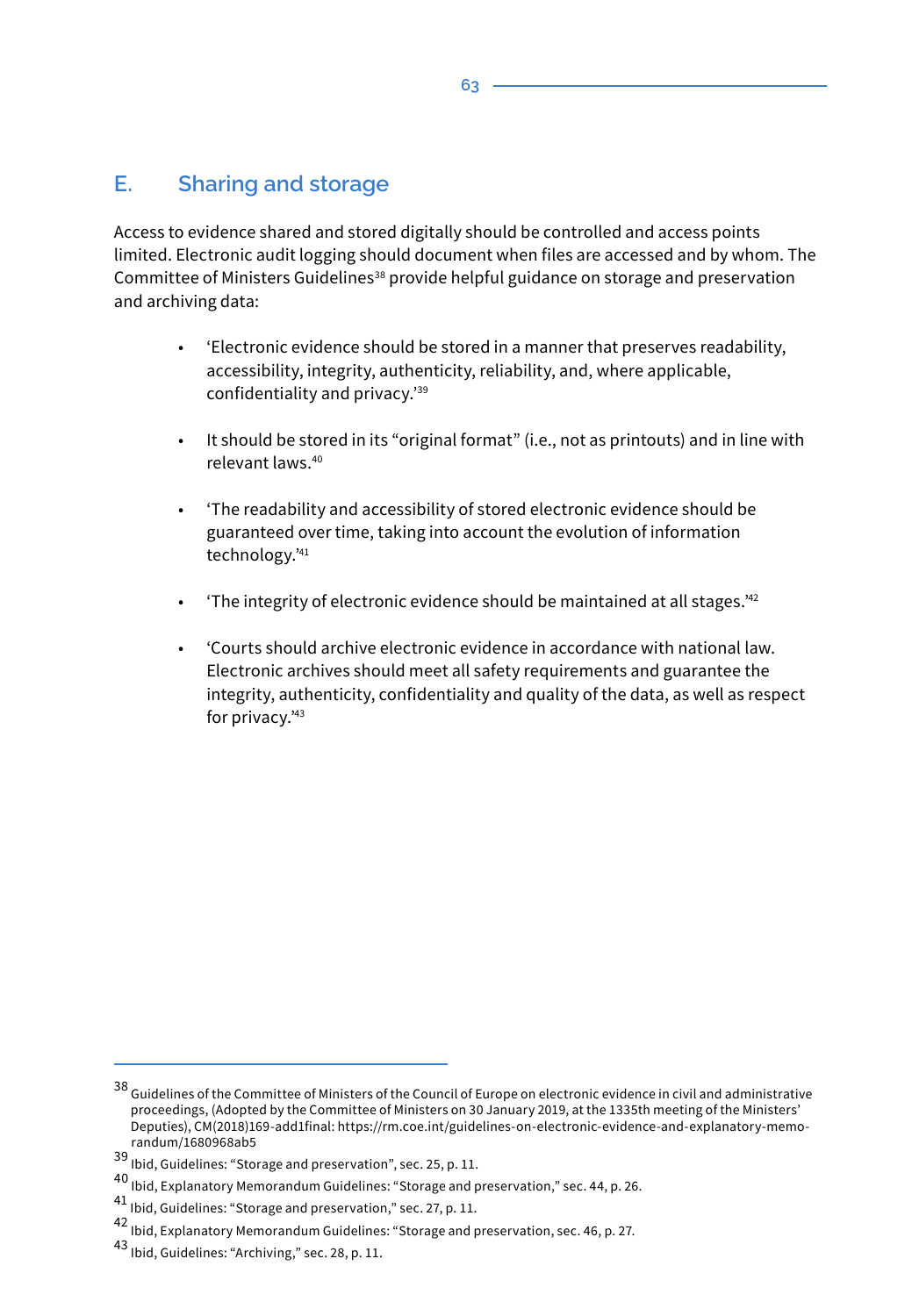### **E. Sharing and storage**

Access to evidence shared and stored digitally should be controlled and access points limited. Electronic audit logging should document when files are accessed and by whom. The Committee of Ministers Guidelines<sup>38</sup> provide helpful guidance on storage and preservation and archiving data:

- 'Electronic evidence should be stored in a manner that preserves readability, accessibility, integrity, authenticity, reliability, and, where applicable, confidentiality and privacy.'39
- It should be stored in its "original format" (i.e., not as printouts) and in line with relevant laws.40
- 'The readability and accessibility of stored electronic evidence should be guaranteed over time, taking into account the evolution of information technology.'<sup>41</sup>
- 'The integrity of electronic evidence should be maintained at all stages.'<sup>42</sup>
- 'Courts should archive electronic evidence in accordance with national law. Electronic archives should meet all safety requirements and guarantee the integrity, authenticity, confidentiality and quality of the data, as well as respect for privacy.'<sup>43</sup>

 $^{38}$  Guidelines of the Committee of Ministers of the Council of Europe on electronic evidence in civil and administrative proceedings, (Adopted by the Committee of Ministers on 30 January 2019, at the 1335th meeting of the Ministers' Deputies), CM(2018)169-add1final: https://rm.coe.int/guidelines-on-electronic-evidence-and-explanatory-memorandum/1680968ab5

<sup>39</sup> Ibid, Guidelines: "Storage and preservation", sec. 25, p. 11.

 $^{40}$ lbid, Explanatory Memorandum Guidelines: "Storage and preservation," sec. 44, p. 26.

<sup>41</sup> Ibid, Guidelines: "Storage and preservation," sec. 27, p. 11.

<sup>42</sup> Ibid, Explanatory Memorandum Guidelines: "Storage and preservation, sec. 46, p. 27.

<sup>43</sup> Ibid, Guidelines: "Archiving," sec. 28, p. 11.